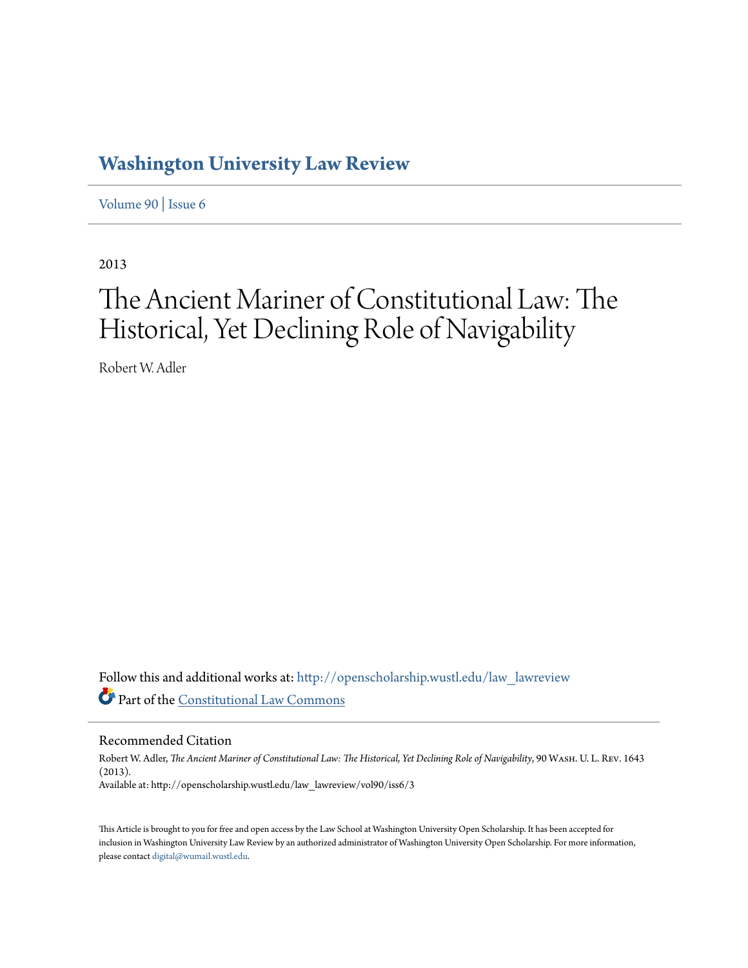## **[Washington University Law Review](http://openscholarship.wustl.edu/law_lawreview?utm_source=openscholarship.wustl.edu%2Flaw_lawreview%2Fvol90%2Fiss6%2F3&utm_medium=PDF&utm_campaign=PDFCoverPages)**

[Volume 90](http://openscholarship.wustl.edu/law_lawreview/vol90?utm_source=openscholarship.wustl.edu%2Flaw_lawreview%2Fvol90%2Fiss6%2F3&utm_medium=PDF&utm_campaign=PDFCoverPages) | [Issue 6](http://openscholarship.wustl.edu/law_lawreview/vol90/iss6?utm_source=openscholarship.wustl.edu%2Flaw_lawreview%2Fvol90%2Fiss6%2F3&utm_medium=PDF&utm_campaign=PDFCoverPages)

2013

# The Ancient Mariner of Constitutional Law: The Historical, Yet Declining Role of Navigability

Robert W. Adler

Follow this and additional works at: [http://openscholarship.wustl.edu/law\\_lawreview](http://openscholarship.wustl.edu/law_lawreview?utm_source=openscholarship.wustl.edu%2Flaw_lawreview%2Fvol90%2Fiss6%2F3&utm_medium=PDF&utm_campaign=PDFCoverPages) Part of the [Constitutional Law Commons](http://network.bepress.com/hgg/discipline/589?utm_source=openscholarship.wustl.edu%2Flaw_lawreview%2Fvol90%2Fiss6%2F3&utm_medium=PDF&utm_campaign=PDFCoverPages)

Recommended Citation

Robert W. Adler, *The Ancient Mariner of Constitutional Law: The Historical, Yet Declining Role of Navigability*, 90 Wash. U. L. Rev. 1643 (2013). Available at: http://openscholarship.wustl.edu/law\_lawreview/vol90/iss6/3

This Article is brought to you for free and open access by the Law School at Washington University Open Scholarship. It has been accepted for inclusion in Washington University Law Review by an authorized administrator of Washington University Open Scholarship. For more information, please contact [digital@wumail.wustl.edu.](mailto:digital@wumail.wustl.edu)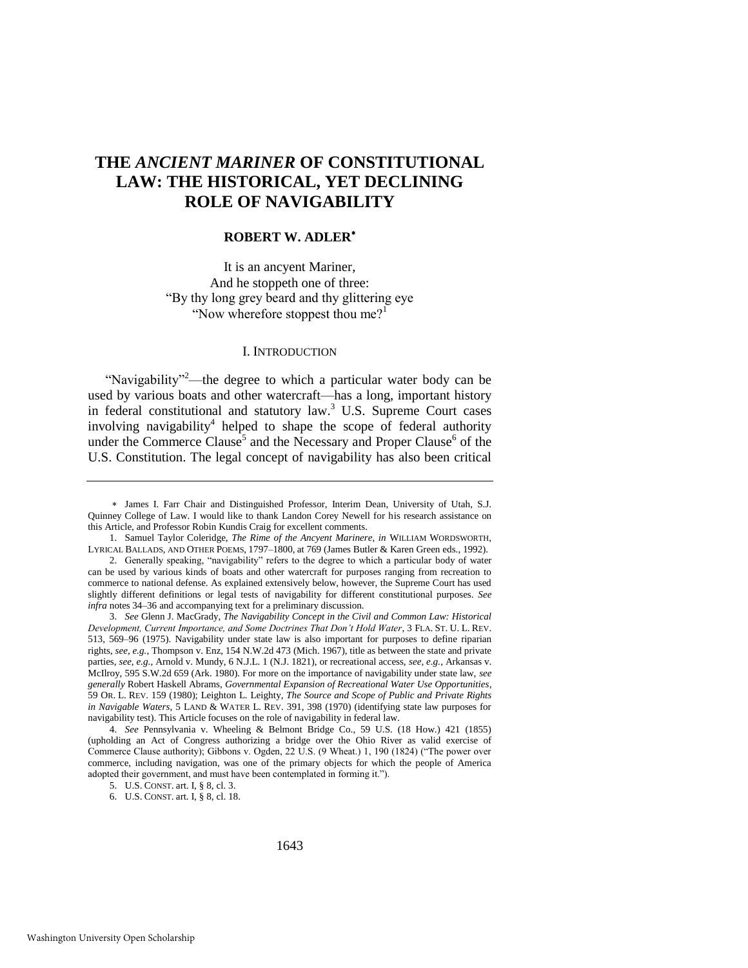### **THE** *ANCIENT MARINER* **OF CONSTITUTIONAL LAW: THE HISTORICAL, YET DECLINING ROLE OF NAVIGABILITY**

#### **ROBERT W. ADLER**

It is an ancyent Mariner, And he stoppeth one of three: ―By thy long grey beard and thy glittering eye "Now wherefore stoppest thou me?"

#### <span id="page-1-1"></span><span id="page-1-0"></span>I. INTRODUCTION

"Navigability"<sup>2</sup>—the degree to which a particular water body can be used by various boats and other watercraft—has a long, important history in federal constitutional and statutory law.<sup>3</sup> U.S. Supreme Court cases involving navigability<sup>4</sup> helped to shape the scope of federal authority under the Commerce Clause<sup>5</sup> and the Necessary and Proper Clause<sup>6</sup> of the U.S. Constitution. The legal concept of navigability has also been critical

3. *See* Glenn J. MacGrady, *The Navigability Concept in the Civil and Common Law: Historical Development, Current Importance, and Some Doctrines That Don't Hold Water*, 3 FLA. ST. U. L. REV. 513, 569–96 (1975). Navigability under state law is also important for purposes to define riparian rights, *see, e.g.*, Thompson v. Enz, 154 N.W.2d 473 (Mich. 1967), title as between the state and private parties, *see, e.g.*, Arnold v. Mundy, 6 N.J.L. 1 (N.J. 1821), or recreational access, *see, e.g.*, Arkansas v. McIlroy, 595 S.W.2d 659 (Ark. 1980). For more on the importance of navigability under state law, *see generally* Robert Haskell Abrams, *Governmental Expansion of Recreational Water Use Opportunities*, 59 OR. L. REV. 159 (1980); Leighton L. Leighty, *The Source and Scope of Public and Private Rights in Navigable Waters*, 5 LAND & WATER L. REV. 391, 398 (1970) (identifying state law purposes for navigability test). This Article focuses on the role of navigability in federal law.

4. *See* Pennsylvania v. Wheeling & Belmont Bridge Co., 59 U.S. (18 How.) 421 (1855) (upholding an Act of Congress authorizing a bridge over the Ohio River as valid exercise of Commerce Clause authority); Gibbons v. Ogden,  $22 \text{ U.S.}$  (9 Wheat.) 1, 190 (1824) ("The power over commerce, including navigation, was one of the primary objects for which the people of America adopted their government, and must have been contemplated in forming it.").

James I. Farr Chair and Distinguished Professor, Interim Dean, University of Utah, S.J. Quinney College of Law. I would like to thank Landon Corey Newell for his research assistance on this Article, and Professor Robin Kundis Craig for excellent comments.

<sup>1.</sup> Samuel Taylor Coleridge, *The Rime of the Ancyent Marinere*, *in* WILLIAM WORDSWORTH, LYRICAL BALLADS, AND OTHER POEMS, 1797–1800, at 769 (James Butler & Karen Green eds., 1992).

<sup>2.</sup> Generally speaking, "navigability" refers to the degree to which a particular body of water can be used by various kinds of boats and other watercraft for purposes ranging from recreation to commerce to national defense. As explained extensively below, however, the Supreme Court has used slightly different definitions or legal tests of navigability for different constitutional purposes. *See infra* note[s 34](#page-5-0)[–36 a](#page-5-1)nd accompanying text for a preliminary discussion.

<sup>5.</sup> U.S. CONST. art. I, § 8, cl. 3.

<sup>6.</sup> U.S. CONST. art. I, § 8, cl. 18.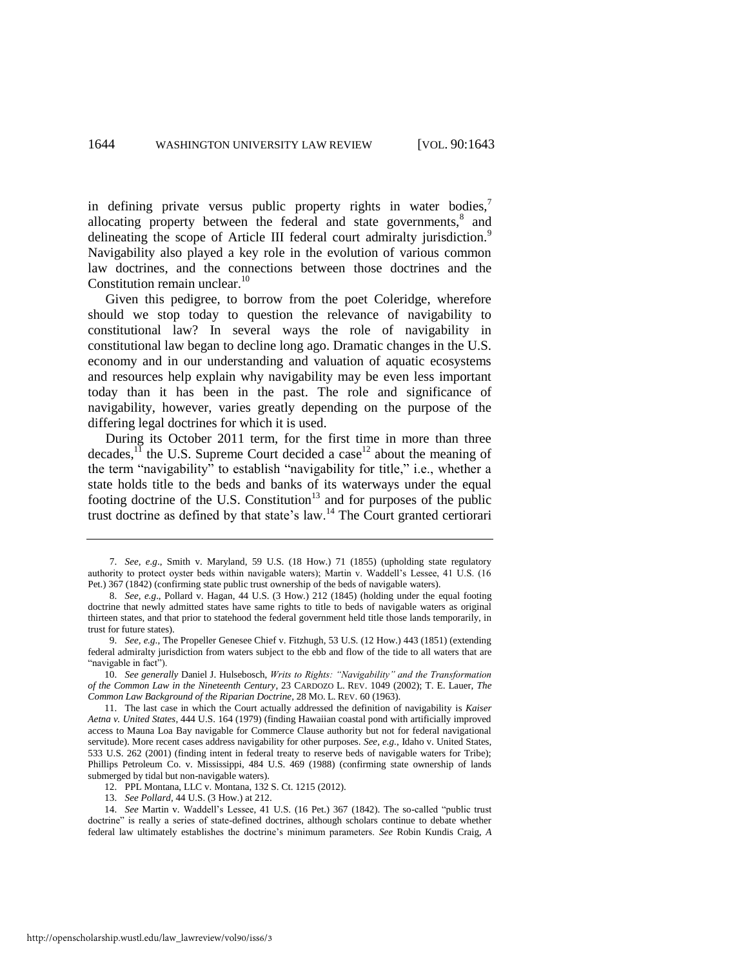in defining private versus public property rights in water bodies, $\frac{7}{1}$ allocating property between the federal and state governments,<sup>8</sup> and delineating the scope of Article III federal court admiralty jurisdiction.<sup>9</sup> Navigability also played a key role in the evolution of various common law doctrines, and the connections between those doctrines and the Constitution remain unclear.<sup>10</sup>

<span id="page-2-1"></span>Given this pedigree, to borrow from the poet Coleridge, wherefore should we stop today to question the relevance of navigability to constitutional law? In several ways the role of navigability in constitutional law began to decline long ago. Dramatic changes in the U.S. economy and in our understanding and valuation of aquatic ecosystems and resources help explain why navigability may be even less important today than it has been in the past. The role and significance of navigability, however, varies greatly depending on the purpose of the differing legal doctrines for which it is used.

During its October 2011 term, for the first time in more than three decades, $\overrightarrow{11}$  the U.S. Supreme Court decided a case<sup>12</sup> about the meaning of the term "navigability" to establish "navigability for title," i.e., whether a state holds title to the beds and banks of its waterways under the equal footing doctrine of the U.S. Constitution<sup>13</sup> and for purposes of the public trust doctrine as defined by that state's law.<sup>14</sup> The Court granted certiorari

12. PPL Montana, LLC v. Montana, 132 S. Ct. 1215 (2012).

<span id="page-2-0"></span><sup>7.</sup> *See, e.g*., Smith v. Maryland, 59 U.S. (18 How.) 71 (1855) (upholding state regulatory authority to protect oyster beds within navigable waters); Martin v. Waddell's Lessee, 41 U.S. (16 Pet.) 367 (1842) (confirming state public trust ownership of the beds of navigable waters).

<sup>8.</sup> *See, e.g*., Pollard v. Hagan, 44 U.S. (3 How.) 212 (1845) (holding under the equal footing doctrine that newly admitted states have same rights to title to beds of navigable waters as original thirteen states, and that prior to statehood the federal government held title those lands temporarily, in trust for future states).

<sup>9.</sup> *See, e.g*., The Propeller Genesee Chief v. Fitzhugh, 53 U.S. (12 How.) 443 (1851) (extending federal admiralty jurisdiction from waters subject to the ebb and flow of the tide to all waters that are "navigable in fact").

<sup>10.</sup> *See generally* Daniel J. Hulsebosch, *Writs to Rights: "Navigability" and the Transformation of the Common Law in the Nineteenth Century*, 23 CARDOZO L. REV. 1049 (2002); T. E. Lauer, *The Common Law Background of the Riparian Doctrine*, 28 MO. L. REV. 60 (1963).

<sup>11.</sup> The last case in which the Court actually addressed the definition of navigability is *Kaiser Aetna v. United States*, 444 U.S. 164 (1979) (finding Hawaiian coastal pond with artificially improved access to Mauna Loa Bay navigable for Commerce Clause authority but not for federal navigational servitude). More recent cases address navigability for other purposes. *See, e.g.*, Idaho v. United States, 533 U.S. 262 (2001) (finding intent in federal treaty to reserve beds of navigable waters for Tribe); Phillips Petroleum Co. v. Mississippi, 484 U.S. 469 (1988) (confirming state ownership of lands submerged by tidal but non-navigable waters).

<sup>13.</sup> *See Pollard*, 44 U.S. (3 How.) at 212.

<sup>14.</sup> *See* Martin v. Waddell's Lessee, 41 U.S. (16 Pet.) 367 (1842). The so-called "public trust doctrine" is really a series of state-defined doctrines, although scholars continue to debate whether federal law ultimately establishes the doctrine's minimum parameters. *See* Robin Kundis Craig, *A*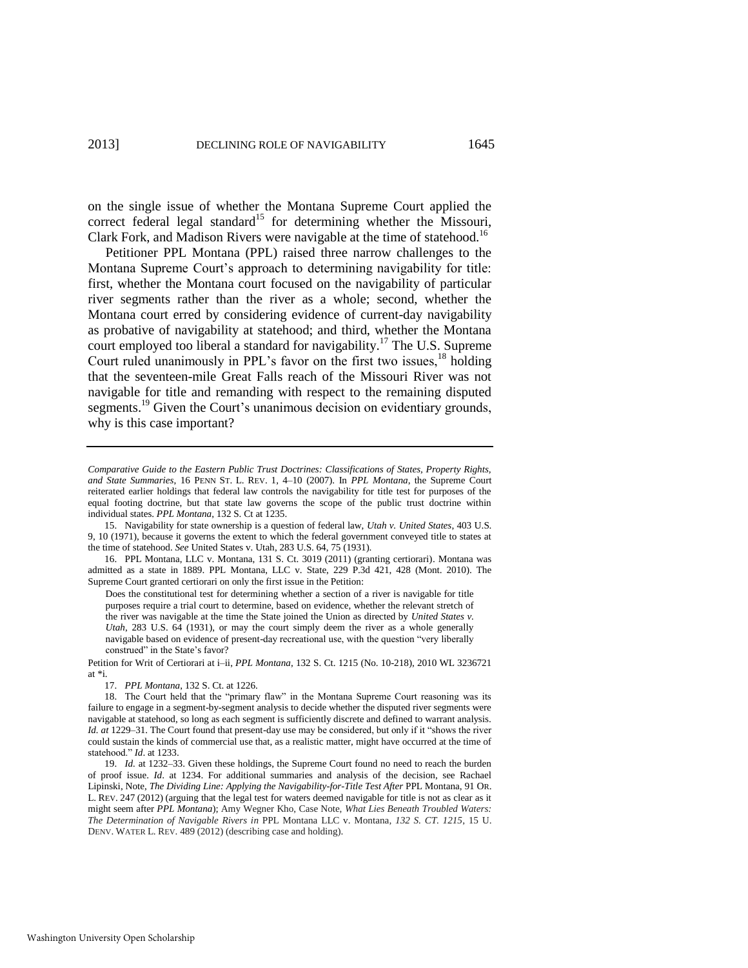on the single issue of whether the Montana Supreme Court applied the correct federal legal standard<sup>15</sup> for determining whether the Missouri, Clark Fork, and Madison Rivers were navigable at the time of statehood.<sup>16</sup>

Petitioner PPL Montana (PPL) raised three narrow challenges to the Montana Supreme Court's approach to determining navigability for title: first, whether the Montana court focused on the navigability of particular river segments rather than the river as a whole; second, whether the Montana court erred by considering evidence of current-day navigability as probative of navigability at statehood; and third, whether the Montana court employed too liberal a standard for navigability.<sup>17</sup> The U.S. Supreme Court ruled unanimously in PPL's favor on the first two issues,<sup>18</sup> holding that the seventeen-mile Great Falls reach of the Missouri River was not navigable for title and remanding with respect to the remaining disputed segments.<sup>19</sup> Given the Court's unanimous decision on evidentiary grounds, why is this case important?

15. Navigability for state ownership is a question of federal law, *Utah v. United States*, 403 U.S. 9, 10 (1971), because it governs the extent to which the federal government conveyed title to states at the time of statehood. *See* United States v. Utah, 283 U.S. 64, 75 (1931).

16. PPL Montana, LLC v. Montana, 131 S. Ct. 3019 (2011) (granting certiorari). Montana was admitted as a state in 1889. PPL Montana, LLC v. State, 229 P.3d 421, 428 (Mont. 2010). The Supreme Court granted certiorari on only the first issue in the Petition:

Does the constitutional test for determining whether a section of a river is navigable for title purposes require a trial court to determine, based on evidence, whether the relevant stretch of the river was navigable at the time the State joined the Union as directed by *United States v. Utah*, 283 U.S. 64 (1931), or may the court simply deem the river as a whole generally navigable based on evidence of present-day recreational use, with the question "very liberally construed" in the State's favor?

Petition for Writ of Certiorari at i–ii, *PPL Montana*, 132 S. Ct. 1215 (No. 10-218), 2010 WL 3236721 at \*i.

17. *PPL Montana*, 132 S. Ct. at 1226.

*Comparative Guide to the Eastern Public Trust Doctrines: Classifications of States, Property Rights, and State Summaries*, 16 PENN ST. L. REV. 1, 4–10 (2007). In *PPL Montana*, the Supreme Court reiterated earlier holdings that federal law controls the navigability for title test for purposes of the equal footing doctrine, but that state law governs the scope of the public trust doctrine within individual states. *PPL Montana*, 132 S. Ct at 1235.

<sup>18.</sup> The Court held that the "primary flaw" in the Montana Supreme Court reasoning was its failure to engage in a segment-by-segment analysis to decide whether the disputed river segments were navigable at statehood, so long as each segment is sufficiently discrete and defined to warrant analysis. *Id. at* 1229–31. The Court found that present-day use may be considered, but only if it "shows the river could sustain the kinds of commercial use that, as a realistic matter, might have occurred at the time of statehood." *Id.* at 1233.

<sup>19.</sup> *Id.* at 1232–33. Given these holdings, the Supreme Court found no need to reach the burden of proof issue. *Id*. at 1234. For additional summaries and analysis of the decision, see Rachael Lipinski, Note, *The Dividing Line: Applying the Navigability-for-Title Test After* PPL Montana, 91 OR. L. REV. 247 (2012) (arguing that the legal test for waters deemed navigable for title is not as clear as it might seem after *PPL Montana*); Amy Wegner Kho, Case Note, *What Lies Beneath Troubled Waters: The Determination of Navigable Rivers in* PPL Montana LLC v. Montana*, 132 S. CT. 1215*, 15 U. DENV. WATER L. REV. 489 (2012) (describing case and holding).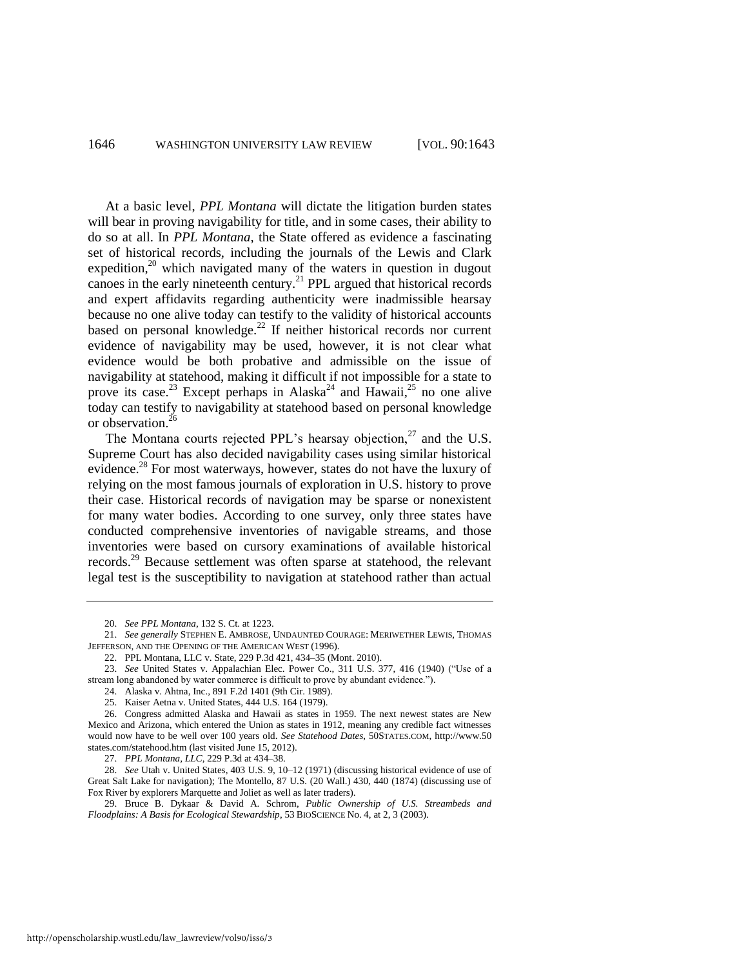<span id="page-4-1"></span>At a basic level, *PPL Montana* will dictate the litigation burden states will bear in proving navigability for title, and in some cases, their ability to do so at all. In *PPL Montana*, the State offered as evidence a fascinating set of historical records, including the journals of the Lewis and Clark expedition,<sup>20</sup> which navigated many of the waters in question in dugout canoes in the early nineteenth century.<sup>21</sup> PPL argued that historical records and expert affidavits regarding authenticity were inadmissible hearsay because no one alive today can testify to the validity of historical accounts based on personal knowledge.<sup>22</sup> If neither historical records nor current evidence of navigability may be used, however, it is not clear what evidence would be both probative and admissible on the issue of navigability at statehood, making it difficult if not impossible for a state to prove its case.<sup>23</sup> Except perhaps in Alaska<sup>24</sup> and Hawaii,<sup>25</sup> no one alive today can testify to navigability at statehood based on personal knowledge or observation.<sup>26</sup>

The Montana courts rejected PPL's hearsay objection, $27$  and the U.S. Supreme Court has also decided navigability cases using similar historical evidence.<sup>28</sup> For most waterways, however, states do not have the luxury of relying on the most famous journals of exploration in U.S. history to prove their case. Historical records of navigation may be sparse or nonexistent for many water bodies. According to one survey, only three states have conducted comprehensive inventories of navigable streams, and those inventories were based on cursory examinations of available historical records.<sup>29</sup> Because settlement was often sparse at statehood, the relevant legal test is the susceptibility to navigation at statehood rather than actual

<span id="page-4-0"></span><sup>20.</sup> *See PPL Montana*, 132 S. Ct. at 1223.

<sup>21.</sup> *See generally* STEPHEN E. AMBROSE, UNDAUNTED COURAGE: MERIWETHER LEWIS, THOMAS JEFFERSON, AND THE OPENING OF THE AMERICAN WEST (1996).

<sup>22.</sup> PPL Montana, LLC v. State, 229 P.3d 421, 434–35 (Mont. 2010).

<sup>23.</sup> *See* United States v. Appalachian Elec. Power Co., 311 U.S. 377, 416 (1940) ("Use of a stream long abandoned by water commerce is difficult to prove by abundant evidence.").

<sup>24.</sup> Alaska v. Ahtna, Inc., 891 F.2d 1401 (9th Cir. 1989).

<sup>25.</sup> Kaiser Aetna v. United States, 444 U.S. 164 (1979).

<sup>26.</sup> Congress admitted Alaska and Hawaii as states in 1959. The next newest states are New Mexico and Arizona, which entered the Union as states in 1912, meaning any credible fact witnesses would now have to be well over 100 years old. *See Statehood Dates*, 50STATES.COM, http://www.50 states.com/statehood.htm (last visited June 15, 2012).

<sup>27.</sup> *PPL Montana, LLC*, 229 P.3d at 434–38.

<sup>28.</sup> *See* Utah v. United States, 403 U.S. 9, 10–12 (1971) (discussing historical evidence of use of Great Salt Lake for navigation); The Montello, 87 U.S. (20 Wall.) 430, 440 (1874) (discussing use of Fox River by explorers Marquette and Joliet as well as later traders).

<sup>29.</sup> Bruce B. Dykaar & David A. Schrom, *Public Ownership of U.S. Streambeds and Floodplains: A Basis for Ecological Stewardship*, 53 BIOSCIENCE No. 4, at 2, 3 (2003).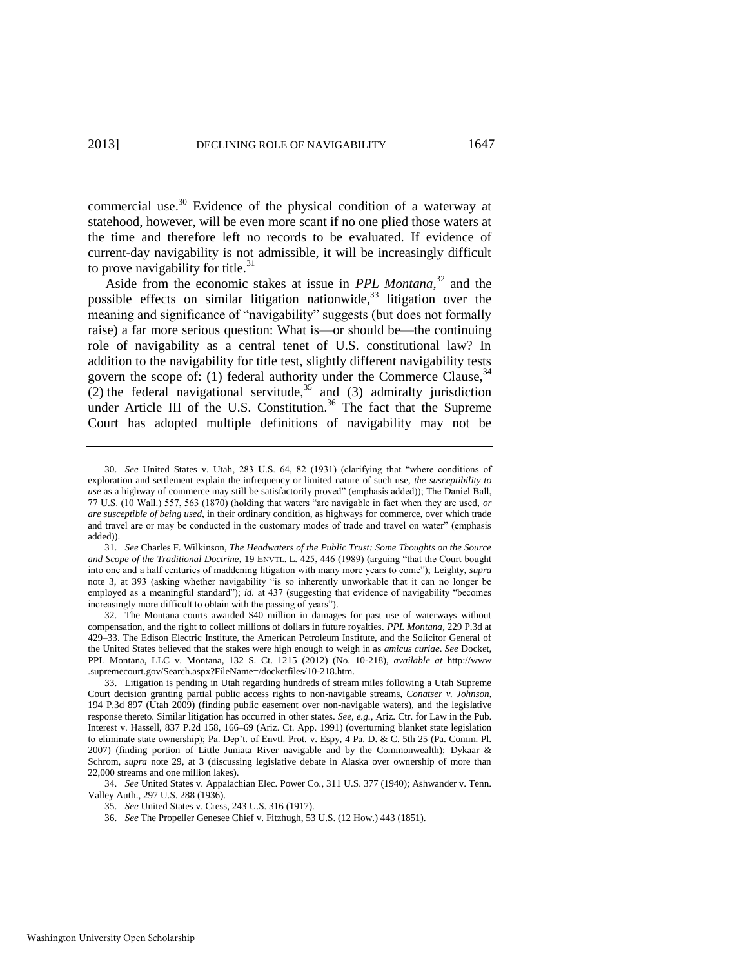commercial use.<sup>30</sup> Evidence of the physical condition of a waterway at statehood, however, will be even more scant if no one plied those waters at the time and therefore left no records to be evaluated. If evidence of current-day navigability is not admissible, it will be increasingly difficult to prove navigability for title. $31$ 

<span id="page-5-2"></span><span id="page-5-0"></span>Aside from the economic stakes at issue in *PPL Montana*<sup>32</sup> and the possible effects on similar litigation nationwide,  $33$  litigation over the meaning and significance of "navigability" suggests (but does not formally raise) a far more serious question: What is—or should be—the continuing role of navigability as a central tenet of U.S. constitutional law? In addition to the navigability for title test, slightly different navigability tests govern the scope of: (1) federal authority under the Commerce Clause,  $34$ (2) the federal navigational servitude,  $35$  and (3) admiralty jurisdiction under Article III of the U.S. Constitution.<sup>36</sup> The fact that the Supreme Court has adopted multiple definitions of navigability may not be

<span id="page-5-1"></span><sup>30.</sup> *See* United States v. Utah, 283 U.S. 64, 82 (1931) (clarifying that "where conditions of exploration and settlement explain the infrequency or limited nature of such use, *the susceptibility to use* as a highway of commerce may still be satisfactorily proved" (emphasis added)); The Daniel Ball, 77 U.S. (10 Wall.) 557, 563 (1870) (holding that waters "are navigable in fact when they are used, *or are susceptible of being used*, in their ordinary condition, as highways for commerce, over which trade and travel are or may be conducted in the customary modes of trade and travel on water" (emphasis added)).

<sup>31.</sup> *See* Charles F. Wilkinson, *The Headwaters of the Public Trust: Some Thoughts on the Source*  and Scope of the Traditional Doctrine, 19 ENVTL. L. 425, 446 (1989) (arguing "that the Court bought into one and a half centuries of maddening litigation with many more years to come‖); Leighty, *supra* note [3,](#page-1-0) at 393 (asking whether navigability "is so inherently unworkable that it can no longer be employed as a meaningful standard"); *id.* at 437 (suggesting that evidence of navigability "becomes" increasingly more difficult to obtain with the passing of years").

<sup>32.</sup> The Montana courts awarded \$40 million in damages for past use of waterways without compensation, and the right to collect millions of dollars in future royalties. *PPL Montana*, 229 P.3d at 429–33. The Edison Electric Institute, the American Petroleum Institute, and the Solicitor General of the United States believed that the stakes were high enough to weigh in as *amicus curiae*. *See* Docket, PPL Montana, LLC v. Montana, 132 S. Ct. 1215 (2012) (No. 10-218), *available at* http://www .supremecourt.gov/Search.aspx?FileName=/docketfiles/10-218.htm.

<sup>33.</sup> Litigation is pending in Utah regarding hundreds of stream miles following a Utah Supreme Court decision granting partial public access rights to non-navigable streams, *Conatser v. Johnson*, 194 P.3d 897 (Utah 2009) (finding public easement over non-navigable waters), and the legislative response thereto. Similar litigation has occurred in other states. *See, e.g.*, Ariz. Ctr. for Law in the Pub. Interest v. Hassell, 837 P.2d 158, 166–69 (Ariz. Ct. App. 1991) (overturning blanket state legislation to eliminate state ownership); Pa. Dep't. of Envtl. Prot*.* v. Espy, 4 Pa. D. & C. 5th 25 (Pa. Comm. Pl. 2007) (finding portion of Little Juniata River navigable and by the Commonwealth); Dykaar & Schrom, *supra* note [29,](#page-4-0) at 3 (discussing legislative debate in Alaska over ownership of more than 22,000 streams and one million lakes).

<sup>34.</sup> *See* United States v. Appalachian Elec. Power Co., 311 U.S. 377 (1940); Ashwander v. Tenn. Valley Auth., 297 U.S. 288 (1936).

<sup>35.</sup> *See* United States v. Cress, 243 U.S. 316 (1917).

<sup>36.</sup> *See* The Propeller Genesee Chief v. Fitzhugh, 53 U.S. (12 How.) 443 (1851).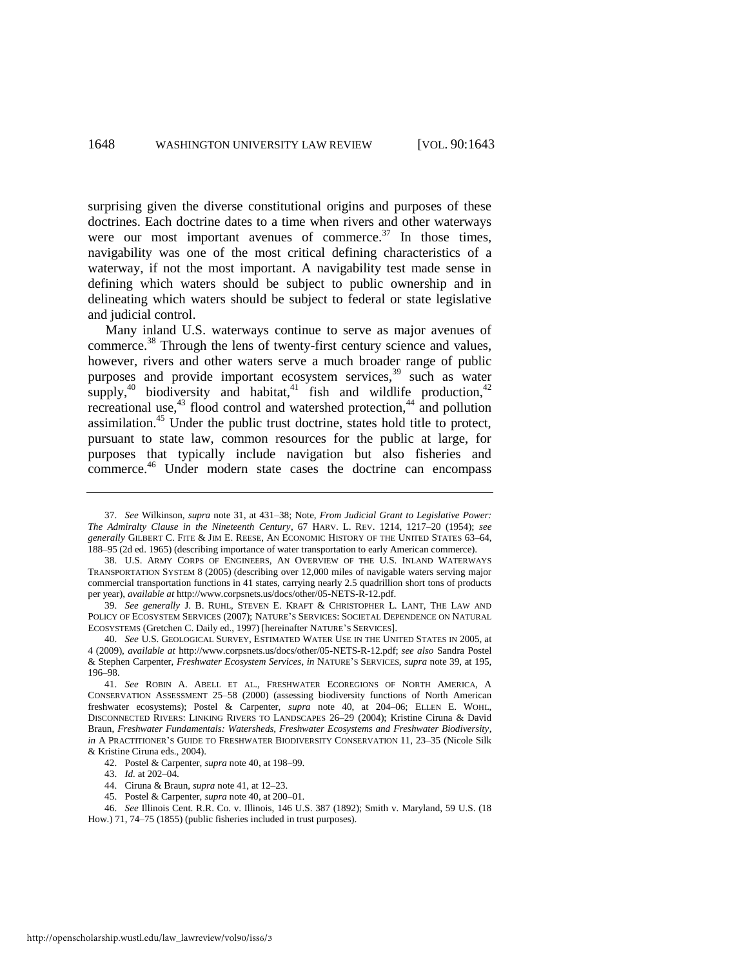<span id="page-6-3"></span>surprising given the diverse constitutional origins and purposes of these doctrines. Each doctrine dates to a time when rivers and other waterways were our most important avenues of commerce. $37$  In those times, navigability was one of the most critical defining characteristics of a waterway, if not the most important. A navigability test made sense in defining which waters should be subject to public ownership and in delineating which waters should be subject to federal or state legislative and judicial control.

<span id="page-6-4"></span><span id="page-6-2"></span><span id="page-6-1"></span><span id="page-6-0"></span>Many inland U.S. waterways continue to serve as major avenues of commerce.<sup>38</sup> Through the lens of twenty-first century science and values, however, rivers and other waters serve a much broader range of public purposes and provide important ecosystem services,<sup>39</sup> such as water supply,<sup>40</sup> biodiversity and habitat,<sup>41</sup> fish and wildlife production,<sup>42</sup> recreational use,<sup>43</sup> flood control and watershed protection,<sup>44</sup> and pollution assimilation.<sup>45</sup> Under the public trust doctrine, states hold title to protect, pursuant to state law, common resources for the public at large, for purposes that typically include navigation but also fisheries and commerce.<sup>46</sup> Under modern state cases the doctrine can encompass

- 44. Ciruna & Braun, *supra* note [41,](#page-6-2) at 12–23.
- 45. Postel & Carpenter, *supra* not[e 40,](#page-6-1) at 200–01.

<sup>37.</sup> *See* Wilkinson, *supra* note [31,](#page-5-2) at 431–38; Note, *From Judicial Grant to Legislative Power: The Admiralty Clause in the Nineteenth Century*, 67 HARV. L. REV. 1214, 1217–20 (1954); *see generally* GILBERT C. FITE & JIM E. REESE, AN ECONOMIC HISTORY OF THE UNITED STATES 63–64, 188–95 (2d ed. 1965) (describing importance of water transportation to early American commerce).

<sup>38.</sup> U.S. ARMY CORPS OF ENGINEERS, AN OVERVIEW OF THE U.S. INLAND WATERWAYS TRANSPORTATION SYSTEM 8 (2005) (describing over 12,000 miles of navigable waters serving major commercial transportation functions in 41 states, carrying nearly 2.5 quadrillion short tons of products per year), *available at* http://www.corpsnets.us/docs/other/05-NETS-R-12.pdf.

<sup>39.</sup> *See generally* J. B. RUHL, STEVEN E. KRAFT & CHRISTOPHER L. LANT, THE LAW AND POLICY OF ECOSYSTEM SERVICES (2007); NATURE'S SERVICES: SOCIETAL DEPENDENCE ON NATURAL ECOSYSTEMS (Gretchen C. Daily ed., 1997) [hereinafter NATURE'S SERVICES].

<sup>40.</sup> *See* U.S. GEOLOGICAL SURVEY, ESTIMATED WATER USE IN THE UNITED STATES IN 2005, at 4 (2009), *available at* http://www.corpsnets.us/docs/other/05-NETS-R-12.pdf; *see also* Sandra Postel & Stephen Carpenter, *Freshwater Ecosystem Services*, *in* NATURE'S SERVICES, *supra* note [39,](#page-6-0) at 195, 196–98.

<sup>41.</sup> *See* ROBIN A. ABELL ET AL., FRESHWATER ECOREGIONS OF NORTH AMERICA, A CONSERVATION ASSESSMENT 25–58 (2000) (assessing biodiversity functions of North American freshwater ecosystems); Postel & Carpenter, *supra* note [40,](#page-6-1) at 204–06; ELLEN E. WOHL, DISCONNECTED RIVERS: LINKING RIVERS TO LANDSCAPES 26–29 (2004); Kristine Ciruna & David Braun, *Freshwater Fundamentals: Watersheds, Freshwater Ecosystems and Freshwater Biodiversity*, *in* A PRACTITIONER'S GUIDE TO FRESHWATER BIODIVERSITY CONSERVATION 11, 23-35 (Nicole Silk & Kristine Ciruna eds., 2004).

<sup>42.</sup> Postel & Carpenter, *supra* not[e 40,](#page-6-1) at 198–99.

<sup>43.</sup> *Id.* at 202–04.

<sup>46.</sup> *See* Illinois Cent. R.R. Co. v. Illinois, 146 U.S. 387 (1892); Smith v. Maryland, 59 U.S. (18 How.) 71, 74–75 (1855) (public fisheries included in trust purposes).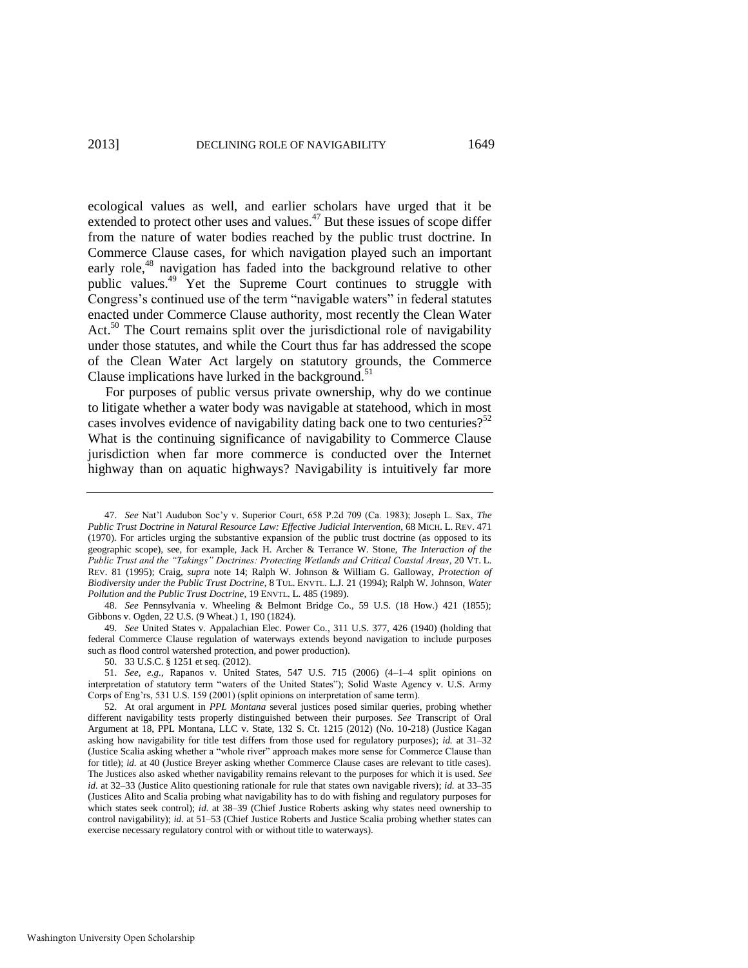<span id="page-7-0"></span>ecological values as well, and earlier scholars have urged that it be extended to protect other uses and values.<sup>47</sup> But these issues of scope differ from the nature of water bodies reached by the public trust doctrine. In Commerce Clause cases, for which navigation played such an important early role,<sup>48</sup> navigation has faded into the background relative to other public values.<sup>49</sup> Yet the Supreme Court continues to struggle with Congress's continued use of the term "navigable waters" in federal statutes enacted under Commerce Clause authority, most recently the Clean Water Act. $50$  The Court remains split over the jurisdictional role of navigability under those statutes, and while the Court thus far has addressed the scope of the Clean Water Act largely on statutory grounds, the Commerce Clause implications have lurked in the background. $51$ 

For purposes of public versus private ownership, why do we continue to litigate whether a water body was navigable at statehood, which in most cases involves evidence of navigability dating back one to two centuries?<sup>52</sup> What is the continuing significance of navigability to Commerce Clause jurisdiction when far more commerce is conducted over the Internet highway than on aquatic highways? Navigability is intuitively far more

49. *See* United States v. Appalachian Elec. Power Co., 311 U.S. 377, 426 (1940) (holding that federal Commerce Clause regulation of waterways extends beyond navigation to include purposes such as flood control watershed protection, and power production).

<sup>47.</sup> *See* Nat'l Audubon Soc'y v. Superior Court, 658 P.2d 709 (Ca. 1983); Joseph L. Sax, *The Public Trust Doctrine in Natural Resource Law: Effective Judicial Intervention*, 68 MICH. L. REV. 471 (1970). For articles urging the substantive expansion of the public trust doctrine (as opposed to its geographic scope), see, for example, Jack H. Archer & Terrance W. Stone, *The Interaction of the Public Trust and the "Takings" Doctrines: Protecting Wetlands and Critical Coastal Areas*, 20 VT. L. REV. 81 (1995); Craig, *supra* note [14;](#page-2-0) Ralph W. Johnson & William G. Galloway, *Protection of Biodiversity under the Public Trust Doctrine*, 8 TUL. ENVTL. L.J. 21 (1994); Ralph W. Johnson, *Water Pollution and the Public Trust Doctrine*, 19 ENVTL. L. 485 (1989).

<sup>48.</sup> *See* Pennsylvania v. Wheeling & Belmont Bridge Co., 59 U.S. (18 How.) 421 (1855); Gibbons v. Ogden, 22 U.S. (9 Wheat.) 1, 190 (1824).

<sup>50. 33</sup> U.S.C. § 1251 et seq. (2012).

<sup>51.</sup> *See, e.g.*, Rapanos v. United States, 547 U.S. 715 (2006) (4–1–4 split opinions on interpretation of statutory term "waters of the United States"); Solid Waste Agency v. U.S. Army Corps of Eng'rs, 531 U.S. 159 (2001) (split opinions on interpretation of same term).

<sup>52.</sup> At oral argument in *PPL Montana* several justices posed similar queries, probing whether different navigability tests properly distinguished between their purposes. *See* Transcript of Oral Argument at 18, PPL Montana, LLC v. State, 132 S. Ct. 1215 (2012) (No. 10-218) (Justice Kagan asking how navigability for title test differs from those used for regulatory purposes); *id.* at 31–32 (Justice Scalia asking whether a "whole river" approach makes more sense for Commerce Clause than for title); *id.* at 40 (Justice Breyer asking whether Commerce Clause cases are relevant to title cases). The Justices also asked whether navigability remains relevant to the purposes for which it is used. *See id.* at 32–33 (Justice Alito questioning rationale for rule that states own navigable rivers); *id.* at 33–35 (Justices Alito and Scalia probing what navigability has to do with fishing and regulatory purposes for which states seek control); *id.* at 38–39 (Chief Justice Roberts asking why states need ownership to control navigability); *id.* at 51–53 (Chief Justice Roberts and Justice Scalia probing whether states can exercise necessary regulatory control with or without title to waterways).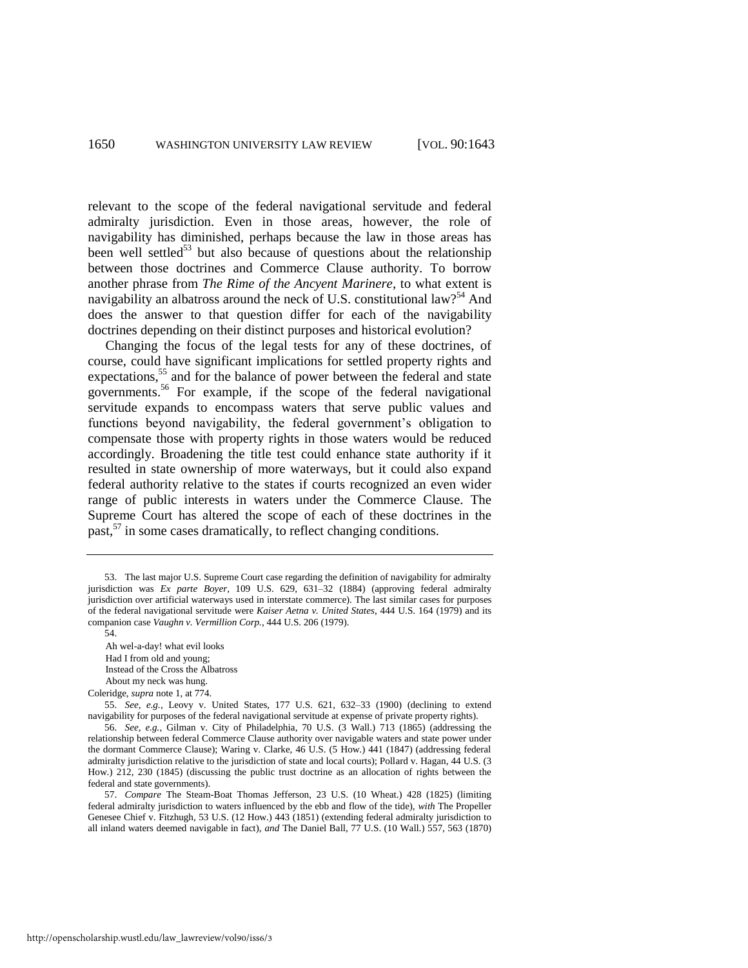relevant to the scope of the federal navigational servitude and federal admiralty jurisdiction. Even in those areas, however, the role of navigability has diminished, perhaps because the law in those areas has been well settled<sup>53</sup> but also because of questions about the relationship between those doctrines and Commerce Clause authority. To borrow another phrase from *The Rime of the Ancyent Marinere*, to what extent is navigability an albatross around the neck of U.S. constitutional law?<sup>54</sup> And does the answer to that question differ for each of the navigability doctrines depending on their distinct purposes and historical evolution?

Changing the focus of the legal tests for any of these doctrines, of course, could have significant implications for settled property rights and expectations,<sup>55</sup> and for the balance of power between the federal and state governments.<sup>56</sup> For example, if the scope of the federal navigational servitude expands to encompass waters that serve public values and functions beyond navigability, the federal government's obligation to compensate those with property rights in those waters would be reduced accordingly. Broadening the title test could enhance state authority if it resulted in state ownership of more waterways, but it could also expand federal authority relative to the states if courts recognized an even wider range of public interests in waters under the Commerce Clause. The Supreme Court has altered the scope of each of these doctrines in the past, $57$  in some cases dramatically, to reflect changing conditions.

- Had I from old and young;
- Instead of the Cross the Albatross

About my neck was hung.

55. *See, e.g.*, Leovy v. United States, 177 U.S. 621, 632–33 (1900) (declining to extend navigability for purposes of the federal navigational servitude at expense of private property rights).

<sup>53.</sup> The last major U.S. Supreme Court case regarding the definition of navigability for admiralty jurisdiction was *Ex parte Boyer*, 109 U.S. 629, 631–32 (1884) (approving federal admiralty jurisdiction over artificial waterways used in interstate commerce). The last similar cases for purposes of the federal navigational servitude were *Kaiser Aetna v. United States*, 444 U.S. 164 (1979) and its companion case *Vaughn v. Vermillion Corp.*, 444 U.S. 206 (1979).

<sup>54.</sup> 

Ah wel-a-day! what evil looks

Coleridge, *supra* not[e 1,](#page-1-1) at 774.

<sup>56.</sup> *See, e.g.*, Gilman v. City of Philadelphia, 70 U.S. (3 Wall.) 713 (1865) (addressing the relationship between federal Commerce Clause authority over navigable waters and state power under the dormant Commerce Clause); Waring v. Clarke, 46 U.S. (5 How.) 441 (1847) (addressing federal admiralty jurisdiction relative to the jurisdiction of state and local courts); Pollard v. Hagan, 44 U.S. (3 How.) 212, 230 (1845) (discussing the public trust doctrine as an allocation of rights between the federal and state governments).

<sup>57.</sup> *Compare* The Steam-Boat Thomas Jefferson, 23 U.S. (10 Wheat.) 428 (1825) (limiting federal admiralty jurisdiction to waters influenced by the ebb and flow of the tide), *with* The Propeller Genesee Chief v. Fitzhugh, 53 U.S. (12 How.) 443 (1851) (extending federal admiralty jurisdiction to all inland waters deemed navigable in fact), *and* The Daniel Ball, 77 U.S. (10 Wall.) 557, 563 (1870)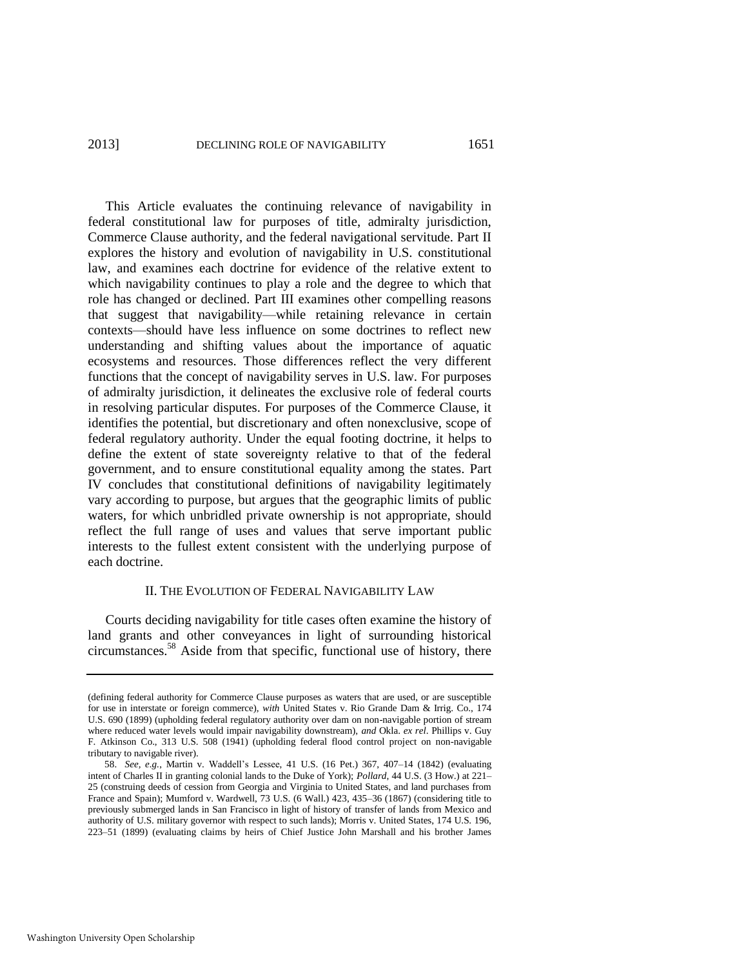This Article evaluates the continuing relevance of navigability in federal constitutional law for purposes of title, admiralty jurisdiction, Commerce Clause authority, and the federal navigational servitude. Part II explores the history and evolution of navigability in U.S. constitutional law, and examines each doctrine for evidence of the relative extent to which navigability continues to play a role and the degree to which that role has changed or declined. Part III examines other compelling reasons that suggest that navigability—while retaining relevance in certain contexts—should have less influence on some doctrines to reflect new understanding and shifting values about the importance of aquatic ecosystems and resources. Those differences reflect the very different functions that the concept of navigability serves in U.S. law. For purposes of admiralty jurisdiction, it delineates the exclusive role of federal courts in resolving particular disputes. For purposes of the Commerce Clause, it identifies the potential, but discretionary and often nonexclusive, scope of federal regulatory authority. Under the equal footing doctrine, it helps to define the extent of state sovereignty relative to that of the federal government, and to ensure constitutional equality among the states. Part IV concludes that constitutional definitions of navigability legitimately vary according to purpose, but argues that the geographic limits of public waters, for which unbridled private ownership is not appropriate, should reflect the full range of uses and values that serve important public interests to the fullest extent consistent with the underlying purpose of each doctrine.

#### II. THE EVOLUTION OF FEDERAL NAVIGABILITY LAW

Courts deciding navigability for title cases often examine the history of land grants and other conveyances in light of surrounding historical circumstances.<sup>58</sup> Aside from that specific, functional use of history, there

<sup>(</sup>defining federal authority for Commerce Clause purposes as waters that are used, or are susceptible for use in interstate or foreign commerce), *with* United States v. Rio Grande Dam & Irrig. Co., 174 U.S. 690 (1899) (upholding federal regulatory authority over dam on non-navigable portion of stream where reduced water levels would impair navigability downstream), *and* Okla. *ex rel*. Phillips v. Guy F. Atkinson Co., 313 U.S. 508 (1941) (upholding federal flood control project on non-navigable tributary to navigable river).

<sup>58.</sup> *See, e.g.*, Martin v. Waddell's Lessee, 41 U.S. (16 Pet.) 367, 407–14 (1842) (evaluating intent of Charles II in granting colonial lands to the Duke of York); *Pollard*, 44 U.S. (3 How.) at 221– 25 (construing deeds of cession from Georgia and Virginia to United States, and land purchases from France and Spain); Mumford v. Wardwell, 73 U.S. (6 Wall.) 423, 435–36 (1867) (considering title to previously submerged lands in San Francisco in light of history of transfer of lands from Mexico and authority of U.S. military governor with respect to such lands); Morris v. United States, 174 U.S. 196, 223–51 (1899) (evaluating claims by heirs of Chief Justice John Marshall and his brother James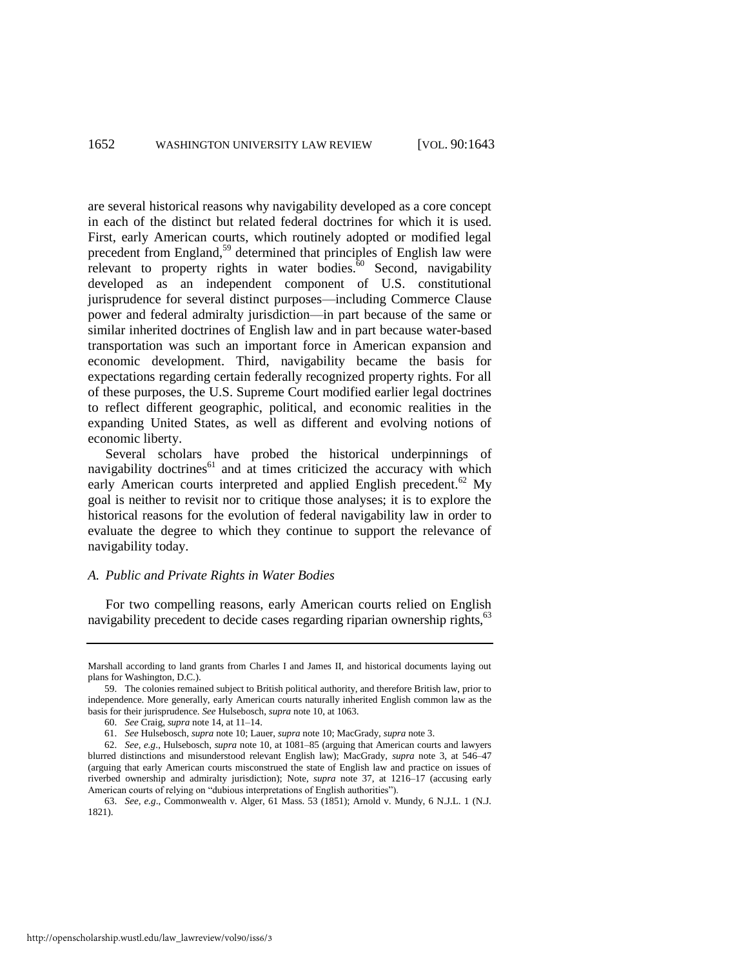are several historical reasons why navigability developed as a core concept in each of the distinct but related federal doctrines for which it is used. First, early American courts, which routinely adopted or modified legal precedent from England,<sup>59</sup> determined that principles of English law were relevant to property rights in water bodies. $\delta$ <sup>60</sup> Second, navigability developed as an independent component of U.S. constitutional jurisprudence for several distinct purposes—including Commerce Clause power and federal admiralty jurisdiction—in part because of the same or similar inherited doctrines of English law and in part because water-based transportation was such an important force in American expansion and economic development. Third, navigability became the basis for expectations regarding certain federally recognized property rights. For all of these purposes, the U.S. Supreme Court modified earlier legal doctrines to reflect different geographic, political, and economic realities in the expanding United States, as well as different and evolving notions of economic liberty.

Several scholars have probed the historical underpinnings of navigability doctrines $^{61}$  and at times criticized the accuracy with which early American courts interpreted and applied English precedent.<sup>62</sup> My goal is neither to revisit nor to critique those analyses; it is to explore the historical reasons for the evolution of federal navigability law in order to evaluate the degree to which they continue to support the relevance of navigability today.

#### *A. Public and Private Rights in Water Bodies*

For two compelling reasons, early American courts relied on English navigability precedent to decide cases regarding riparian ownership rights,<sup>63</sup>

Marshall according to land grants from Charles I and James II, and historical documents laying out plans for Washington, D.C.).

<sup>59.</sup> The colonies remained subject to British political authority, and therefore British law, prior to independence. More generally, early American courts naturally inherited English common law as the basis for their jurisprudence. *See* Hulsebosch, *supra* not[e 10,](#page-2-1) at 1063.

<sup>60.</sup> *See* Craig, *supra* not[e 14,](#page-2-0) at 11–14.

<sup>61.</sup> *See* Hulsebosch, *supra* not[e 10;](#page-2-1) Lauer, *supra* not[e 10;](#page-2-1) MacGrady, *supra* not[e 3.](#page-1-0)

<sup>62.</sup> *See, e.g*., Hulsebosch, *supra* not[e 10,](#page-2-1) at 1081–85 (arguing that American courts and lawyers blurred distinctions and misunderstood relevant English law); MacGrady, *supra* note [3,](#page-1-0) at 546–47 (arguing that early American courts misconstrued the state of English law and practice on issues of riverbed ownership and admiralty jurisdiction); Note, *supra* note [37,](#page-6-3) at 1216–17 (accusing early American courts of relying on "dubious interpretations of English authorities").

<sup>63.</sup> *See, e.g*., Commonwealth v. Alger, 61 Mass. 53 (1851); Arnold v. Mundy, 6 N.J.L. 1 (N.J. 1821).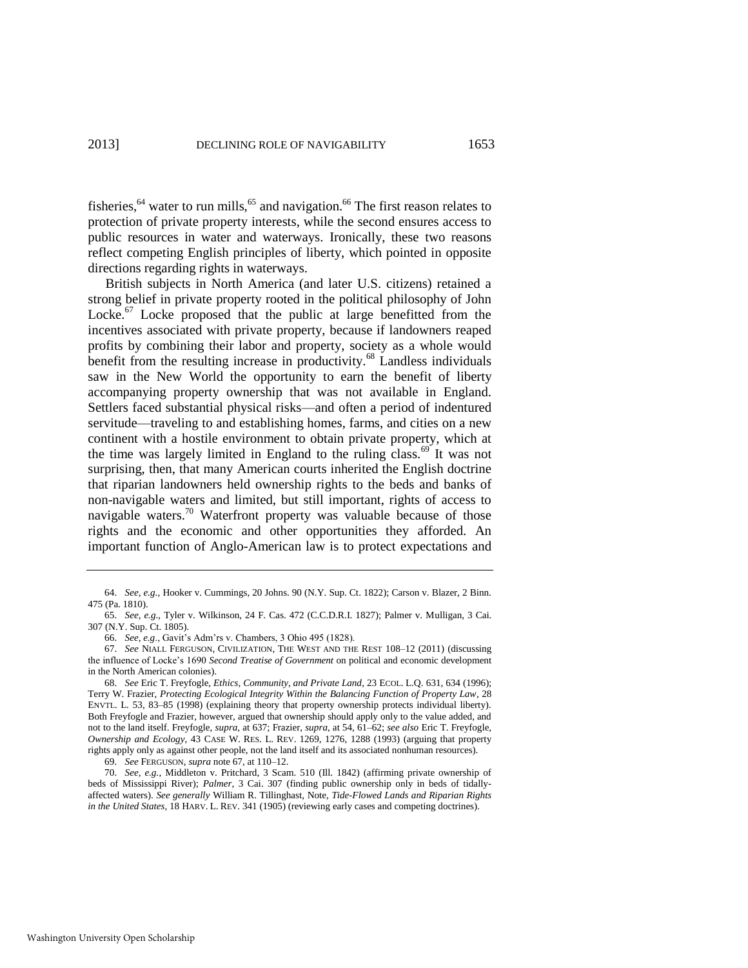fisheries, $64$  water to run mills, $65$  and navigation. $66$  The first reason relates to protection of private property interests, while the second ensures access to public resources in water and waterways. Ironically, these two reasons reflect competing English principles of liberty, which pointed in opposite directions regarding rights in waterways.

<span id="page-11-1"></span><span id="page-11-0"></span>British subjects in North America (and later U.S. citizens) retained a strong belief in private property rooted in the political philosophy of John Locke. $67$  Locke proposed that the public at large benefitted from the incentives associated with private property, because if landowners reaped profits by combining their labor and property, society as a whole would benefit from the resulting increase in productivity.<sup>68</sup> Landless individuals saw in the New World the opportunity to earn the benefit of liberty accompanying property ownership that was not available in England. Settlers faced substantial physical risks—and often a period of indentured servitude—traveling to and establishing homes, farms, and cities on a new continent with a hostile environment to obtain private property, which at the time was largely limited in England to the ruling class. $69$  It was not surprising, then, that many American courts inherited the English doctrine that riparian landowners held ownership rights to the beds and banks of non-navigable waters and limited, but still important, rights of access to navigable waters.<sup>70</sup> Waterfront property was valuable because of those rights and the economic and other opportunities they afforded. An important function of Anglo-American law is to protect expectations and

69. *See* FERGUSON, *supra* not[e 67,](#page-11-0) at 110–12.

<span id="page-11-2"></span><sup>64.</sup> *See, e.g*., Hooker v. Cummings, 20 Johns. 90 (N.Y. Sup. Ct. 1822); Carson v. Blazer, 2 Binn. 475 (Pa. 1810).

<sup>65.</sup> *See, e.g*., Tyler v. Wilkinson, 24 F. Cas. 472 (C.C.D.R.I. 1827); Palmer v. Mulligan, 3 Cai. 307 (N.Y. Sup. Ct. 1805).

<sup>66.</sup> *See, e.g*., Gavit's Adm'rs v. Chambers, 3 Ohio 495 (1828).

<sup>67.</sup> *See* NIALL FERGUSON, CIVILIZATION, THE WEST AND THE REST 108–12 (2011) (discussing the influence of Locke's 1690 *Second Treatise of Government* on political and economic development in the North American colonies).

<sup>68.</sup> *See* Eric T. Freyfogle, *Ethics, Community, and Private Land*, 23 ECOL. L.Q. 631, 634 (1996); Terry W. Frazier, *Protecting Ecological Integrity Within the Balancing Function of Property Law*, 28 ENVTL. L. 53, 83–85 (1998) (explaining theory that property ownership protects individual liberty). Both Freyfogle and Frazier, however, argued that ownership should apply only to the value added, and not to the land itself. Freyfogle, *supra*, at 637; Frazier, *supra*, at 54, 61–62; *see also* Eric T. Freyfogle, *Ownership and Ecology*, 43 CASE W. RES. L. REV. 1269, 1276, 1288 (1993) (arguing that property rights apply only as against other people, not the land itself and its associated nonhuman resources).

<sup>70.</sup> *See, e.g.*, Middleton v. Pritchard, 3 Scam. 510 (Ill. 1842) (affirming private ownership of beds of Mississippi River); *Palmer*, 3 Cai. 307 (finding public ownership only in beds of tidallyaffected waters). *See generally* William R. Tillinghast, Note, *Tide-Flowed Lands and Riparian Rights in the United States*, 18 HARV. L. REV. 341 (1905) (reviewing early cases and competing doctrines).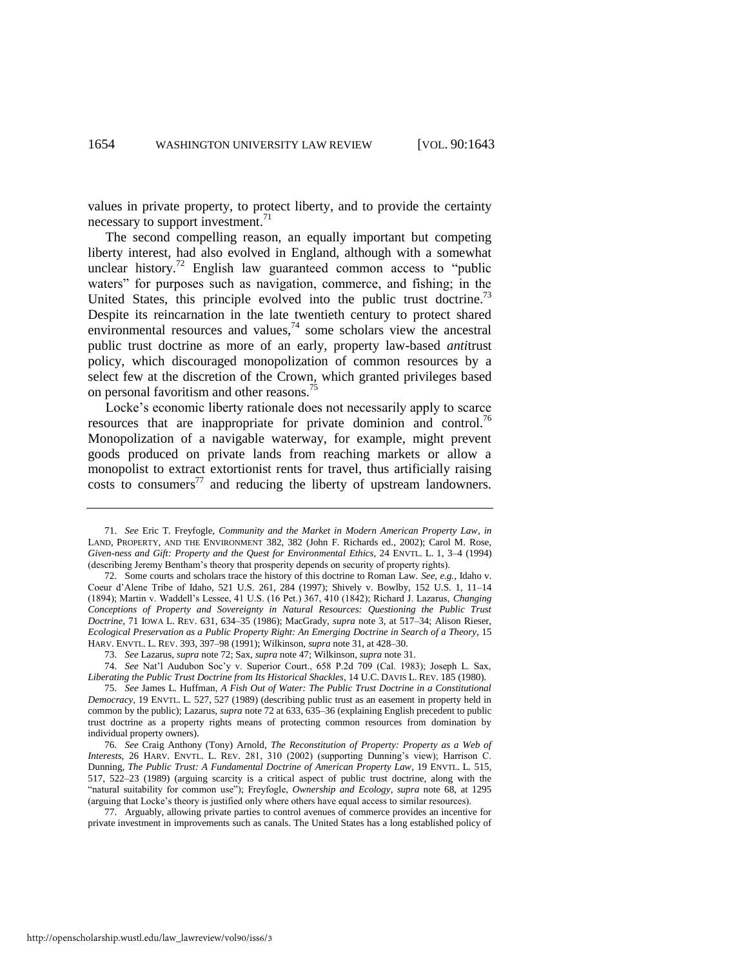<span id="page-12-2"></span>values in private property, to protect liberty, and to provide the certainty necessary to support investment.<sup>71</sup>

<span id="page-12-0"></span>The second compelling reason, an equally important but competing liberty interest, had also evolved in England, although with a somewhat unclear history.<sup>72</sup> English law guaranteed common access to "public" waters" for purposes such as navigation, commerce, and fishing; in the United States, this principle evolved into the public trust doctrine.<sup>73</sup> Despite its reincarnation in the late twentieth century to protect shared environmental resources and values,  $\frac{1}{4}$  some scholars view the ancestral public trust doctrine as more of an early, property law-based *anti*trust policy, which discouraged monopolization of common resources by a select few at the discretion of the Crown, which granted privileges based on personal favoritism and other reasons.<sup>75</sup>

Locke's economic liberty rationale does not necessarily apply to scarce resources that are inappropriate for private dominion and control.<sup>76</sup> Monopolization of a navigable waterway, for example, might prevent goods produced on private lands from reaching markets or allow a monopolist to extract extortionist rents for travel, thus artificially raising costs to consumers<sup>77</sup> and reducing the liberty of upstream landowners.

74. *See* Nat'l Audubon Soc'y v. Superior Court., 658 P.2d 709 (Cal. 1983); Joseph L. Sax, *Liberating the Public Trust Doctrine from Its Historical Shackles*, 14 U.C. DAVIS L. REV. 185 (1980).

77. Arguably, allowing private parties to control avenues of commerce provides an incentive for private investment in improvements such as canals. The United States has a long established policy of

<span id="page-12-1"></span><sup>71.</sup> *See* Eric T. Freyfogle, *Community and the Market in Modern American Property Law*, *in* LAND, PROPERTY, AND THE ENVIRONMENT 382, 382 (John F. Richards ed., 2002); Carol M. Rose, *Given-ness and Gift: Property and the Quest for Environmental Ethics*, 24 ENVTL. L. 1, 3–4 (1994) (describing Jeremy Bentham's theory that prosperity depends on security of property rights).

<sup>72.</sup> Some courts and scholars trace the history of this doctrine to Roman Law. *See, e.g.*, Idaho v. Coeur d'Alene Tribe of Idaho, 521 U.S. 261, 284 (1997); Shively v. Bowlby, 152 U.S. 1, 11–14 (1894); Martin v. Waddell's Lessee, 41 U.S. (16 Pet.) 367, 410 (1842); Richard J. Lazarus, *Changing Conceptions of Property and Sovereignty in Natural Resources: Questioning the Public Trust Doctrine*, 71 IOWA L. REV. 631, 634–35 (1986); MacGrady, *supra* note [3,](#page-1-0) at 517–34; Alison Rieser, *Ecological Preservation as a Public Property Right: An Emerging Doctrine in Search of a Theory*, 15 HARV. ENVTL. L. REV. 393, 397–98 (1991); Wilkinson, *supra* not[e 31,](#page-5-2) at 428–30.

<sup>73.</sup> *See* Lazarus, *supra* not[e 72;](#page-12-0) Sax, *supra* not[e 47;](#page-7-0) Wilkinson, *supra* not[e 31.](#page-5-2) 

<sup>75.</sup> *See* James L. Huffman, *A Fish Out of Water: The Public Trust Doctrine in a Constitutional Democracy*, 19 ENVTL. L. 527, 527 (1989) (describing public trust as an easement in property held in common by the public); Lazarus, *supra* not[e 72](#page-12-0) at 633, 635–36 (explaining English precedent to public trust doctrine as a property rights means of protecting common resources from domination by individual property owners).

<sup>76.</sup> *See* Craig Anthony (Tony) Arnold, *The Reconstitution of Property: Property as a Web of Interests*, 26 HARV. ENVTL. L. REV. 281, 310 (2002) (supporting Dunning's view); Harrison C. Dunning, *The Public Trust: A Fundamental Doctrine of American Property Law*, 19 ENVTL. L. 515, 517, 522–23 (1989) (arguing scarcity is a critical aspect of public trust doctrine, along with the ―natural suitability for common use‖); Freyfogle, *Ownership and Ecology*, *supra* note [68,](#page-11-1) at 1295 (arguing that Locke's theory is justified only where others have equal access to similar resources).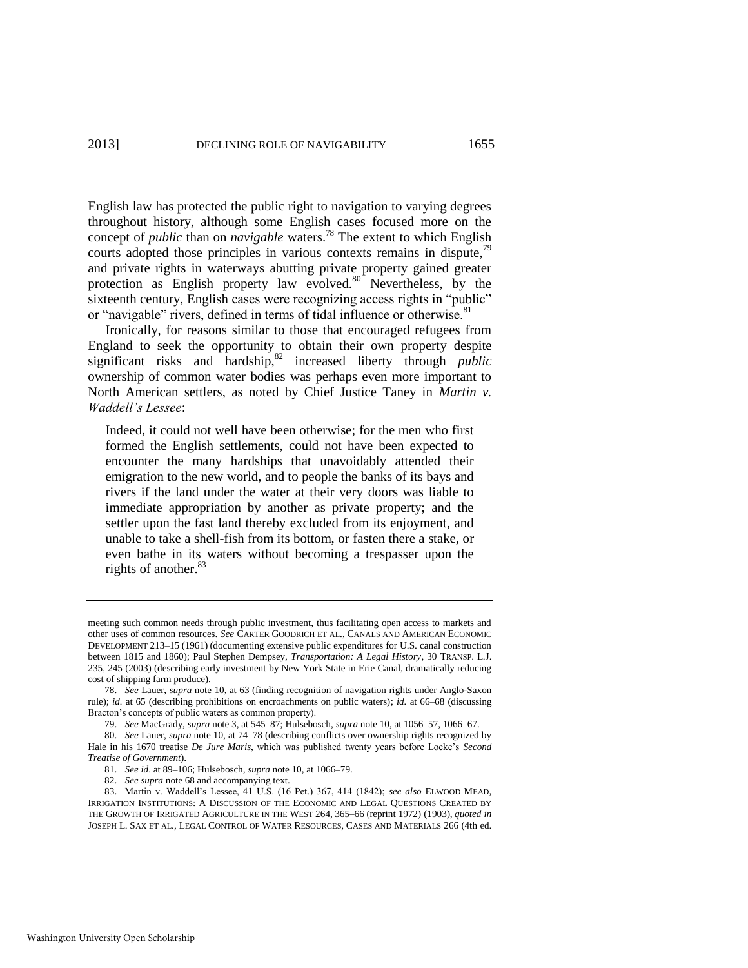English law has protected the public right to navigation to varying degrees throughout history, although some English cases focused more on the concept of *public* than on *navigable* waters.<sup>78</sup> The extent to which English courts adopted those principles in various contexts remains in dispute,<sup>79</sup> and private rights in waterways abutting private property gained greater protection as English property law evolved.<sup>80</sup> Nevertheless, by the sixteenth century, English cases were recognizing access rights in "public" or "navigable" rivers, defined in terms of tidal influence or otherwise.<sup>81</sup>

Ironically, for reasons similar to those that encouraged refugees from England to seek the opportunity to obtain their own property despite significant risks and hardship,<sup>82</sup> increased liberty through *public* ownership of common water bodies was perhaps even more important to North American settlers, as noted by Chief Justice Taney in *Martin v. Waddell's Lessee*:

Indeed, it could not well have been otherwise; for the men who first formed the English settlements, could not have been expected to encounter the many hardships that unavoidably attended their emigration to the new world, and to people the banks of its bays and rivers if the land under the water at their very doors was liable to immediate appropriation by another as private property; and the settler upon the fast land thereby excluded from its enjoyment, and unable to take a shell-fish from its bottom, or fasten there a stake, or even bathe in its waters without becoming a trespasser upon the rights of another.<sup>83</sup>

82. *See supra* not[e 68 a](#page-11-1)nd accompanying text.

meeting such common needs through public investment, thus facilitating open access to markets and other uses of common resources. *See* CARTER GOODRICH ET AL., CANALS AND AMERICAN ECONOMIC DEVELOPMENT 213–15 (1961) (documenting extensive public expenditures for U.S. canal construction between 1815 and 1860); Paul Stephen Dempsey, *Transportation: A Legal History*, 30 TRANSP. L.J. 235, 245 (2003) (describing early investment by New York State in Erie Canal, dramatically reducing cost of shipping farm produce).

<sup>78.</sup> *See* Lauer, *supra* not[e 10,](#page-2-1) at 63 (finding recognition of navigation rights under Anglo-Saxon rule); *id.* at 65 (describing prohibitions on encroachments on public waters); *id.* at 66–68 (discussing Bracton's concepts of public waters as common property).

<sup>79.</sup> *See* MacGrady, *supra* not[e 3,](#page-1-0) at 545–87; Hulsebosch, *supra* not[e 10,](#page-2-1) at 1056–57, 1066–67.

<sup>80.</sup> *See* Lauer, *supra* not[e 10,](#page-2-1) at 74–78 (describing conflicts over ownership rights recognized by Hale in his 1670 treatise *De Jure Maris*, which was published twenty years before Locke's *Second Treatise of Government*).

<sup>81.</sup> *See id*. at 89–106; Hulsebosch, *supra* not[e 10,](#page-2-1) at 1066–79.

<sup>83.</sup> Martin v. Waddell's Lessee, 41 U.S. (16 Pet.) 367, 414 (1842); *see also* ELWOOD MEAD, IRRIGATION INSTITUTIONS: A DISCUSSION OF THE ECONOMIC AND LEGAL QUESTIONS CREATED BY THE GROWTH OF IRRIGATED AGRICULTURE IN THE WEST 264, 365–66 (reprint 1972) (1903), *quoted in* JOSEPH L. SAX ET AL., LEGAL CONTROL OF WATER RESOURCES, CASES AND MATERIALS 266 (4th ed.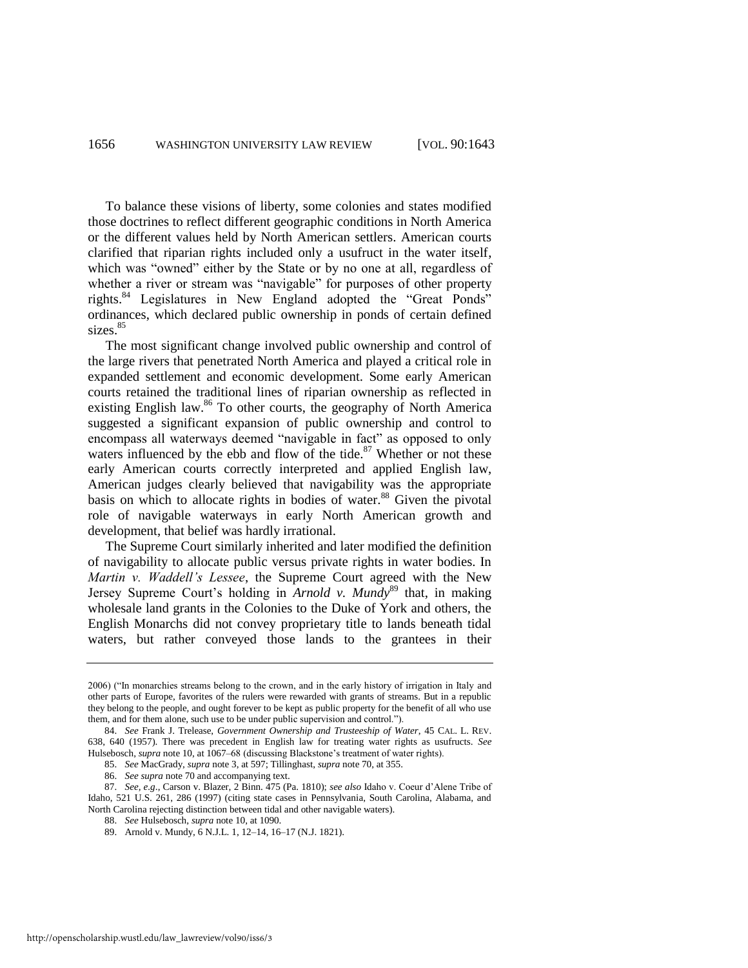To balance these visions of liberty, some colonies and states modified those doctrines to reflect different geographic conditions in North America or the different values held by North American settlers. American courts clarified that riparian rights included only a usufruct in the water itself, which was "owned" either by the State or by no one at all, regardless of whether a river or stream was "navigable" for purposes of other property rights. $84$  Legislatures in New England adopted the "Great Ponds" ordinances, which declared public ownership in ponds of certain defined sizes.<sup>85</sup>

<span id="page-14-0"></span>The most significant change involved public ownership and control of the large rivers that penetrated North America and played a critical role in expanded settlement and economic development. Some early American courts retained the traditional lines of riparian ownership as reflected in existing English law. $86$  To other courts, the geography of North America suggested a significant expansion of public ownership and control to encompass all waterways deemed "navigable in fact" as opposed to only waters influenced by the ebb and flow of the tide. $87$  Whether or not these early American courts correctly interpreted and applied English law, American judges clearly believed that navigability was the appropriate basis on which to allocate rights in bodies of water.<sup>88</sup> Given the pivotal role of navigable waterways in early North American growth and development, that belief was hardly irrational.

The Supreme Court similarly inherited and later modified the definition of navigability to allocate public versus private rights in water bodies. In *Martin v. Waddell's Lessee*, the Supreme Court agreed with the New Jersey Supreme Court's holding in *Arnold v. Mundy*<sup>89</sup> that, in making wholesale land grants in the Colonies to the Duke of York and others, the English Monarchs did not convey proprietary title to lands beneath tidal waters, but rather conveyed those lands to the grantees in their

88. *See* Hulsebosch, *supra* not[e 10,](#page-2-1) at 1090.

<sup>2006) (&</sup>quot;In monarchies streams belong to the crown, and in the early history of irrigation in Italy and other parts of Europe, favorites of the rulers were rewarded with grants of streams. But in a republic they belong to the people, and ought forever to be kept as public property for the benefit of all who use them, and for them alone, such use to be under public supervision and control.").

<sup>84.</sup> *See* Frank J. Trelease, *Government Ownership and Trusteeship of Water*, 45 CAL. L. REV. 638, 640 (1957). There was precedent in English law for treating water rights as usufructs. *See* Hulsebosch, *supra* not[e 10,](#page-2-1) at 1067–68 (discussing Blackstone's treatment of water rights).

<sup>85.</sup> *See* MacGrady, *supra* not[e 3,](#page-1-0) at 597; Tillinghast, *supra* not[e 70,](#page-11-2) at 355.

<sup>86.</sup> *See supra* not[e 70 a](#page-11-2)nd accompanying text.

<sup>87.</sup> *See, e.g*., Carson v. Blazer, 2 Binn. 475 (Pa. 1810); *see also* Idaho v. Coeur d'Alene Tribe of Idaho, 521 U.S. 261, 286 (1997) (citing state cases in Pennsylvania, South Carolina, Alabama, and North Carolina rejecting distinction between tidal and other navigable waters).

<sup>89.</sup> Arnold v. Mundy, 6 N.J.L. 1, 12–14, 16–17 (N.J. 1821).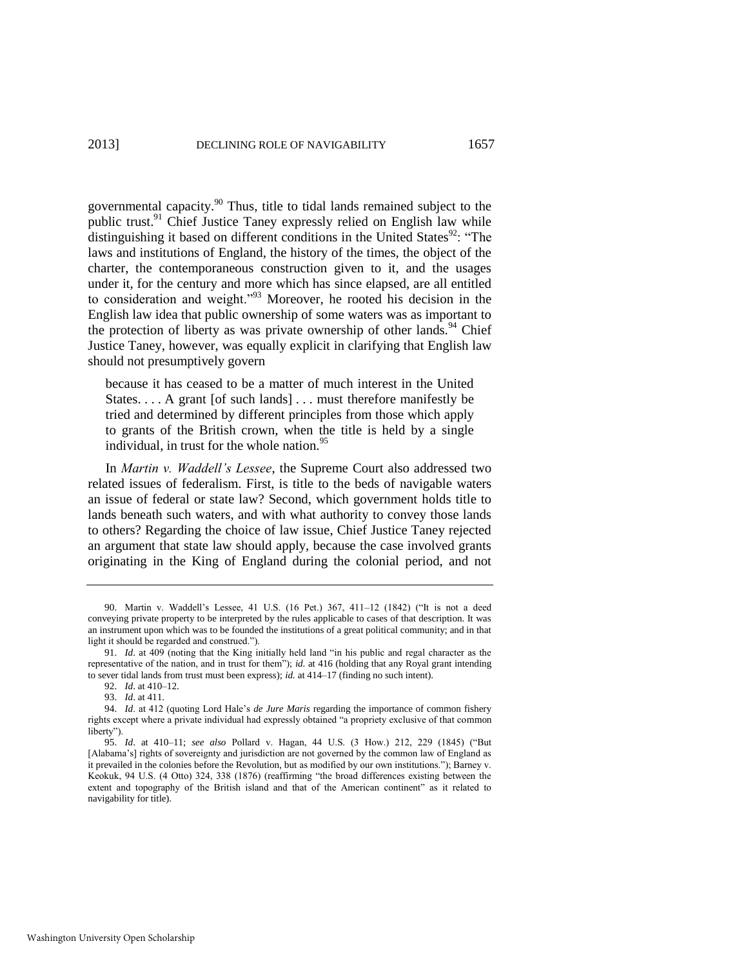governmental capacity.<sup>90</sup> Thus, title to tidal lands remained subject to the public trust.<sup>91</sup> Chief Justice Taney expressly relied on English law while distinguishing it based on different conditions in the United States<sup>92</sup>: "The laws and institutions of England, the history of the times, the object of the charter, the contemporaneous construction given to it, and the usages under it, for the century and more which has since elapsed, are all entitled to consideration and weight.<sup>933</sup> Moreover, he rooted his decision in the English law idea that public ownership of some waters was as important to the protection of liberty as was private ownership of other lands.<sup>94</sup> Chief Justice Taney, however, was equally explicit in clarifying that English law should not presumptively govern

because it has ceased to be a matter of much interest in the United States. . . . A grant [of such lands] . . . must therefore manifestly be tried and determined by different principles from those which apply to grants of the British crown, when the title is held by a single individual, in trust for the whole nation.<sup>95</sup>

In *Martin v. Waddell's Lessee*, the Supreme Court also addressed two related issues of federalism. First, is title to the beds of navigable waters an issue of federal or state law? Second, which government holds title to lands beneath such waters, and with what authority to convey those lands to others? Regarding the choice of law issue, Chief Justice Taney rejected an argument that state law should apply, because the case involved grants originating in the King of England during the colonial period, and not

<sup>90.</sup> Martin v. Waddell's Lessee, 41 U.S. (16 Pet.) 367, 411-12 (1842) ("It is not a deed conveying private property to be interpreted by the rules applicable to cases of that description. It was an instrument upon which was to be founded the institutions of a great political community; and in that light it should be regarded and construed.").

<sup>91.</sup> *Id.* at 409 (noting that the King initially held land "in his public and regal character as the representative of the nation, and in trust for them<sup>"</sup>); *id.* at 416 (holding that any Royal grant intending to sever tidal lands from trust must been express); *id.* at 414–17 (finding no such intent).

<sup>92.</sup> *Id*. at 410–12.

<sup>93.</sup> *Id*. at 411.

<sup>94.</sup> *Id*. at 412 (quoting Lord Hale's *de Jure Maris* regarding the importance of common fishery rights except where a private individual had expressly obtained "a propriety exclusive of that common liberty").

<sup>95.</sup> *Id.* at 410-11; see also Pollard v. Hagan, 44 U.S. (3 How.) 212, 229 (1845) ("But [Alabama's] rights of sovereignty and jurisdiction are not governed by the common law of England as it prevailed in the colonies before the Revolution, but as modified by our own institutions."); Barney v. Keokuk, 94 U.S. (4 Otto) 324, 338 (1876) (reaffirming "the broad differences existing between the extent and topography of the British island and that of the American continent" as it related to navigability for title).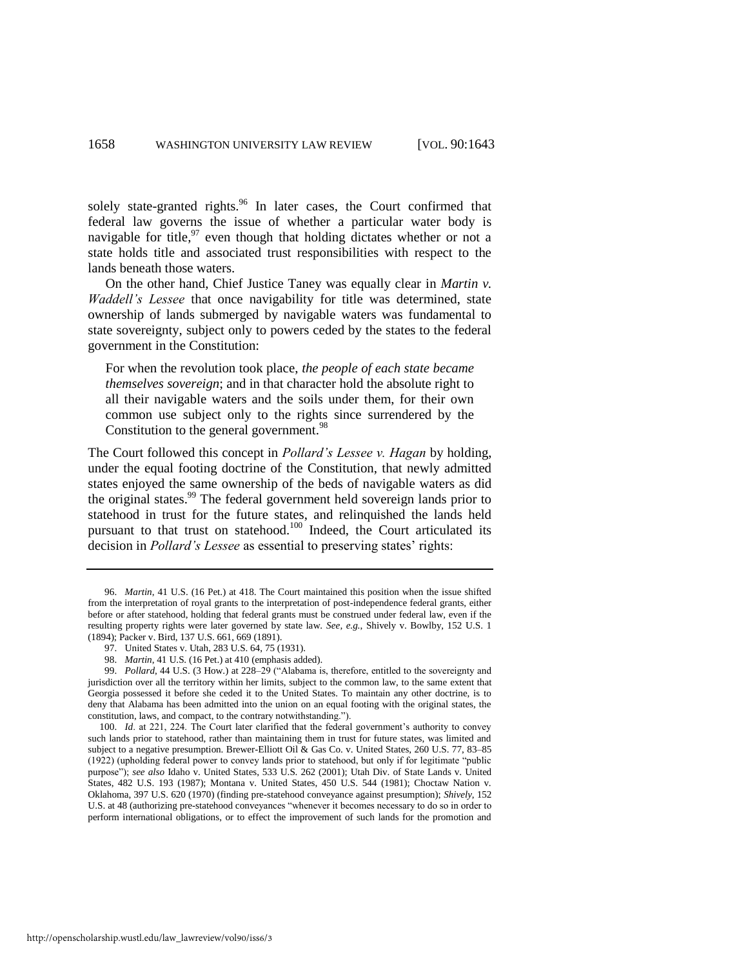<span id="page-16-0"></span>solely state-granted rights.<sup>96</sup> In later cases, the Court confirmed that federal law governs the issue of whether a particular water body is navigable for title,  $97$  even though that holding dictates whether or not a state holds title and associated trust responsibilities with respect to the lands beneath those waters.

On the other hand, Chief Justice Taney was equally clear in *Martin v. Waddell's Lessee* that once navigability for title was determined, state ownership of lands submerged by navigable waters was fundamental to state sovereignty, subject only to powers ceded by the states to the federal government in the Constitution:

For when the revolution took place, *the people of each state became themselves sovereign*; and in that character hold the absolute right to all their navigable waters and the soils under them, for their own common use subject only to the rights since surrendered by the Constitution to the general government.<sup>98</sup>

<span id="page-16-1"></span>The Court followed this concept in *Pollard's Lessee v. Hagan* by holding, under the equal footing doctrine of the Constitution, that newly admitted states enjoyed the same ownership of the beds of navigable waters as did the original states.<sup>99</sup> The federal government held sovereign lands prior to statehood in trust for the future states, and relinquished the lands held pursuant to that trust on statehood.<sup>100</sup> Indeed, the Court articulated its decision in *Pollard's Lessee* as essential to preserving states' rights:

99. *Pollard*, 44 U.S. (3 How.) at 228–29 ("Alabama is, therefore, entitled to the sovereignty and jurisdiction over all the territory within her limits, subject to the common law, to the same extent that Georgia possessed it before she ceded it to the United States. To maintain any other doctrine, is to deny that Alabama has been admitted into the union on an equal footing with the original states, the constitution, laws, and compact, to the contrary notwithstanding.").

100. *Id*. at 221, 224. The Court later clarified that the federal government's authority to convey such lands prior to statehood, rather than maintaining them in trust for future states, was limited and subject to a negative presumption. Brewer-Elliott Oil & Gas Co. v. United States, 260 U.S. 77, 83–85 (1922) (upholding federal power to convey lands prior to statehood, but only if for legitimate "public" purpose"); see also Idaho v. United States, 533 U.S. 262 (2001); Utah Div. of State Lands v. United States, 482 U.S. 193 (1987); Montana v. United States, 450 U.S. 544 (1981); Choctaw Nation v. Oklahoma, 397 U.S. 620 (1970) (finding pre-statehood conveyance against presumption); *Shively*, 152 U.S. at 48 (authorizing pre-statehood conveyances "whenever it becomes necessary to do so in order to perform international obligations, or to effect the improvement of such lands for the promotion and

<span id="page-16-2"></span><sup>96.</sup> *Martin*, 41 U.S. (16 Pet.) at 418. The Court maintained this position when the issue shifted from the interpretation of royal grants to the interpretation of post-independence federal grants, either before or after statehood, holding that federal grants must be construed under federal law, even if the resulting property rights were later governed by state law. *See, e.g.*, Shively v. Bowlby, 152 U.S. 1 (1894); Packer v. Bird, 137 U.S. 661, 669 (1891).

<sup>97.</sup> United States v. Utah, 283 U.S. 64, 75 (1931).

<sup>98.</sup> *Martin*, 41 U.S. (16 Pet.) at 410 (emphasis added).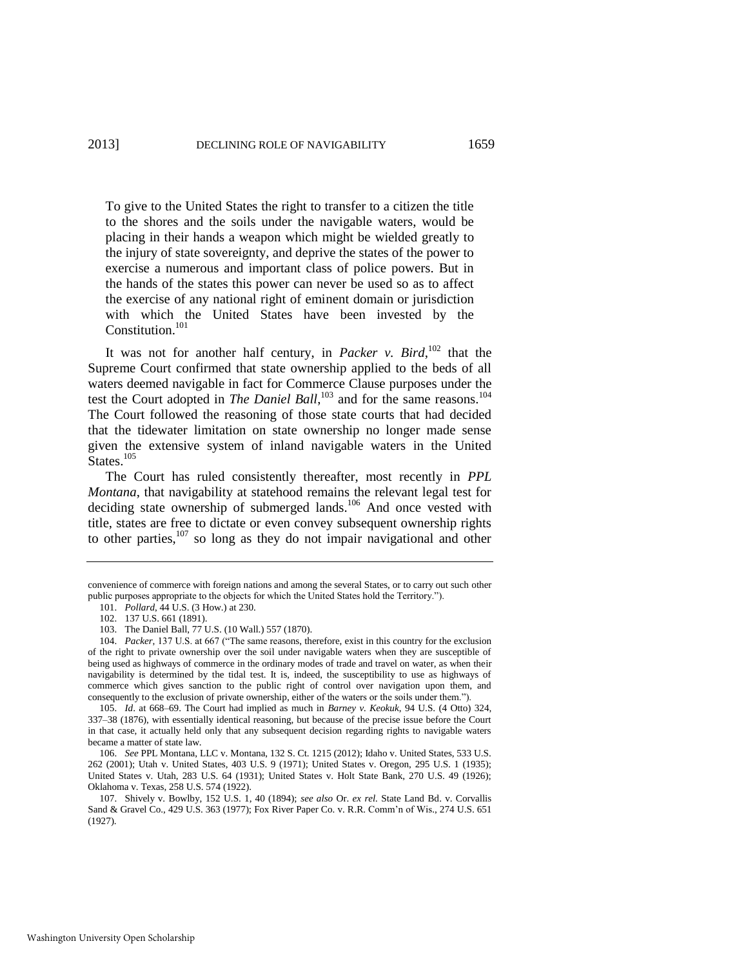To give to the United States the right to transfer to a citizen the title to the shores and the soils under the navigable waters, would be placing in their hands a weapon which might be wielded greatly to the injury of state sovereignty, and deprive the states of the power to exercise a numerous and important class of police powers. But in the hands of the states this power can never be used so as to affect the exercise of any national right of eminent domain or jurisdiction with which the United States have been invested by the Constitution.<sup>101</sup>

It was not for another half century, in *Packer v. Bird*, <sup>102</sup> that the Supreme Court confirmed that state ownership applied to the beds of all waters deemed navigable in fact for Commerce Clause purposes under the test the Court adopted in *The Daniel Ball*,<sup>103</sup> and for the same reasons.<sup>104</sup> The Court followed the reasoning of those state courts that had decided that the tidewater limitation on state ownership no longer made sense given the extensive system of inland navigable waters in the United States.<sup>105</sup>

The Court has ruled consistently thereafter, most recently in *PPL Montana*, that navigability at statehood remains the relevant legal test for deciding state ownership of submerged lands.<sup>106</sup> And once vested with title, states are free to dictate or even convey subsequent ownership rights to other parties, $107$  so long as they do not impair navigational and other

convenience of commerce with foreign nations and among the several States, or to carry out such other public purposes appropriate to the objects for which the United States hold the Territory.").

<sup>101.</sup> *Pollard*, 44 U.S. (3 How.) at 230.

<sup>102. 137</sup> U.S. 661 (1891).

<sup>103.</sup> The Daniel Ball, 77 U.S. (10 Wall.) 557 (1870).

<sup>104.</sup> *Packer*, 137 U.S. at 667 ("The same reasons, therefore, exist in this country for the exclusion of the right to private ownership over the soil under navigable waters when they are susceptible of being used as highways of commerce in the ordinary modes of trade and travel on water, as when their navigability is determined by the tidal test. It is, indeed, the susceptibility to use as highways of commerce which gives sanction to the public right of control over navigation upon them, and consequently to the exclusion of private ownership, either of the waters or the soils under them.").

<sup>105.</sup> *Id*. at 668–69. The Court had implied as much in *Barney v. Keokuk*, 94 U.S. (4 Otto) 324, 337–38 (1876), with essentially identical reasoning, but because of the precise issue before the Court in that case, it actually held only that any subsequent decision regarding rights to navigable waters became a matter of state law.

<sup>106.</sup> *See* PPL Montana, LLC v. Montana, 132 S. Ct. 1215 (2012); Idaho v. United States, 533 U.S. 262 (2001); Utah v. United States, 403 U.S. 9 (1971); United States v. Oregon, 295 U.S. 1 (1935); United States v. Utah, 283 U.S. 64 (1931); United States v. Holt State Bank, 270 U.S. 49 (1926); Oklahoma v. Texas, 258 U.S. 574 (1922).

<sup>107.</sup> Shively v. Bowlby, 152 U.S. 1, 40 (1894); *see also* Or. *ex rel.* State Land Bd. v. Corvallis Sand & Gravel Co., 429 U.S. 363 (1977); Fox River Paper Co. v. R.R. Comm'n of Wis., 274 U.S. 651 (1927).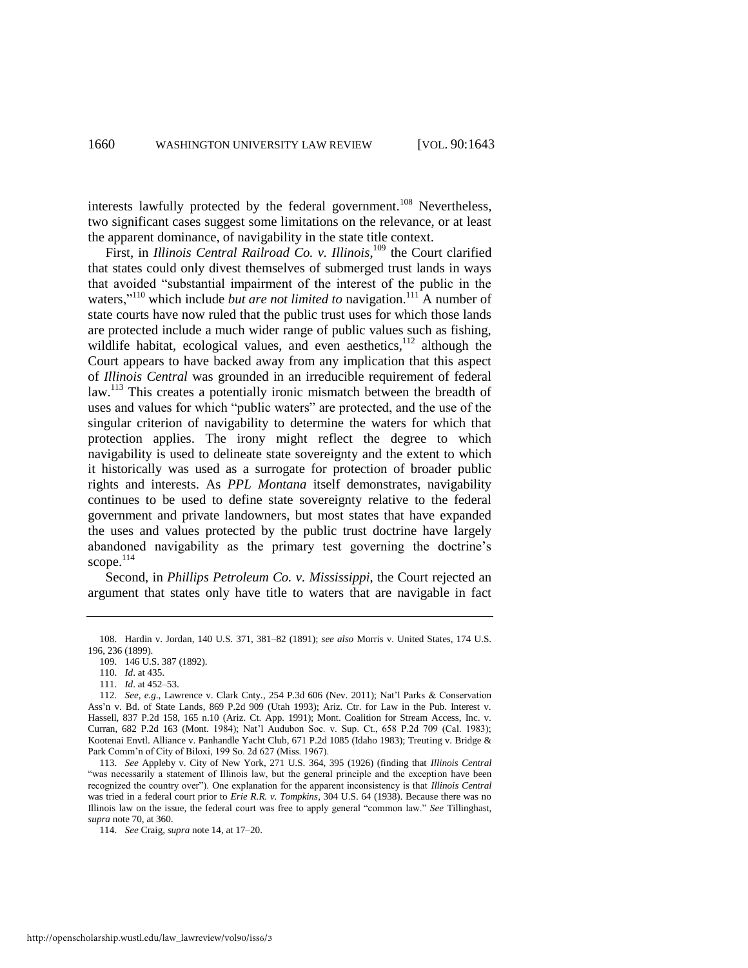interests lawfully protected by the federal government.<sup>108</sup> Nevertheless, two significant cases suggest some limitations on the relevance, or at least the apparent dominance, of navigability in the state title context.

First, in *Illinois Central Railroad Co. v. Illinois*,<sup>109</sup> the Court clarified that states could only divest themselves of submerged trust lands in ways that avoided "substantial impairment of the interest of the public in the waters,<sup> $110$ </sup> which include *but are not limited to* navigation.<sup>111</sup> A number of state courts have now ruled that the public trust uses for which those lands are protected include a much wider range of public values such as fishing, wildlife habitat, ecological values, and even aesthetics,<sup>112</sup> although the Court appears to have backed away from any implication that this aspect of *Illinois Central* was grounded in an irreducible requirement of federal law.<sup>113</sup> This creates a potentially ironic mismatch between the breadth of uses and values for which "public waters" are protected, and the use of the singular criterion of navigability to determine the waters for which that protection applies. The irony might reflect the degree to which navigability is used to delineate state sovereignty and the extent to which it historically was used as a surrogate for protection of broader public rights and interests. As *PPL Montana* itself demonstrates, navigability continues to be used to define state sovereignty relative to the federal government and private landowners, but most states that have expanded the uses and values protected by the public trust doctrine have largely abandoned navigability as the primary test governing the doctrine's scope.<sup>114</sup>

Second, in *Phillips Petroleum Co. v. Mississippi*, the Court rejected an argument that states only have title to waters that are navigable in fact

<sup>108.</sup> Hardin v. Jordan, 140 U.S. 371, 381–82 (1891); *see also* Morris v. United States, 174 U.S. 196, 236 (1899).

<sup>109. 146</sup> U.S. 387 (1892).

<sup>110.</sup> *Id*. at 435.

<sup>111.</sup> *Id*. at 452–53.

<sup>112.</sup> *See, e.g*., Lawrence v. Clark Cnty., 254 P.3d 606 (Nev. 2011); Nat'l Parks & Conservation Ass'n v. Bd. of State Lands, 869 P.2d 909 (Utah 1993); Ariz. Ctr. for Law in the Pub. Interest v. Hassell, 837 P.2d 158, 165 n.10 (Ariz. Ct. App. 1991); Mont. Coalition for Stream Access, Inc. v. Curran, 682 P.2d 163 (Mont. 1984); Nat'l Audubon Soc. v. Sup. Ct., 658 P.2d 709 (Cal. 1983); Kootenai Envtl. Alliance v. Panhandle Yacht Club, 671 P.2d 1085 (Idaho 1983); Treuting v. Bridge & Park Comm'n of City of Biloxi, 199 So. 2d 627 (Miss. 1967).

<sup>113.</sup> *See* Appleby v. City of New York, 271 U.S. 364, 395 (1926) (finding that *Illinois Central* ―was necessarily a statement of Illinois law, but the general principle and the exception have been recognized the country over"). One explanation for the apparent inconsistency is that *Illinois Central* was tried in a federal court prior to *Erie R.R. v. Tompkins*, 304 U.S. 64 (1938). Because there was no Illinois law on the issue, the federal court was free to apply general "common law." See Tillinghast, *supra* not[e 70,](#page-11-2) at 360.

<sup>114.</sup> *See* Craig, *supra* not[e 14,](#page-2-0) at 17–20.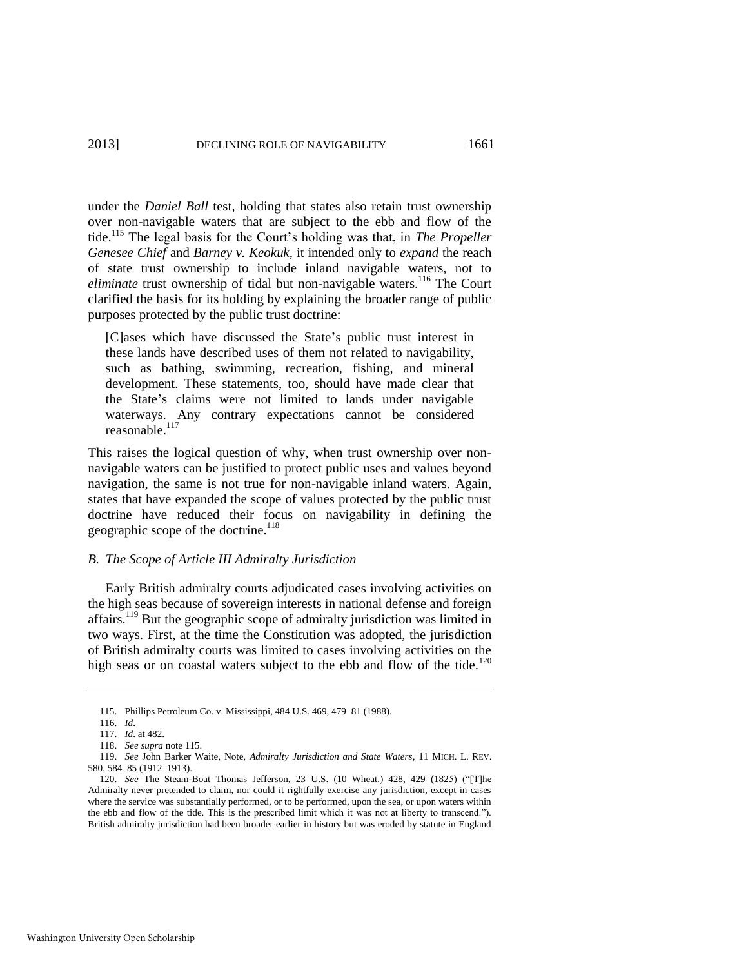<span id="page-19-0"></span>under the *Daniel Ball* test, holding that states also retain trust ownership over non-navigable waters that are subject to the ebb and flow of the tide.<sup>115</sup> The legal basis for the Court's holding was that, in *The Propeller Genesee Chief* and *Barney v. Keokuk*, it intended only to *expand* the reach of state trust ownership to include inland navigable waters, not to *eliminate* trust ownership of tidal but non-navigable waters.<sup>116</sup> The Court clarified the basis for its holding by explaining the broader range of public purposes protected by the public trust doctrine:

[C]ases which have discussed the State's public trust interest in these lands have described uses of them not related to navigability, such as bathing, swimming, recreation, fishing, and mineral development. These statements, too, should have made clear that the State's claims were not limited to lands under navigable waterways. Any contrary expectations cannot be considered reasonable.<sup>117</sup>

This raises the logical question of why, when trust ownership over nonnavigable waters can be justified to protect public uses and values beyond navigation, the same is not true for non-navigable inland waters. Again, states that have expanded the scope of values protected by the public trust doctrine have reduced their focus on navigability in defining the geographic scope of the doctrine. $118$ 

#### *B. The Scope of Article III Admiralty Jurisdiction*

<span id="page-19-2"></span>Early British admiralty courts adjudicated cases involving activities on the high seas because of sovereign interests in national defense and foreign affairs.<sup>119</sup> But the geographic scope of admiralty jurisdiction was limited in two ways. First, at the time the Constitution was adopted, the jurisdiction of British admiralty courts was limited to cases involving activities on the high seas or on coastal waters subject to the ebb and flow of the tide.<sup>120</sup>

<span id="page-19-1"></span><sup>115.</sup> Phillips Petroleum Co. v. Mississippi, 484 U.S. 469, 479–81 (1988).

<sup>116.</sup> *Id*.

<sup>117.</sup> *Id*. at 482.

<sup>118.</sup> *See supra* not[e 115.](#page-19-0) 

<sup>119.</sup> *See* John Barker Waite, Note, *Admiralty Jurisdiction and State Waters*, 11 MICH. L. REV. 580, 584–85 (1912–1913).

<sup>120.</sup> *See* The Steam-Boat Thomas Jefferson, 23 U.S. (10 Wheat.) 428, 429 (1825) ("[T]he Admiralty never pretended to claim, nor could it rightfully exercise any jurisdiction, except in cases where the service was substantially performed, or to be performed, upon the sea, or upon waters within the ebb and flow of the tide. This is the prescribed limit which it was not at liberty to transcend."). British admiralty jurisdiction had been broader earlier in history but was eroded by statute in England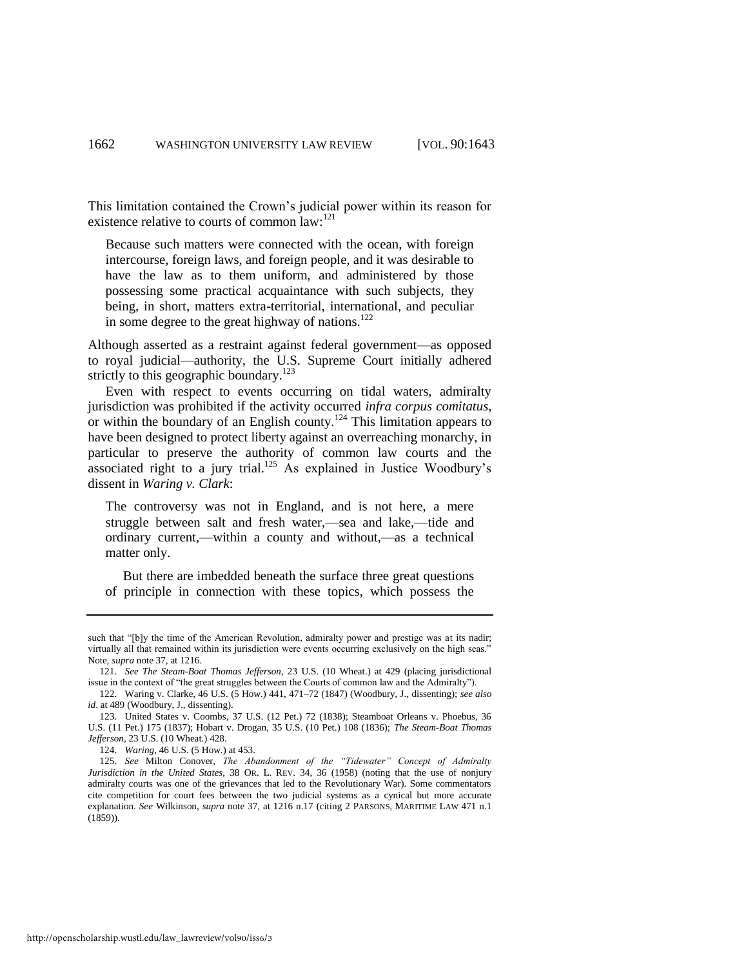This limitation contained the Crown's judicial power within its reason for existence relative to courts of common law:<sup>121</sup>

Because such matters were connected with the ocean, with foreign intercourse, foreign laws, and foreign people, and it was desirable to have the law as to them uniform, and administered by those possessing some practical acquaintance with such subjects, they being, in short, matters extra-territorial, international, and peculiar in some degree to the great highway of nations. $122$ 

Although asserted as a restraint against federal government—as opposed to royal judicial—authority, the U.S. Supreme Court initially adhered strictly to this geographic boundary.<sup>123</sup>

Even with respect to events occurring on tidal waters, admiralty jurisdiction was prohibited if the activity occurred *infra corpus comitatus*, or within the boundary of an English county.<sup>124</sup> This limitation appears to have been designed to protect liberty against an overreaching monarchy, in particular to preserve the authority of common law courts and the associated right to a jury trial.<sup>125</sup> As explained in Justice Woodbury's dissent in *Waring v. Clark*:

<span id="page-20-0"></span>The controversy was not in England, and is not here, a mere struggle between salt and fresh water,—sea and lake,—tide and ordinary current,—within a county and without,—as a technical matter only.

 But there are imbedded beneath the surface three great questions of principle in connection with these topics, which possess the

such that "[b]y the time of the American Revolution, admiralty power and prestige was at its nadir; virtually all that remained within its jurisdiction were events occurring exclusively on the high seas." Note, *supra* not[e 37,](#page-6-3) at 1216.

<sup>121.</sup> *See The Steam-Boat Thomas Jefferson*, 23 U.S. (10 Wheat.) at 429 (placing jurisdictional issue in the context of "the great struggles between the Courts of common law and the Admiralty").

<sup>122.</sup> Waring v. Clarke, 46 U.S. (5 How.) 441, 471–72 (1847) (Woodbury, J., dissenting); *see also id*. at 489 (Woodbury, J., dissenting).

<sup>123.</sup> United States v. Coombs, 37 U.S. (12 Pet.) 72 (1838); Steamboat Orleans v. Phoebus, 36 U.S. (11 Pet.) 175 (1837); Hobart v. Drogan, 35 U.S. (10 Pet.) 108 (1836); *The Steam-Boat Thomas Jefferson*, 23 U.S. (10 Wheat.) 428.

<sup>124.</sup> *Waring*, 46 U.S. (5 How.) at 453.

<sup>125.</sup> *See* Milton Conover, *The Abandonment of the "Tidewater" Concept of Admiralty Jurisdiction in the United States*, 38 OR. L. REV. 34, 36 (1958) (noting that the use of nonjury admiralty courts was one of the grievances that led to the Revolutionary War). Some commentators cite competition for court fees between the two judicial systems as a cynical but more accurate explanation. *See* Wilkinson, *supra* note [37,](#page-6-3) at 1216 n.17 (citing 2 PARSONS, MARITIME LAW 471 n.1 (1859)).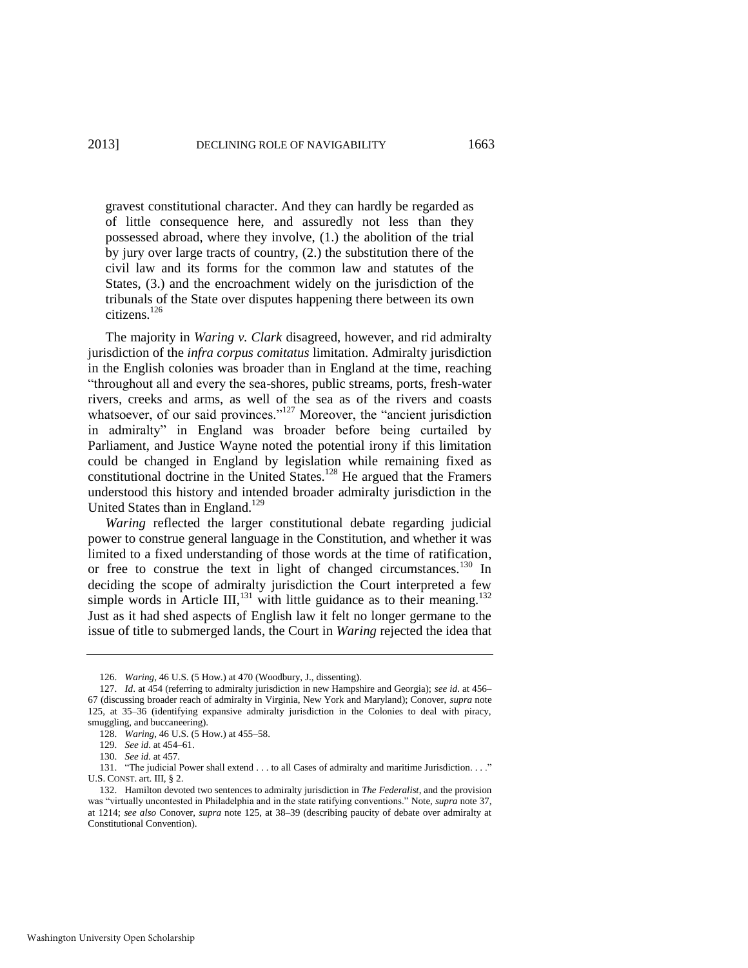gravest constitutional character. And they can hardly be regarded as of little consequence here, and assuredly not less than they possessed abroad, where they involve, (1.) the abolition of the trial by jury over large tracts of country, (2.) the substitution there of the civil law and its forms for the common law and statutes of the States, (3.) and the encroachment widely on the jurisdiction of the tribunals of the State over disputes happening there between its own citizens.<sup>126</sup>

The majority in *Waring v. Clark* disagreed, however, and rid admiralty jurisdiction of the *infra corpus comitatus* limitation. Admiralty jurisdiction in the English colonies was broader than in England at the time, reaching "throughout all and every the sea-shores, public streams, ports, fresh-water rivers, creeks and arms, as well of the sea as of the rivers and coasts whatsoever, of our said provinces.<sup> $127$ </sup> Moreover, the "ancient jurisdiction" in admiralty" in England was broader before being curtailed by Parliament, and Justice Wayne noted the potential irony if this limitation could be changed in England by legislation while remaining fixed as constitutional doctrine in the United States.<sup>128</sup> He argued that the Framers understood this history and intended broader admiralty jurisdiction in the United States than in England.<sup>129</sup>

*Waring* reflected the larger constitutional debate regarding judicial power to construe general language in the Constitution, and whether it was limited to a fixed understanding of those words at the time of ratification, or free to construe the text in light of changed circumstances.<sup>130</sup> In deciding the scope of admiralty jurisdiction the Court interpreted a few simple words in Article III,<sup>131</sup> with little guidance as to their meaning.<sup>132</sup> Just as it had shed aspects of English law it felt no longer germane to the issue of title to submerged lands, the Court in *Waring* rejected the idea that

<sup>126.</sup> *Waring*, 46 U.S. (5 How.) at 470 (Woodbury, J., dissenting).

<sup>127.</sup> *Id*. at 454 (referring to admiralty jurisdiction in new Hampshire and Georgia); *see id*. at 456– 67 (discussing broader reach of admiralty in Virginia, New York and Maryland); Conover, *supra* note [125,](#page-20-0) at 35–36 (identifying expansive admiralty jurisdiction in the Colonies to deal with piracy, smuggling, and buccaneering).

<sup>128.</sup> *Waring*, 46 U.S. (5 How.) at 455–58.

<sup>129.</sup> *See id*. at 454–61.

<sup>130.</sup> *See id.* at 457.

<sup>131. &</sup>quot;The judicial Power shall extend . . . to all Cases of admiralty and maritime Jurisdiction. . . ." U.S. CONST. art. III, § 2.

<sup>132.</sup> Hamilton devoted two sentences to admiralty jurisdiction in *The Federalist*, and the provision was "virtually uncontested in Philadelphia and in the state ratifying conventions." Note, *supra* note 37, at 1214; *see also* Conover, *supra* note [125,](#page-20-0) at 38–39 (describing paucity of debate over admiralty at Constitutional Convention).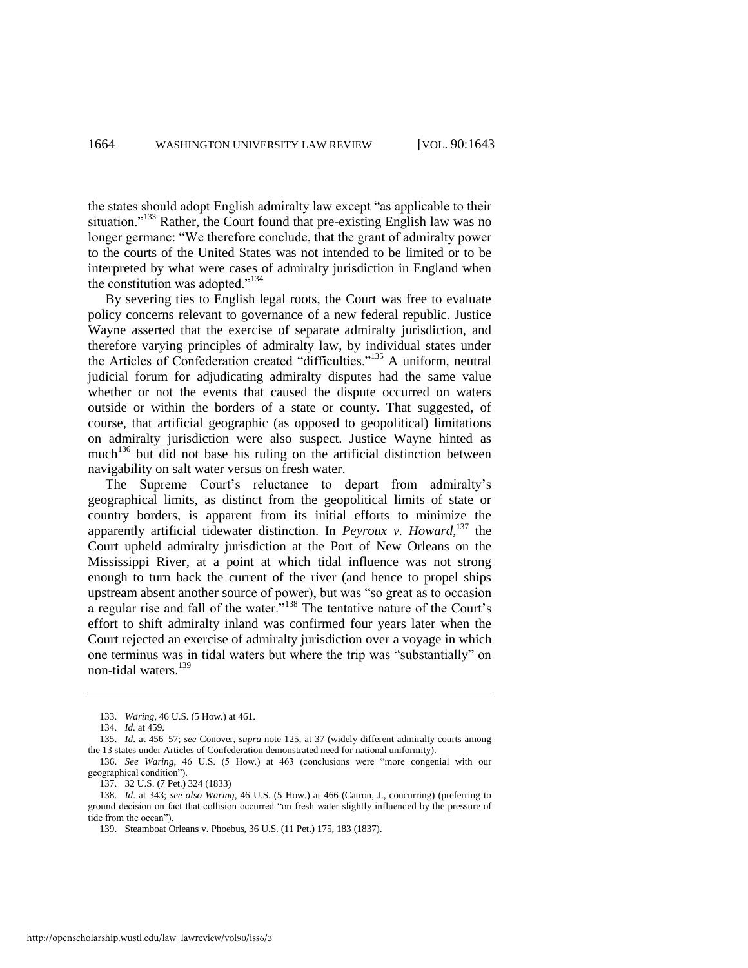the states should adopt English admiralty law except "as applicable to their situation."<sup>133</sup> Rather, the Court found that pre-existing English law was no longer germane: "We therefore conclude, that the grant of admiralty power to the courts of the United States was not intended to be limited or to be interpreted by what were cases of admiralty jurisdiction in England when the constitution was adopted."<sup>134</sup>

By severing ties to English legal roots, the Court was free to evaluate policy concerns relevant to governance of a new federal republic. Justice Wayne asserted that the exercise of separate admiralty jurisdiction, and therefore varying principles of admiralty law, by individual states under the Articles of Confederation created "difficulties."<sup>135</sup> A uniform, neutral judicial forum for adjudicating admiralty disputes had the same value whether or not the events that caused the dispute occurred on waters outside or within the borders of a state or county. That suggested, of course, that artificial geographic (as opposed to geopolitical) limitations on admiralty jurisdiction were also suspect. Justice Wayne hinted as much<sup>136</sup> but did not base his ruling on the artificial distinction between navigability on salt water versus on fresh water.

<span id="page-22-0"></span>The Supreme Court's reluctance to depart from admiralty's geographical limits, as distinct from the geopolitical limits of state or country borders, is apparent from its initial efforts to minimize the apparently artificial tidewater distinction. In *Peyroux v. Howard*, <sup>137</sup> the Court upheld admiralty jurisdiction at the Port of New Orleans on the Mississippi River, at a point at which tidal influence was not strong enough to turn back the current of the river (and hence to propel ships upstream absent another source of power), but was "so great as to occasion a regular rise and fall of the water.<sup>3138</sup> The tentative nature of the Court's effort to shift admiralty inland was confirmed four years later when the Court rejected an exercise of admiralty jurisdiction over a voyage in which one terminus was in tidal waters but where the trip was "substantially" on non-tidal waters.<sup>139</sup>

<sup>133.</sup> *Waring*, 46 U.S. (5 How.) at 461.

<sup>134.</sup> *Id.* at 459.

<sup>135.</sup> *Id*. at 456–57; *see* Conover, *supra* not[e 125,](#page-20-0) at 37 (widely different admiralty courts among the 13 states under Articles of Confederation demonstrated need for national uniformity).

<sup>136.</sup> *See Waring*, 46 U.S. (5 How.) at 463 (conclusions were "more congenial with our geographical condition").

<sup>137. 32</sup> U.S. (7 Pet.) 324 (1833)

<sup>138.</sup> *Id*. at 343; *see also Waring*, 46 U.S. (5 How.) at 466 (Catron, J., concurring) (preferring to ground decision on fact that collision occurred "on fresh water slightly influenced by the pressure of tide from the ocean").

<sup>139.</sup> Steamboat Orleans v. Phoebus, 36 U.S. (11 Pet.) 175, 183 (1837).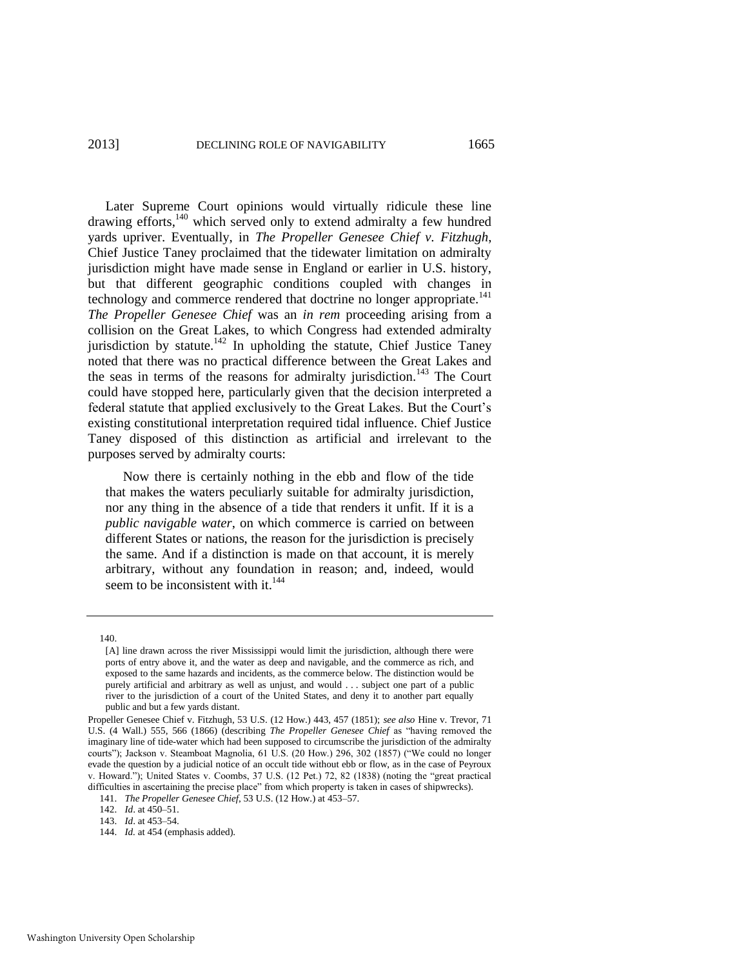Later Supreme Court opinions would virtually ridicule these line drawing efforts, $140$  which served only to extend admiralty a few hundred yards upriver. Eventually, in *The Propeller Genesee Chief v. Fitzhugh*, Chief Justice Taney proclaimed that the tidewater limitation on admiralty jurisdiction might have made sense in England or earlier in U.S. history, but that different geographic conditions coupled with changes in technology and commerce rendered that doctrine no longer appropriate.<sup>141</sup> *The Propeller Genesee Chief* was an *in rem* proceeding arising from a collision on the Great Lakes, to which Congress had extended admiralty jurisdiction by statute.<sup>142</sup> In upholding the statute, Chief Justice Taney noted that there was no practical difference between the Great Lakes and the seas in terms of the reasons for admiralty jurisdiction.<sup>143</sup> The Court could have stopped here, particularly given that the decision interpreted a federal statute that applied exclusively to the Great Lakes. But the Court's existing constitutional interpretation required tidal influence. Chief Justice Taney disposed of this distinction as artificial and irrelevant to the purposes served by admiralty courts:

 Now there is certainly nothing in the ebb and flow of the tide that makes the waters peculiarly suitable for admiralty jurisdiction, nor any thing in the absence of a tide that renders it unfit. If it is a *public navigable water*, on which commerce is carried on between different States or nations, the reason for the jurisdiction is precisely the same. And if a distinction is made on that account, it is merely arbitrary, without any foundation in reason; and, indeed, would seem to be inconsistent with it.<sup>144</sup>

140.

<sup>[</sup>A] line drawn across the river Mississippi would limit the jurisdiction, although there were ports of entry above it, and the water as deep and navigable, and the commerce as rich, and exposed to the same hazards and incidents, as the commerce below. The distinction would be purely artificial and arbitrary as well as unjust, and would . . . subject one part of a public river to the jurisdiction of a court of the United States, and deny it to another part equally public and but a few yards distant.

Propeller Genesee Chief v. Fitzhugh, 53 U.S. (12 How.) 443, 457 (1851); *see also* Hine v. Trevor, 71 U.S. (4 Wall.) 555, 566 (1866) (describing *The Propeller Genesee Chief* as "having removed the imaginary line of tide-water which had been supposed to circumscribe the jurisdiction of the admiralty courts"); Jackson v. Steamboat Magnolia, 61 U.S. (20 How.) 296, 302 (1857) ("We could no longer evade the question by a judicial notice of an occult tide without ebb or flow, as in the case of Peyroux v. Howard."); United States v. Coombs, 37 U.S. (12 Pet.) 72, 82 (1838) (noting the "great practical difficulties in ascertaining the precise place" from which property is taken in cases of shipwrecks).

<sup>141.</sup> *The Propeller Genesee Chief*, 53 U.S. (12 How.) at 453–57.

<sup>142.</sup> *Id*. at 450–51.

<sup>143.</sup> *Id*. at 453–54.

<sup>144.</sup> *Id.* at 454 (emphasis added).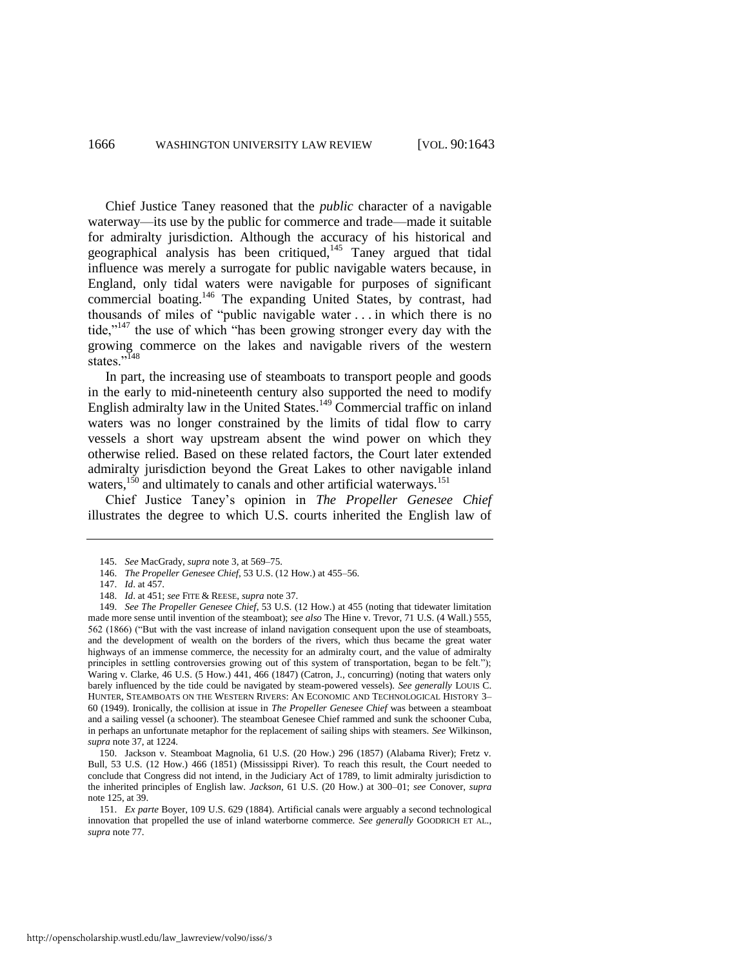<span id="page-24-1"></span>Chief Justice Taney reasoned that the *public* character of a navigable waterway—its use by the public for commerce and trade—made it suitable for admiralty jurisdiction. Although the accuracy of his historical and geographical analysis has been critiqued,<sup>145</sup> Taney argued that tidal influence was merely a surrogate for public navigable waters because, in England, only tidal waters were navigable for purposes of significant commercial boating.<sup>146</sup> The expanding United States, by contrast, had thousands of miles of "public navigable water  $\ldots$  in which there is no tide,"<sup>147</sup> the use of which "has been growing stronger every day with the growing commerce on the lakes and navigable rivers of the western states."<sup>148</sup>

<span id="page-24-0"></span>In part, the increasing use of steamboats to transport people and goods in the early to mid-nineteenth century also supported the need to modify English admiralty law in the United States.<sup>149</sup> Commercial traffic on inland waters was no longer constrained by the limits of tidal flow to carry vessels a short way upstream absent the wind power on which they otherwise relied. Based on these related factors, the Court later extended admiralty jurisdiction beyond the Great Lakes to other navigable inland waters,<sup>150</sup> and ultimately to canals and other artificial waterways.<sup>151</sup>

Chief Justice Taney's opinion in *The Propeller Genesee Chief* illustrates the degree to which U.S. courts inherited the English law of

<sup>145.</sup> *See* MacGrady, *supra* not[e 3,](#page-1-0) at 569–75.

<sup>146.</sup> *The Propeller Genesee Chief*, 53 U.S. (12 How.) at 455–56.

<sup>147.</sup> *Id*. at 457.

<sup>148.</sup> *Id*. at 451; *see* FITE & REESE, *supra* not[e 37.](#page-6-3)

<sup>149.</sup> *See The Propeller Genesee Chief*, 53 U.S. (12 How.) at 455 (noting that tidewater limitation made more sense until invention of the steamboat); *see also* The Hine v. Trevor, 71 U.S. (4 Wall.) 555, 562 (1866) ("But with the vast increase of inland navigation consequent upon the use of steamboats, and the development of wealth on the borders of the rivers, which thus became the great water highways of an immense commerce, the necessity for an admiralty court, and the value of admiralty principles in settling controversies growing out of this system of transportation, began to be felt."); Waring v. Clarke, 46 U.S. (5 How.) 441, 466 (1847) (Catron, J., concurring) (noting that waters only barely influenced by the tide could be navigated by steam-powered vessels). *See generally* LOUIS C. HUNTER, STEAMBOATS ON THE WESTERN RIVERS: AN ECONOMIC AND TECHNOLOGICAL HISTORY 3– 60 (1949). Ironically, the collision at issue in *The Propeller Genesee Chief* was between a steamboat and a sailing vessel (a schooner). The steamboat Genesee Chief rammed and sunk the schooner Cuba, in perhaps an unfortunate metaphor for the replacement of sailing ships with steamers. *See* Wilkinson, *supra* not[e 37,](#page-6-3) at 1224.

<sup>150.</sup> Jackson v. Steamboat Magnolia, 61 U.S. (20 How.) 296 (1857) (Alabama River); Fretz v. Bull, 53 U.S. (12 How.) 466 (1851) (Mississippi River). To reach this result, the Court needed to conclude that Congress did not intend, in the Judiciary Act of 1789, to limit admiralty jurisdiction to the inherited principles of English law. *Jackson*, 61 U.S. (20 How.) at 300–01; *see* Conover, *supra* note [125,](#page-20-0) at 39.

<sup>151.</sup> *Ex parte* Boyer, 109 U.S. 629 (1884). Artificial canals were arguably a second technological innovation that propelled the use of inland waterborne commerce. *See generally* GOODRICH ET AL., *supra* not[e 77.](#page-12-1)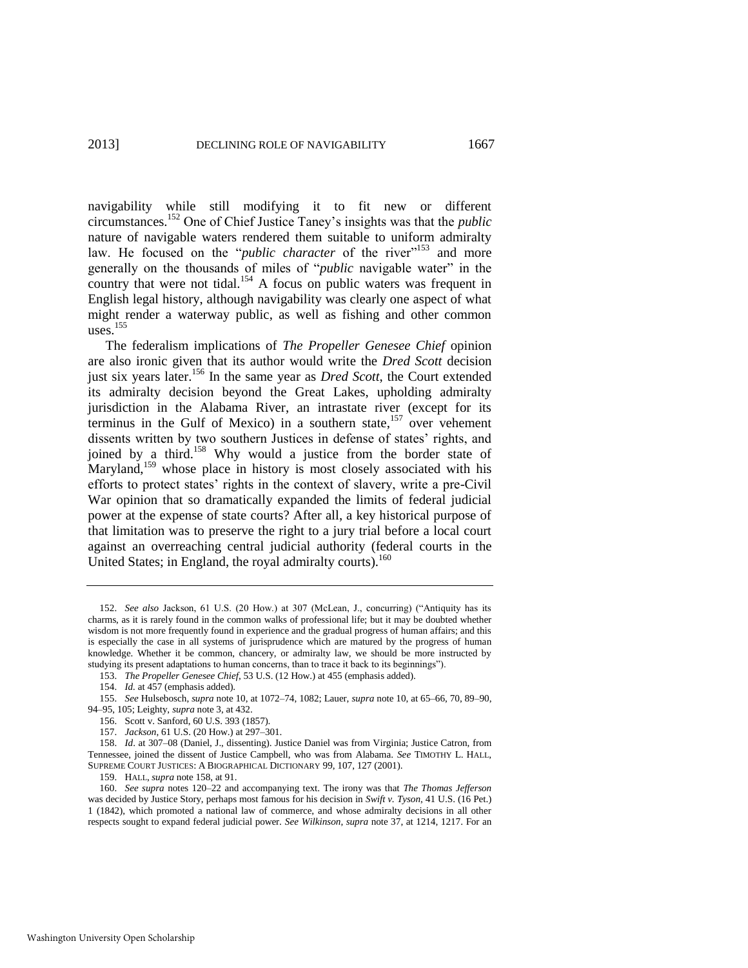navigability while still modifying it to fit new or different circumstances.<sup>152</sup> One of Chief Justice Taney's insights was that the *public* nature of navigable waters rendered them suitable to uniform admiralty law. He focused on the "*public character* of the river"<sup>153</sup> and more generally on the thousands of miles of "*public* navigable water" in the country that were not tidal.<sup>154</sup> A focus on public waters was frequent in English legal history, although navigability was clearly one aspect of what might render a waterway public, as well as fishing and other common

<span id="page-25-0"></span>The federalism implications of *The Propeller Genesee Chief* opinion are also ironic given that its author would write the *Dred Scott* decision just six years later.<sup>156</sup> In the same year as *Dred Scott*, the Court extended its admiralty decision beyond the Great Lakes, upholding admiralty jurisdiction in the Alabama River, an intrastate river (except for its terminus in the Gulf of Mexico) in a southern state,<sup>157</sup> over vehement dissents written by two southern Justices in defense of states' rights, and joined by a third.<sup>158</sup> Why would a justice from the border state of Maryland,<sup>159</sup> whose place in history is most closely associated with his efforts to protect states' rights in the context of slavery, write a pre-Civil War opinion that so dramatically expanded the limits of federal judicial power at the expense of state courts? After all, a key historical purpose of that limitation was to preserve the right to a jury trial before a local court against an overreaching central judicial authority (federal courts in the United States; in England, the royal admiralty courts).<sup>160</sup>

uses. $155$ 

<sup>152.</sup> See also Jackson, 61 U.S. (20 How.) at 307 (McLean, J., concurring) ("Antiquity has its charms, as it is rarely found in the common walks of professional life; but it may be doubted whether wisdom is not more frequently found in experience and the gradual progress of human affairs; and this is especially the case in all systems of jurisprudence which are matured by the progress of human knowledge. Whether it be common, chancery, or admiralty law, we should be more instructed by studying its present adaptations to human concerns, than to trace it back to its beginnings").

<sup>153.</sup> *The Propeller Genesee Chief*, 53 U.S. (12 How.) at 455 (emphasis added).

<sup>154.</sup> *Id.* at 457 (emphasis added).

<sup>155.</sup> *See* Hulsebosch, *supra* not[e 10,](#page-2-1) at 1072–74, 1082; Lauer, *supra* not[e 10,](#page-2-1) at 65–66, 70, 89–90, 94–95, 105; Leighty, *supra* not[e 3,](#page-1-0) at 432.

<sup>156.</sup> Scott v. Sanford, 60 U.S. 393 (1857).

<sup>157.</sup> *Jackson*, 61 U.S. (20 How.) at 297–301.

<sup>158.</sup> *Id*. at 307–08 (Daniel, J., dissenting). Justice Daniel was from Virginia; Justice Catron, from Tennessee, joined the dissent of Justice Campbell, who was from Alabama. *See* TIMOTHY L. HALL, SUPREME COURT JUSTICES: A BIOGRAPHICAL DICTIONARY 99, 107, 127 (2001).

<sup>159.</sup> HALL, *supra* not[e 158,](#page-25-0) at 91.

<sup>160.</sup> *See supra* notes [120–](#page-19-1)22 and accompanying text. The irony was that *The Thomas Jefferson* was decided by Justice Story, perhaps most famous for his decision in *Swift v. Tyson*, 41 U.S. (16 Pet.) 1 (1842), which promoted a national law of commerce, and whose admiralty decisions in all other respects sought to expand federal judicial power. *See Wilkinson*, *supra* note [37,](#page-6-3) at 1214, 1217. For an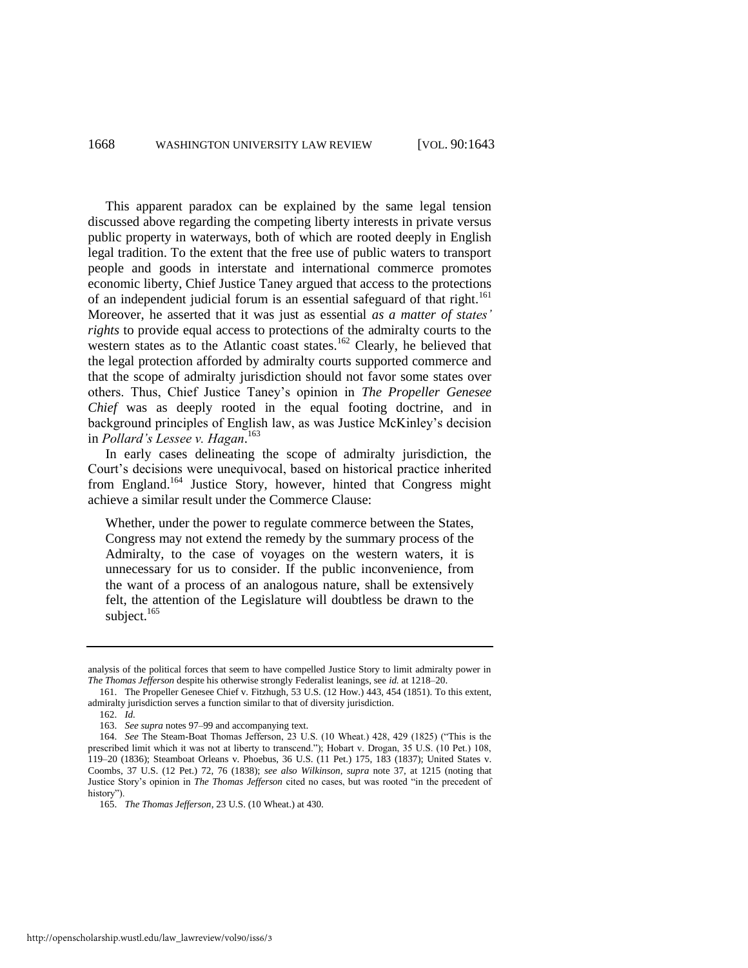This apparent paradox can be explained by the same legal tension discussed above regarding the competing liberty interests in private versus public property in waterways, both of which are rooted deeply in English legal tradition. To the extent that the free use of public waters to transport people and goods in interstate and international commerce promotes economic liberty, Chief Justice Taney argued that access to the protections of an independent judicial forum is an essential safeguard of that right.<sup>161</sup> Moreover, he asserted that it was just as essential *as a matter of states' rights* to provide equal access to protections of the admiralty courts to the western states as to the Atlantic coast states.<sup>162</sup> Clearly, he believed that the legal protection afforded by admiralty courts supported commerce and that the scope of admiralty jurisdiction should not favor some states over others. Thus, Chief Justice Taney's opinion in *The Propeller Genesee Chief* was as deeply rooted in the equal footing doctrine, and in background principles of English law, as was Justice McKinley's decision in *Pollard's Lessee v. Hagan*. 163

In early cases delineating the scope of admiralty jurisdiction, the Court's decisions were unequivocal, based on historical practice inherited from England.<sup>164</sup> Justice Story, however, hinted that Congress might achieve a similar result under the Commerce Clause:

Whether, under the power to regulate commerce between the States, Congress may not extend the remedy by the summary process of the Admiralty, to the case of voyages on the western waters, it is unnecessary for us to consider. If the public inconvenience, from the want of a process of an analogous nature, shall be extensively felt, the attention of the Legislature will doubtless be drawn to the subject. $165$ 

analysis of the political forces that seem to have compelled Justice Story to limit admiralty power in *The Thomas Jefferson* despite his otherwise strongly Federalist leanings, see *id.* at 1218–20.

<sup>161.</sup> The Propeller Genesee Chief v. Fitzhugh, 53 U.S. (12 How.) 443, 454 (1851). To this extent, admiralty jurisdiction serves a function similar to that of diversity jurisdiction.

<sup>162.</sup> *Id.*

<sup>163.</sup> *See supra* note[s 97](#page-16-0)[–99 a](#page-16-1)nd accompanying text.

<sup>164.</sup> *See* The Steam-Boat Thomas Jefferson, 23 U.S. (10 Wheat.) 428, 429 (1825) ("This is the prescribed limit which it was not at liberty to transcend."); Hobart v. Drogan, 35 U.S. (10 Pet.) 108, 119–20 (1836); Steamboat Orleans v. Phoebus, 36 U.S. (11 Pet.) 175, 183 (1837); United States v. Coombs, 37 U.S. (12 Pet.) 72, 76 (1838); *see also Wilkinson*, *supra* note [37,](#page-6-3) at 1215 (noting that Justice Story's opinion in *The Thomas Jefferson* cited no cases, but was rooted "in the precedent of history").

<sup>165.</sup> *The Thomas Jefferson*, 23 U.S. (10 Wheat.) at 430.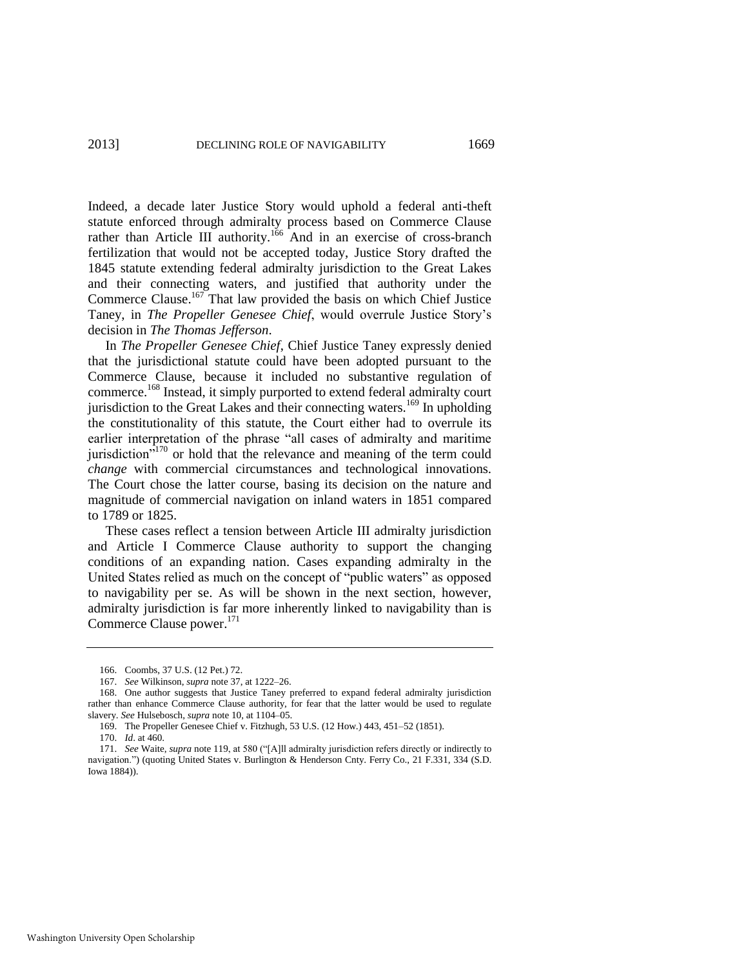Indeed, a decade later Justice Story would uphold a federal anti-theft statute enforced through admiralty process based on Commerce Clause rather than Article III authority.<sup>166</sup> And in an exercise of cross-branch fertilization that would not be accepted today, Justice Story drafted the 1845 statute extending federal admiralty jurisdiction to the Great Lakes and their connecting waters, and justified that authority under the Commerce Clause.<sup>167</sup> That law provided the basis on which Chief Justice Taney, in *The Propeller Genesee Chief*, would overrule Justice Story's decision in *The Thomas Jefferson*.

<span id="page-27-0"></span>In *The Propeller Genesee Chief*, Chief Justice Taney expressly denied that the jurisdictional statute could have been adopted pursuant to the Commerce Clause, because it included no substantive regulation of commerce.<sup>168</sup> Instead, it simply purported to extend federal admiralty court jurisdiction to the Great Lakes and their connecting waters.<sup>169</sup> In upholding the constitutionality of this statute, the Court either had to overrule its earlier interpretation of the phrase "all cases of admiralty and maritime jurisdiction<sup> $5170$ </sup> or hold that the relevance and meaning of the term could *change* with commercial circumstances and technological innovations. The Court chose the latter course, basing its decision on the nature and magnitude of commercial navigation on inland waters in 1851 compared to 1789 or 1825.

These cases reflect a tension between Article III admiralty jurisdiction and Article I Commerce Clause authority to support the changing conditions of an expanding nation. Cases expanding admiralty in the United States relied as much on the concept of "public waters" as opposed to navigability per se. As will be shown in the next section, however, admiralty jurisdiction is far more inherently linked to navigability than is Commerce Clause power.<sup>171</sup>

<sup>166.</sup> Coombs, 37 U.S. (12 Pet.) 72.

<sup>167.</sup> *See* Wilkinson, *supra* not[e 37,](#page-6-3) at 1222–26.

<sup>168.</sup> One author suggests that Justice Taney preferred to expand federal admiralty jurisdiction rather than enhance Commerce Clause authority, for fear that the latter would be used to regulate slavery. *See* Hulsebosch, *supra* not[e 10,](#page-2-1) at 1104–05.

<sup>169.</sup> The Propeller Genesee Chief v. Fitzhugh, 53 U.S. (12 How.) 443, 451–52 (1851).

<sup>170.</sup> *Id*. at 460.

<sup>171.</sup> *See Waite, supra* note [119,](#page-19-2) at 580 ("[A]ll admiralty jurisdiction refers directly or indirectly to navigation.") (quoting United States v. Burlington & Henderson Cnty. Ferry Co., 21 F.331, 334 (S.D. Iowa 1884)).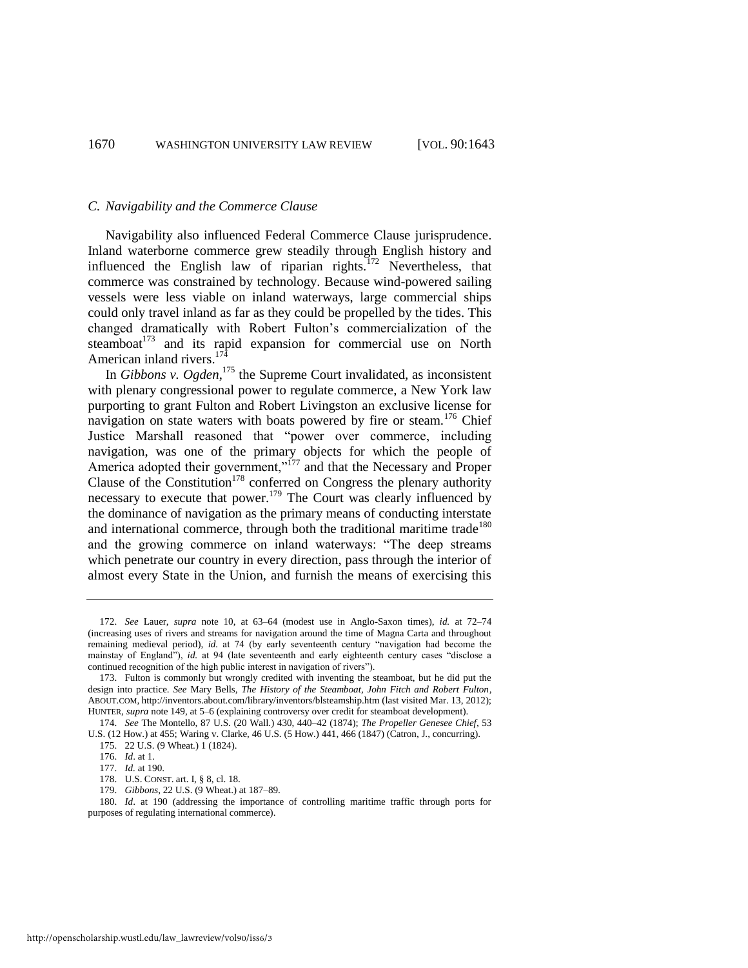#### *C. Navigability and the Commerce Clause*

Navigability also influenced Federal Commerce Clause jurisprudence. Inland waterborne commerce grew steadily through English history and influenced the English law of riparian rights.<sup> $172$ </sup> Nevertheless, that commerce was constrained by technology. Because wind-powered sailing vessels were less viable on inland waterways, large commercial ships could only travel inland as far as they could be propelled by the tides. This changed dramatically with Robert Fulton's commercialization of the steamboat<sup>173</sup> and its rapid expansion for commercial use on North American inland rivers. $174$ 

In *Gibbons v. Ogden*<sup>175</sup> the Supreme Court invalidated, as inconsistent with plenary congressional power to regulate commerce, a New York law purporting to grant Fulton and Robert Livingston an exclusive license for navigation on state waters with boats powered by fire or steam.<sup>176</sup> Chief Justice Marshall reasoned that "power over commerce, including navigation, was one of the primary objects for which the people of America adopted their government,"<sup>177</sup> and that the Necessary and Proper Clause of the Constitution<sup>178</sup> conferred on Congress the plenary authority necessary to execute that power.<sup>179</sup> The Court was clearly influenced by the dominance of navigation as the primary means of conducting interstate and international commerce, through both the traditional maritime trade<sup>180</sup> and the growing commerce on inland waterways: "The deep streams" which penetrate our country in every direction, pass through the interior of almost every State in the Union, and furnish the means of exercising this

<sup>172.</sup> *See* Lauer, *supra* note [10,](#page-2-1) at 63–64 (modest use in Anglo-Saxon times), *id.* at 72–74 (increasing uses of rivers and streams for navigation around the time of Magna Carta and throughout remaining medieval period), *id.* at 74 (by early seventeenth century "navigation had become the mainstay of England"), *id.* at 94 (late seventeenth and early eighteenth century cases "disclose a continued recognition of the high public interest in navigation of rivers").

<sup>173.</sup> Fulton is commonly but wrongly credited with inventing the steamboat, but he did put the design into practice. *See* Mary Bells, *The History of the Steamboat, John Fitch and Robert Fulton*, ABOUT.COM, http://inventors.about.com/library/inventors/blsteamship.htm (last visited Mar. 13, 2012); HUNTER, *supra* not[e 149,](#page-24-0) at 5–6 (explaining controversy over credit for steamboat development).

<sup>174.</sup> *See* The Montello, 87 U.S. (20 Wall.) 430, 440–42 (1874); *The Propeller Genesee Chief*, 53 U.S. (12 How.) at 455; Waring v. Clarke, 46 U.S. (5 How.) 441, 466 (1847) (Catron, J., concurring).

<sup>175. 22</sup> U.S. (9 Wheat.) 1 (1824).

<sup>176.</sup> *Id*. at 1.

<sup>177.</sup> *Id.* at 190.

<sup>178.</sup> U.S. CONST. art. I, § 8, cl. 18. 179. *Gibbons*, 22 U.S. (9 Wheat.) at 187–89.

<sup>180.</sup> *Id*. at 190 (addressing the importance of controlling maritime traffic through ports for

purposes of regulating international commerce).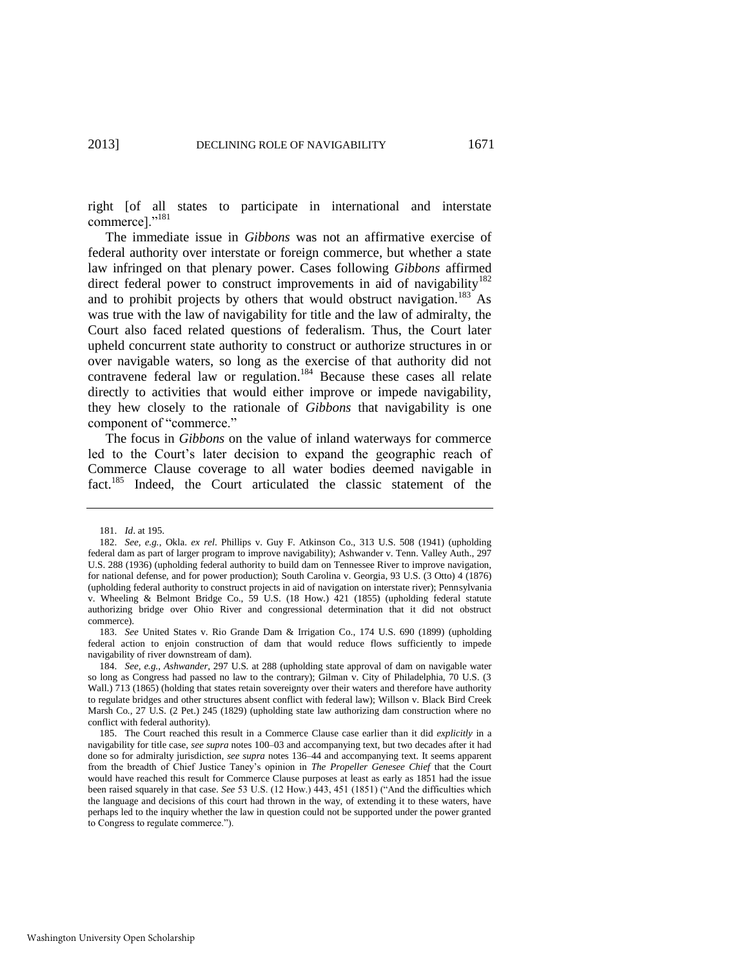right [of all states to participate in international and interstate commerce]."<sup>181</sup>

The immediate issue in *Gibbons* was not an affirmative exercise of federal authority over interstate or foreign commerce, but whether a state law infringed on that plenary power. Cases following *Gibbons* affirmed direct federal power to construct improvements in aid of navigability<sup>182</sup> and to prohibit projects by others that would obstruct navigation.<sup>183</sup> As was true with the law of navigability for title and the law of admiralty, the Court also faced related questions of federalism. Thus, the Court later upheld concurrent state authority to construct or authorize structures in or over navigable waters, so long as the exercise of that authority did not contravene federal law or regulation.<sup>184</sup> Because these cases all relate directly to activities that would either improve or impede navigability, they hew closely to the rationale of *Gibbons* that navigability is one component of "commerce."

The focus in *Gibbons* on the value of inland waterways for commerce led to the Court's later decision to expand the geographic reach of Commerce Clause coverage to all water bodies deemed navigable in fact.<sup>185</sup> Indeed, the Court articulated the classic statement of the

<sup>181.</sup> *Id*. at 195.

<sup>182.</sup> *See, e.g.*, Okla. *ex rel*. Phillips v. Guy F. Atkinson Co., 313 U.S. 508 (1941) (upholding federal dam as part of larger program to improve navigability); Ashwander v. Tenn. Valley Auth., 297 U.S. 288 (1936) (upholding federal authority to build dam on Tennessee River to improve navigation, for national defense, and for power production); South Carolina v. Georgia, 93 U.S. (3 Otto) 4 (1876) (upholding federal authority to construct projects in aid of navigation on interstate river); Pennsylvania v. Wheeling & Belmont Bridge Co., 59 U.S. (18 How.) 421 (1855) (upholding federal statute authorizing bridge over Ohio River and congressional determination that it did not obstruct commerce).

<sup>183.</sup> *See* United States v. Rio Grande Dam & Irrigation Co., 174 U.S. 690 (1899) (upholding federal action to enjoin construction of dam that would reduce flows sufficiently to impede navigability of river downstream of dam).

<sup>184.</sup> *See, e.g.*, *Ashwander*, 297 U.S. at 288 (upholding state approval of dam on navigable water so long as Congress had passed no law to the contrary); Gilman v. City of Philadelphia, 70 U.S. (3 Wall.) 713 (1865) (holding that states retain sovereignty over their waters and therefore have authority to regulate bridges and other structures absent conflict with federal law); Willson v. Black Bird Creek Marsh Co., 27 U.S. (2 Pet.) 245 (1829) (upholding state law authorizing dam construction where no conflict with federal authority).

<sup>185.</sup> The Court reached this result in a Commerce Clause case earlier than it did *explicitly* in a navigability for title case, *see supra* note[s 100–](#page-16-2)03 and accompanying text, but two decades after it had done so for admiralty jurisdiction, *see supra* notes [136–](#page-22-0)44 and accompanying text. It seems apparent from the breadth of Chief Justice Taney's opinion in *The Propeller Genesee Chief* that the Court would have reached this result for Commerce Clause purposes at least as early as 1851 had the issue been raised squarely in that case. *See* 53 U.S. (12 How.) 443, 451 (1851) ("And the difficulties which the language and decisions of this court had thrown in the way, of extending it to these waters, have perhaps led to the inquiry whether the law in question could not be supported under the power granted to Congress to regulate commerce.").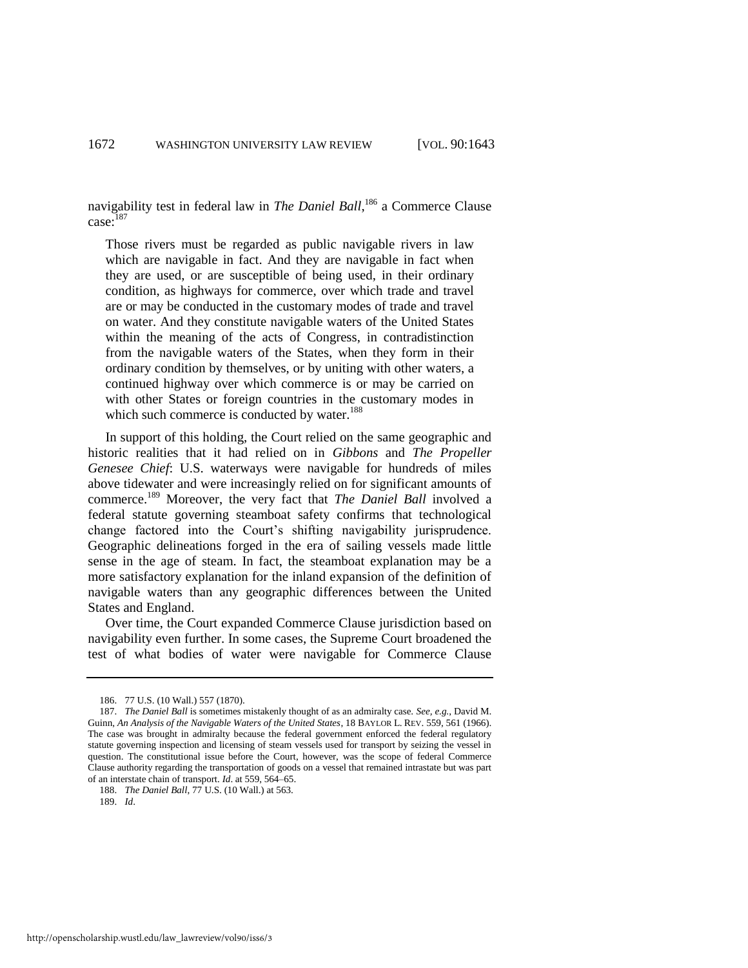navigability test in federal law in *The Daniel Ball*, <sup>186</sup> a Commerce Clause case: 187

Those rivers must be regarded as public navigable rivers in law which are navigable in fact. And they are navigable in fact when they are used, or are susceptible of being used, in their ordinary condition, as highways for commerce, over which trade and travel are or may be conducted in the customary modes of trade and travel on water. And they constitute navigable waters of the United States within the meaning of the acts of Congress, in contradistinction from the navigable waters of the States, when they form in their ordinary condition by themselves, or by uniting with other waters, a continued highway over which commerce is or may be carried on with other States or foreign countries in the customary modes in which such commerce is conducted by water.<sup>188</sup>

In support of this holding, the Court relied on the same geographic and historic realities that it had relied on in *Gibbons* and *The Propeller Genesee Chief*: U.S. waterways were navigable for hundreds of miles above tidewater and were increasingly relied on for significant amounts of commerce.<sup>189</sup> Moreover, the very fact that *The Daniel Ball* involved a federal statute governing steamboat safety confirms that technological change factored into the Court's shifting navigability jurisprudence. Geographic delineations forged in the era of sailing vessels made little sense in the age of steam. In fact, the steamboat explanation may be a more satisfactory explanation for the inland expansion of the definition of navigable waters than any geographic differences between the United States and England.

Over time, the Court expanded Commerce Clause jurisdiction based on navigability even further. In some cases, the Supreme Court broadened the test of what bodies of water were navigable for Commerce Clause

<sup>186. 77</sup> U.S. (10 Wall.) 557 (1870).

<sup>187.</sup> *The Daniel Ball* is sometimes mistakenly thought of as an admiralty case. *See, e.g.*, David M. Guinn, *An Analysis of the Navigable Waters of the United States*, 18 BAYLOR L. REV. 559, 561 (1966). The case was brought in admiralty because the federal government enforced the federal regulatory statute governing inspection and licensing of steam vessels used for transport by seizing the vessel in question. The constitutional issue before the Court, however, was the scope of federal Commerce Clause authority regarding the transportation of goods on a vessel that remained intrastate but was part of an interstate chain of transport. *Id*. at 559, 564–65.

<sup>188.</sup> *The Daniel Ball*, 77 U.S. (10 Wall.) at 563.

<sup>189.</sup> *Id*.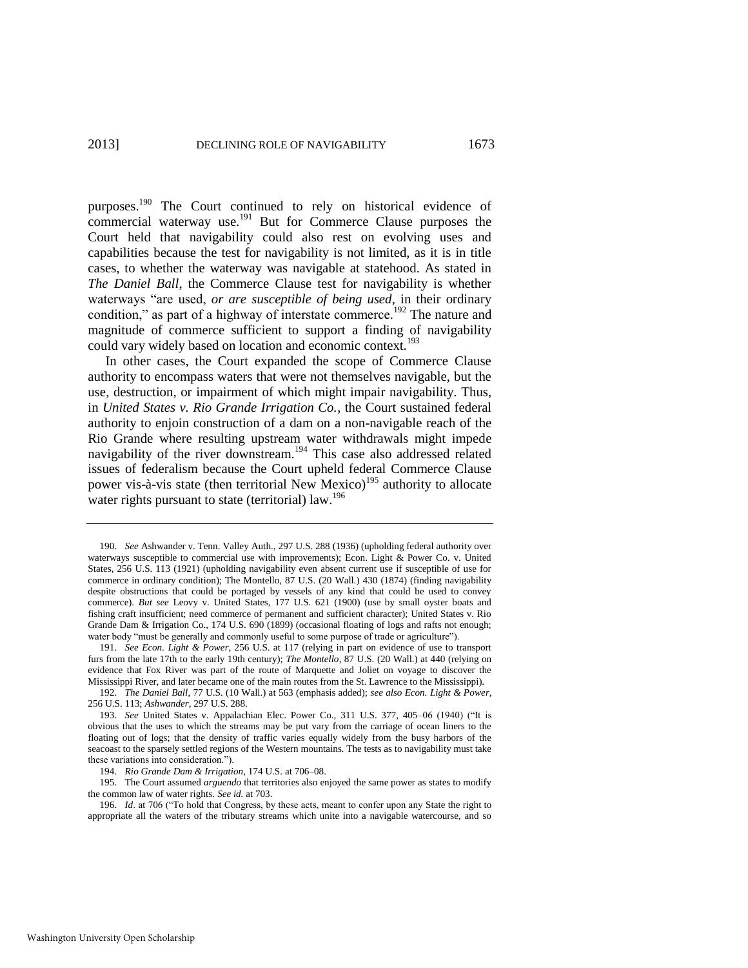purposes.<sup>190</sup> The Court continued to rely on historical evidence of commercial waterway use.<sup>191</sup> But for Commerce Clause purposes the Court held that navigability could also rest on evolving uses and capabilities because the test for navigability is not limited, as it is in title cases, to whether the waterway was navigable at statehood. As stated in *The Daniel Ball*, the Commerce Clause test for navigability is whether waterways "are used, *or are susceptible of being used*, in their ordinary condition," as part of a highway of interstate commerce.<sup>192</sup> The nature and magnitude of commerce sufficient to support a finding of navigability could vary widely based on location and economic context.<sup>193</sup>

<span id="page-31-0"></span>In other cases, the Court expanded the scope of Commerce Clause authority to encompass waters that were not themselves navigable, but the use, destruction, or impairment of which might impair navigability. Thus, in *United States v. Rio Grande Irrigation Co.*, the Court sustained federal authority to enjoin construction of a dam on a non-navigable reach of the Rio Grande where resulting upstream water withdrawals might impede navigability of the river downstream.<sup>194</sup> This case also addressed related issues of federalism because the Court upheld federal Commerce Clause power vis-à-vis state (then territorial New Mexico)<sup>195</sup> authority to allocate water rights pursuant to state (territorial) law.<sup>196</sup>

<sup>190.</sup> *See* Ashwander v. Tenn. Valley Auth., 297 U.S. 288 (1936) (upholding federal authority over waterways susceptible to commercial use with improvements); Econ. Light  $\&$  Power Co. v. United States, 256 U.S. 113 (1921) (upholding navigability even absent current use if susceptible of use for commerce in ordinary condition); The Montello, 87 U.S. (20 Wall.) 430 (1874) (finding navigability despite obstructions that could be portaged by vessels of any kind that could be used to convey commerce). *But see* Leovy v. United States, 177 U.S. 621 (1900) (use by small oyster boats and fishing craft insufficient; need commerce of permanent and sufficient character); United States v. Rio Grande Dam & Irrigation Co., 174 U.S. 690 (1899) (occasional floating of logs and rafts not enough; water body "must be generally and commonly useful to some purpose of trade or agriculture").

<sup>191.</sup> *See Econ. Light & Power*, 256 U.S. at 117 (relying in part on evidence of use to transport furs from the late 17th to the early 19th century); *The Montello*, 87 U.S. (20 Wall.) at 440 (relying on evidence that Fox River was part of the route of Marquette and Joliet on voyage to discover the Mississippi River, and later became one of the main routes from the St. Lawrence to the Mississippi).

<sup>192.</sup> *The Daniel Ball*, 77 U.S. (10 Wall.) at 563 (emphasis added); *see also Econ. Light & Power*, 256 U.S. 113; *Ashwander*, 297 U.S. 288.

<sup>193.</sup> *See* United States v. Appalachian Elec. Power Co., 311 U.S. 377, 405–06 (1940) ("It is obvious that the uses to which the streams may be put vary from the carriage of ocean liners to the floating out of logs; that the density of traffic varies equally widely from the busy harbors of the seacoast to the sparsely settled regions of the Western mountains. The tests as to navigability must take these variations into consideration.").

<sup>194.</sup> *Rio Grande Dam & Irrigation*, 174 U.S. at 706–08.

<sup>195.</sup> The Court assumed *arguendo* that territories also enjoyed the same power as states to modify the common law of water rights. *See id.* at 703.

<sup>196.</sup> *Id.* at 706 ("To hold that Congress, by these acts, meant to confer upon any State the right to appropriate all the waters of the tributary streams which unite into a navigable watercourse, and so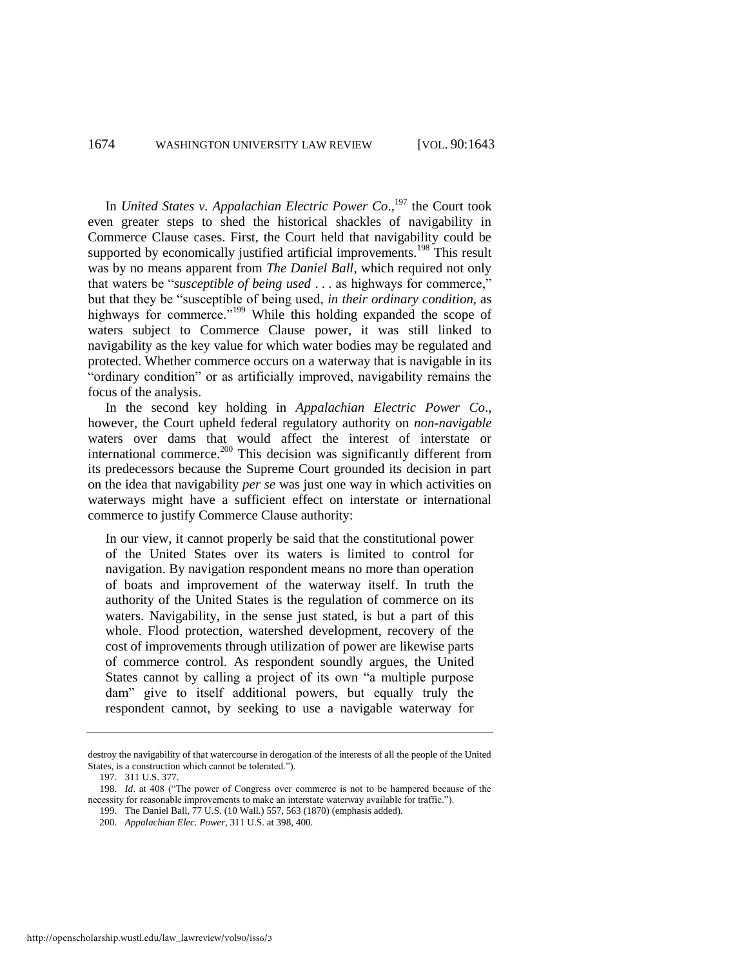#### 1674 WASHINGTON UNIVERSITY LAW REVIEW [VOL. 90:1643

In *United States v. Appalachian Electric Power Co*., <sup>197</sup> the Court took even greater steps to shed the historical shackles of navigability in Commerce Clause cases. First, the Court held that navigability could be supported by economically justified artificial improvements.<sup>198</sup> This result was by no means apparent from *The Daniel Ball*, which required not only that waters be "*susceptible of being used* . . . as highways for commerce," but that they be "susceptible of being used, *in their ordinary condition*, as highways for commerce."<sup>199</sup> While this holding expanded the scope of waters subject to Commerce Clause power, it was still linked to navigability as the key value for which water bodies may be regulated and protected. Whether commerce occurs on a waterway that is navigable in its "ordinary condition" or as artificially improved, navigability remains the focus of the analysis.

<span id="page-32-0"></span>In the second key holding in *Appalachian Electric Power Co*., however, the Court upheld federal regulatory authority on *non-navigable* waters over dams that would affect the interest of interstate or international commerce.<sup>200</sup> This decision was significantly different from its predecessors because the Supreme Court grounded its decision in part on the idea that navigability *per se* was just one way in which activities on waterways might have a sufficient effect on interstate or international commerce to justify Commerce Clause authority:

In our view, it cannot properly be said that the constitutional power of the United States over its waters is limited to control for navigation. By navigation respondent means no more than operation of boats and improvement of the waterway itself. In truth the authority of the United States is the regulation of commerce on its waters. Navigability, in the sense just stated, is but a part of this whole. Flood protection, watershed development, recovery of the cost of improvements through utilization of power are likewise parts of commerce control. As respondent soundly argues, the United States cannot by calling a project of its own "a multiple purpose dam" give to itself additional powers, but equally truly the respondent cannot, by seeking to use a navigable waterway for

199. The Daniel Ball, 77 U.S. (10 Wall.) 557, 563 (1870) (emphasis added).

destroy the navigability of that watercourse in derogation of the interests of all the people of the United States, is a construction which cannot be tolerated.").

<sup>197. 311</sup> U.S. 377.

<sup>198.</sup> *Id.* at 408 ("The power of Congress over commerce is not to be hampered because of the necessity for reasonable improvements to make an interstate waterway available for traffic.").

<sup>200.</sup> *Appalachian Elec. Power*, 311 U.S. at 398, 400.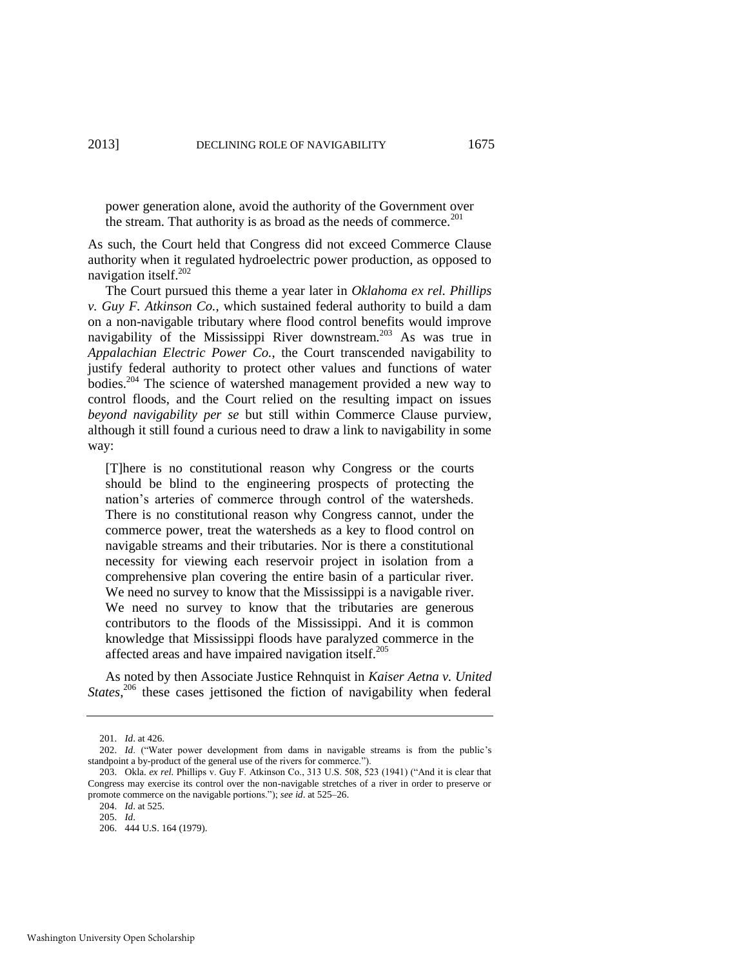power generation alone, avoid the authority of the Government over the stream. That authority is as broad as the needs of commerce.<sup>201</sup>

As such, the Court held that Congress did not exceed Commerce Clause authority when it regulated hydroelectric power production, as opposed to navigation itself.<sup>202</sup>

<span id="page-33-0"></span>The Court pursued this theme a year later in *Oklahoma ex rel. Phillips v. Guy F. Atkinson Co.*, which sustained federal authority to build a dam on a non-navigable tributary where flood control benefits would improve navigability of the Mississippi River downstream.<sup>203</sup> As was true in *Appalachian Electric Power Co.*, the Court transcended navigability to justify federal authority to protect other values and functions of water bodies.<sup>204</sup> The science of watershed management provided a new way to control floods, and the Court relied on the resulting impact on issues *beyond navigability per se* but still within Commerce Clause purview, although it still found a curious need to draw a link to navigability in some way:

[T]here is no constitutional reason why Congress or the courts should be blind to the engineering prospects of protecting the nation's arteries of commerce through control of the watersheds. There is no constitutional reason why Congress cannot, under the commerce power, treat the watersheds as a key to flood control on navigable streams and their tributaries. Nor is there a constitutional necessity for viewing each reservoir project in isolation from a comprehensive plan covering the entire basin of a particular river. We need no survey to know that the Mississippi is a navigable river. We need no survey to know that the tributaries are generous contributors to the floods of the Mississippi. And it is common knowledge that Mississippi floods have paralyzed commerce in the affected areas and have impaired navigation itself.<sup>205</sup>

As noted by then Associate Justice Rehnquist in *Kaiser Aetna v. United*  States,<sup>206</sup> these cases jettisoned the fiction of navigability when federal

<sup>201.</sup> *Id*. at 426.

<sup>202.</sup> *Id.* ("Water power development from dams in navigable streams is from the public's standpoint a by-product of the general use of the rivers for commerce.").

<sup>203.</sup> Okla. *ex rel.* Phillips v. Guy F. Atkinson Co., 313 U.S. 508, 523 (1941) ("And it is clear that Congress may exercise its control over the non-navigable stretches of a river in order to preserve or promote commerce on the navigable portions.‖); *see id*. at 525–26.

<sup>204.</sup> *Id*. at 525.

<sup>205.</sup> *Id*.

<sup>206. 444</sup> U.S. 164 (1979).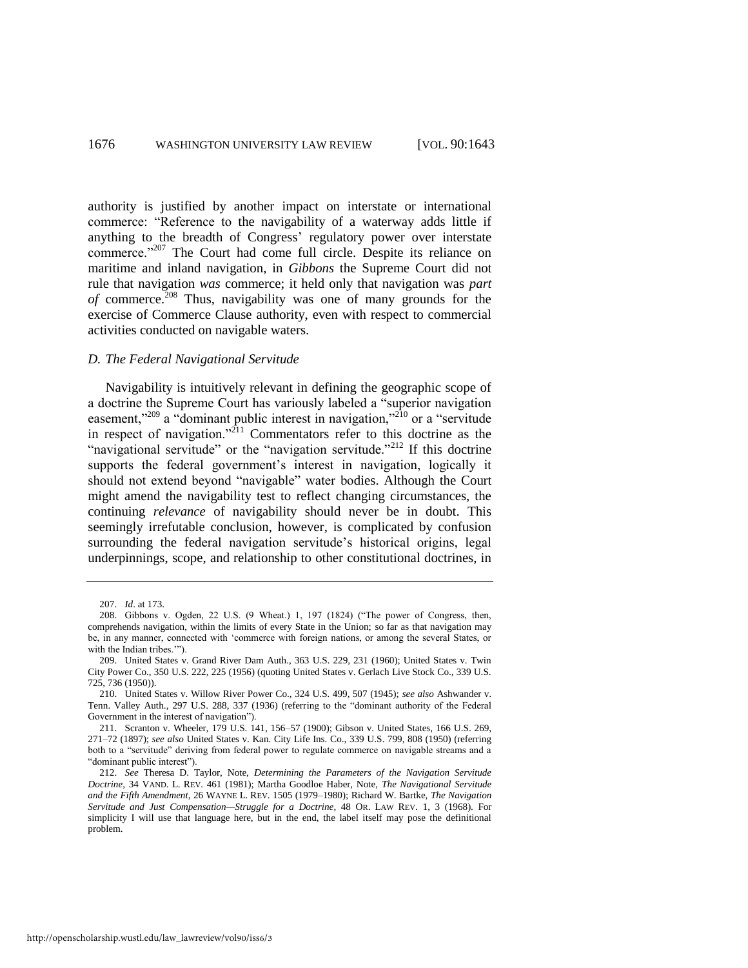authority is justified by another impact on interstate or international commerce: "Reference to the navigability of a waterway adds little if anything to the breadth of Congress' regulatory power over interstate commerce."<sup>207</sup> The Court had come full circle. Despite its reliance on maritime and inland navigation, in *Gibbons* the Supreme Court did not rule that navigation *was* commerce; it held only that navigation was *part of* commerce.<sup>208</sup> Thus, navigability was one of many grounds for the exercise of Commerce Clause authority, even with respect to commercial activities conducted on navigable waters.

#### <span id="page-34-1"></span>*D. The Federal Navigational Servitude*

<span id="page-34-0"></span>Navigability is intuitively relevant in defining the geographic scope of a doctrine the Supreme Court has variously labeled a "superior navigation" easement,<sup>2209</sup> a "dominant public interest in navigation,<sup>210</sup> or a "servitude" in respect of navigation. $n^{211}$  Commentators refer to this doctrine as the "navigational servitude" or the "navigation servitude."<sup>212</sup> If this doctrine supports the federal government's interest in navigation, logically it should not extend beyond "navigable" water bodies. Although the Court might amend the navigability test to reflect changing circumstances, the continuing *relevance* of navigability should never be in doubt. This seemingly irrefutable conclusion, however, is complicated by confusion surrounding the federal navigation servitude's historical origins, legal underpinnings, scope, and relationship to other constitutional doctrines, in

<sup>207.</sup> *Id*. at 173.

<sup>208.</sup> Gibbons v. Ogden, 22 U.S.  $(9 \text{ Wheat})$  1, 197  $(1824)$  ("The power of Congress, then, comprehends navigation, within the limits of every State in the Union; so far as that navigation may be, in any manner, connected with 'commerce with foreign nations, or among the several States, or with the Indian tribes."").

<sup>209.</sup> United States v. Grand River Dam Auth., 363 U.S. 229, 231 (1960); United States v. Twin City Power Co., 350 U.S. 222, 225 (1956) (quoting United States v. Gerlach Live Stock Co., 339 U.S. 725, 736 (1950)).

<sup>210.</sup> United States v. Willow River Power Co., 324 U.S. 499, 507 (1945); *see also* Ashwander v. Tenn. Valley Auth., 297 U.S. 288, 337 (1936) (referring to the "dominant authority of the Federal Government in the interest of navigation").

<sup>211.</sup> Scranton v. Wheeler, 179 U.S. 141, 156–57 (1900); Gibson v. United States, 166 U.S. 269, 271–72 (1897); *see also* United States v. Kan. City Life Ins. Co., 339 U.S. 799, 808 (1950) (referring both to a "servitude" deriving from federal power to regulate commerce on navigable streams and a "dominant public interest").

<sup>212.</sup> *See* Theresa D. Taylor, Note, *Determining the Parameters of the Navigation Servitude Doctrine*, 34 VAND. L. REV. 461 (1981); Martha Goodloe Haber, Note, *The Navigational Servitude and the Fifth Amendment*, 26 WAYNE L. REV. 1505 (1979–1980); Richard W. Bartke, *The Navigation Servitude and Just Compensation—Struggle for a Doctrine*, 48 OR. LAW REV. 1, 3 (1968). For simplicity I will use that language here, but in the end, the label itself may pose the definitional problem.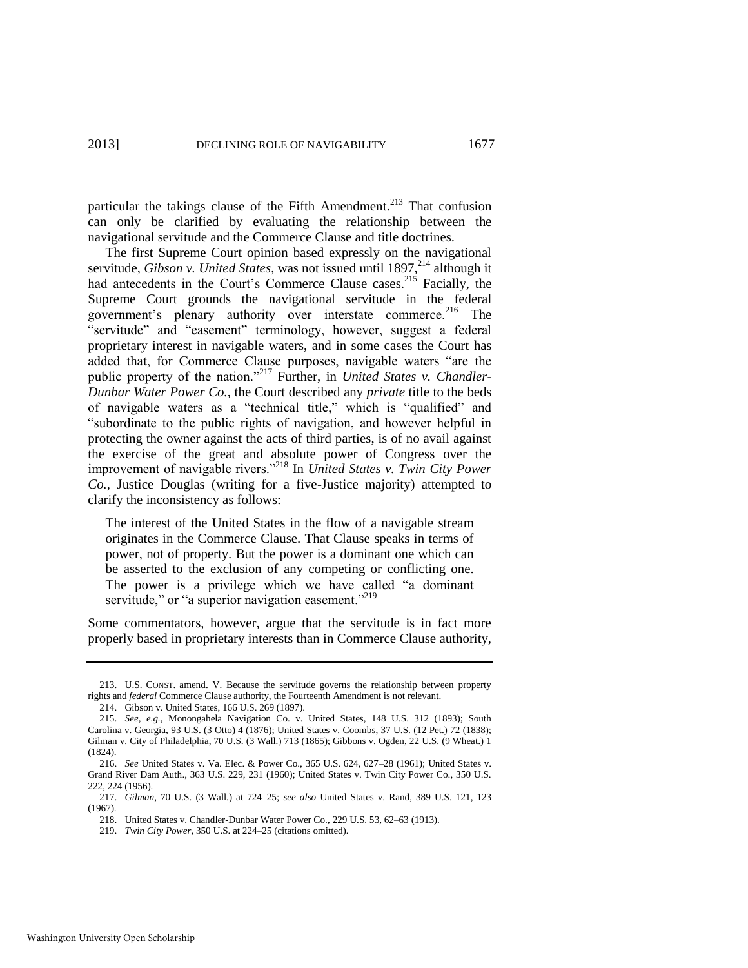particular the takings clause of the Fifth Amendment.<sup>213</sup> That confusion can only be clarified by evaluating the relationship between the navigational servitude and the Commerce Clause and title doctrines.

The first Supreme Court opinion based expressly on the navigational servitude, *Gibson v. United States*, was not issued until 1897,<sup>214</sup> although it had antecedents in the Court's Commerce Clause cases.<sup>215</sup> Facially, the Supreme Court grounds the navigational servitude in the federal government's plenary authority over interstate commerce.<sup>216</sup> The "servitude" and "easement" terminology, however, suggest a federal proprietary interest in navigable waters, and in some cases the Court has added that, for Commerce Clause purposes, navigable waters "are the public property of the nation."<sup>217</sup> Further, in *United States v. Chandler-Dunbar Water Power Co.*, the Court described any *private* title to the beds of navigable waters as a "technical title," which is "qualified" and ―subordinate to the public rights of navigation, and however helpful in protecting the owner against the acts of third parties, is of no avail against the exercise of the great and absolute power of Congress over the improvement of navigable rivers."<sup>218</sup> In *United States v. Twin City Power Co.*, Justice Douglas (writing for a five-Justice majority) attempted to clarify the inconsistency as follows:

The interest of the United States in the flow of a navigable stream originates in the Commerce Clause. That Clause speaks in terms of power, not of property. But the power is a dominant one which can be asserted to the exclusion of any competing or conflicting one. The power is a privilege which we have called "a dominant servitude," or "a superior navigation easement."<sup>219</sup>

Some commentators, however, argue that the servitude is in fact more properly based in proprietary interests than in Commerce Clause authority,

<sup>213.</sup> U.S. CONST. amend. V. Because the servitude governs the relationship between property rights and *federal* Commerce Clause authority, the Fourteenth Amendment is not relevant.

<sup>214.</sup> Gibson v. United States, 166 U.S. 269 (1897).

<sup>215.</sup> *See, e.g.*, Monongahela Navigation Co. v. United States, 148 U.S. 312 (1893); South Carolina v. Georgia, 93 U.S. (3 Otto) 4 (1876); United States v. Coombs, 37 U.S. (12 Pet.) 72 (1838); Gilman v. City of Philadelphia, 70 U.S. (3 Wall.) 713 (1865); Gibbons v. Ogden, 22 U.S. (9 Wheat.) 1 (1824).

<sup>216.</sup> *See* United States v. Va. Elec. & Power Co., 365 U.S. 624, 627–28 (1961); United States v. Grand River Dam Auth., 363 U.S. 229, 231 (1960); United States v. Twin City Power Co., 350 U.S. 222, 224 (1956).

<sup>217.</sup> *Gilman*, 70 U.S. (3 Wall.) at 724–25; *see also* United States v. Rand, 389 U.S. 121, 123 (1967).

<sup>218.</sup> United States v. Chandler-Dunbar Water Power Co., 229 U.S. 53, 62–63 (1913).

<sup>219.</sup> *Twin City Power*, 350 U.S. at 224–25 (citations omitted).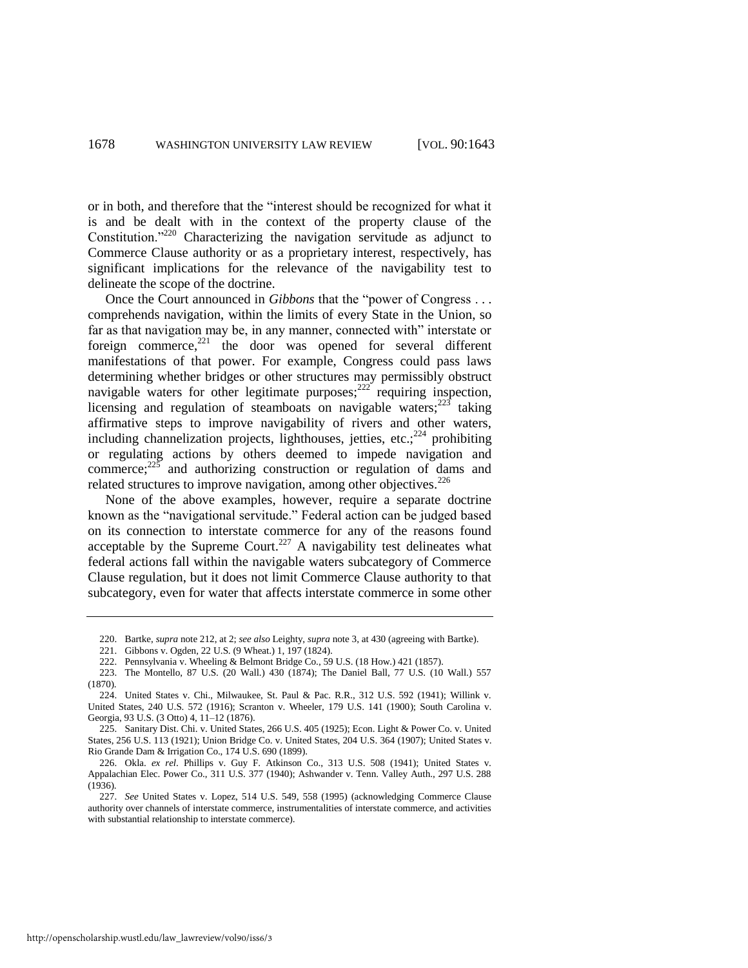or in both, and therefore that the "interest should be recognized for what it is and be dealt with in the context of the property clause of the Constitution.<sup> $220$ </sup> Characterizing the navigation servitude as adjunct to Commerce Clause authority or as a proprietary interest, respectively, has significant implications for the relevance of the navigability test to delineate the scope of the doctrine.

Once the Court announced in *Gibbons* that the "power of Congress . . . comprehends navigation, within the limits of every State in the Union, so far as that navigation may be, in any manner, connected with" interstate or foreign commerce, $^{221}$  the door was opened for several different manifestations of that power. For example, Congress could pass laws determining whether bridges or other structures may permissibly obstruct navigable waters for other legitimate purposes; $^{222}$  requiring inspection, licensing and regulation of steamboats on navigable waters; $223$  taking affirmative steps to improve navigability of rivers and other waters, including channelization projects, lighthouses, jetties, etc.; $^{224}$  prohibiting or regulating actions by others deemed to impede navigation and commerce; $^{225}$  and authorizing construction or regulation of dams and related structures to improve navigation, among other objectives.<sup>226</sup>

None of the above examples, however, require a separate doctrine known as the "navigational servitude." Federal action can be judged based on its connection to interstate commerce for any of the reasons found acceptable by the Supreme Court.<sup>227</sup> A navigability test delineates what federal actions fall within the navigable waters subcategory of Commerce Clause regulation, but it does not limit Commerce Clause authority to that subcategory, even for water that affects interstate commerce in some other

- 222. Pennsylvania v. Wheeling & Belmont Bridge Co., 59 U.S. (18 How.) 421 (1857).
- 223. The Montello, 87 U.S. (20 Wall.) 430 (1874); The Daniel Ball, 77 U.S. (10 Wall.) 557 (1870).

<sup>220.</sup> Bartke, *supra* not[e 212,](#page-34-0) at 2; *see also* Leighty, *supra* not[e 3,](#page-1-0) at 430 (agreeing with Bartke).

<sup>221.</sup> Gibbons v. Ogden, 22 U.S. (9 Wheat.) 1, 197 (1824).

<sup>224.</sup> United States v. Chi., Milwaukee, St. Paul & Pac. R.R., 312 U.S. 592 (1941); Willink v. United States, 240 U.S. 572 (1916); Scranton v. Wheeler, 179 U.S. 141 (1900); South Carolina v. Georgia, 93 U.S. (3 Otto) 4, 11–12 (1876).

<sup>225.</sup> Sanitary Dist. Chi. v. United States, 266 U.S. 405 (1925); Econ. Light & Power Co. v. United States, 256 U.S. 113 (1921); Union Bridge Co. v. United States, 204 U.S. 364 (1907); United States v. Rio Grande Dam & Irrigation Co., 174 U.S. 690 (1899).

<sup>226.</sup> Okla. *ex rel*. Phillips v. Guy F. Atkinson Co., 313 U.S. 508 (1941); United States v. Appalachian Elec. Power Co., 311 U.S. 377 (1940); Ashwander v. Tenn. Valley Auth., 297 U.S. 288  $(1936)$ 

<sup>227.</sup> *See* United States v. Lopez, 514 U.S. 549, 558 (1995) (acknowledging Commerce Clause authority over channels of interstate commerce, instrumentalities of interstate commerce, and activities with substantial relationship to interstate commerce).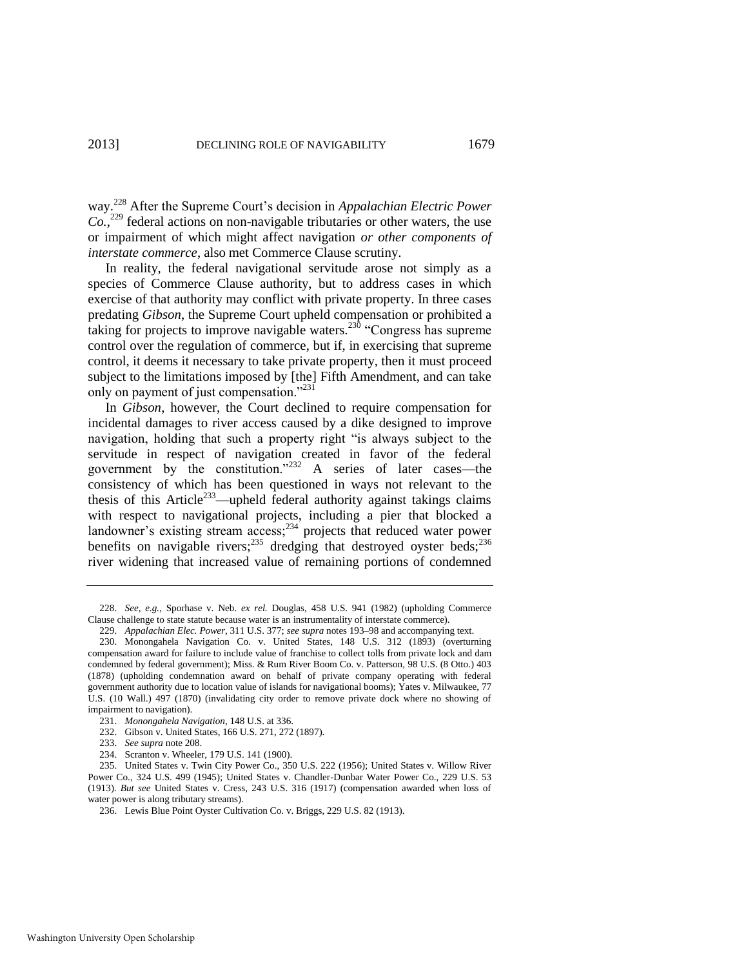way.<sup>228</sup> After the Supreme Court's decision in *Appalachian Electric Power Co.*, <sup>229</sup> federal actions on non-navigable tributaries or other waters, the use or impairment of which might affect navigation *or other components of interstate commerce*, also met Commerce Clause scrutiny.

In reality, the federal navigational servitude arose not simply as a species of Commerce Clause authority, but to address cases in which exercise of that authority may conflict with private property. In three cases predating *Gibson*, the Supreme Court upheld compensation or prohibited a taking for projects to improve navigable waters.<sup>230</sup> "Congress has supreme control over the regulation of commerce, but if, in exercising that supreme control, it deems it necessary to take private property, then it must proceed subject to the limitations imposed by [the] Fifth Amendment, and can take only on payment of just compensation."<sup>231</sup>

In *Gibson*, however, the Court declined to require compensation for incidental damages to river access caused by a dike designed to improve navigation, holding that such a property right "is always subject to the servitude in respect of navigation created in favor of the federal government by the constitution.<sup> $232$ </sup> A series of later cases—the consistency of which has been questioned in ways not relevant to the thesis of this Article<sup>233</sup>—upheld federal authority against takings claims with respect to navigational projects, including a pier that blocked a landowner's existing stream  $\arccos$ ;  $^{234}$  projects that reduced water power benefits on navigable rivers;<sup>235</sup> dredging that destroyed oyster beds;<sup>236</sup> river widening that increased value of remaining portions of condemned

<sup>228.</sup> *See, e.g.*, Sporhase v. Neb. *ex rel.* Douglas, 458 U.S. 941 (1982) (upholding Commerce Clause challenge to state statute because water is an instrumentality of interstate commerce).

<sup>229.</sup> *Appalachian Elec. Power*, 311 U.S. 377; *see supra* note[s 193–](#page-31-0)98 and accompanying text.

<sup>230.</sup> Monongahela Navigation Co. v. United States, 148 U.S. 312 (1893) (overturning compensation award for failure to include value of franchise to collect tolls from private lock and dam condemned by federal government); Miss. & Rum River Boom Co. v. Patterson, 98 U.S. (8 Otto.) 403 (1878) (upholding condemnation award on behalf of private company operating with federal government authority due to location value of islands for navigational booms); Yates v. Milwaukee, 77 U.S. (10 Wall.) 497 (1870) (invalidating city order to remove private dock where no showing of impairment to navigation).

<sup>231.</sup> *Monongahela Navigation*, 148 U.S. at 336.

<sup>232.</sup> Gibson v. United States, 166 U.S. 271, 272 (1897).

<sup>233.</sup> *See supra* not[e 208.](#page-34-1) 

<sup>234.</sup> Scranton v. Wheeler, 179 U.S. 141 (1900).

<sup>235.</sup> United States v. Twin City Power Co., 350 U.S. 222 (1956); United States v. Willow River Power Co., 324 U.S. 499 (1945); United States v. Chandler-Dunbar Water Power Co., 229 U.S. 53 (1913). *But see* United States v. Cress, 243 U.S. 316 (1917) (compensation awarded when loss of water power is along tributary streams).

<sup>236.</sup> Lewis Blue Point Oyster Cultivation Co. v. Briggs, 229 U.S. 82 (1913).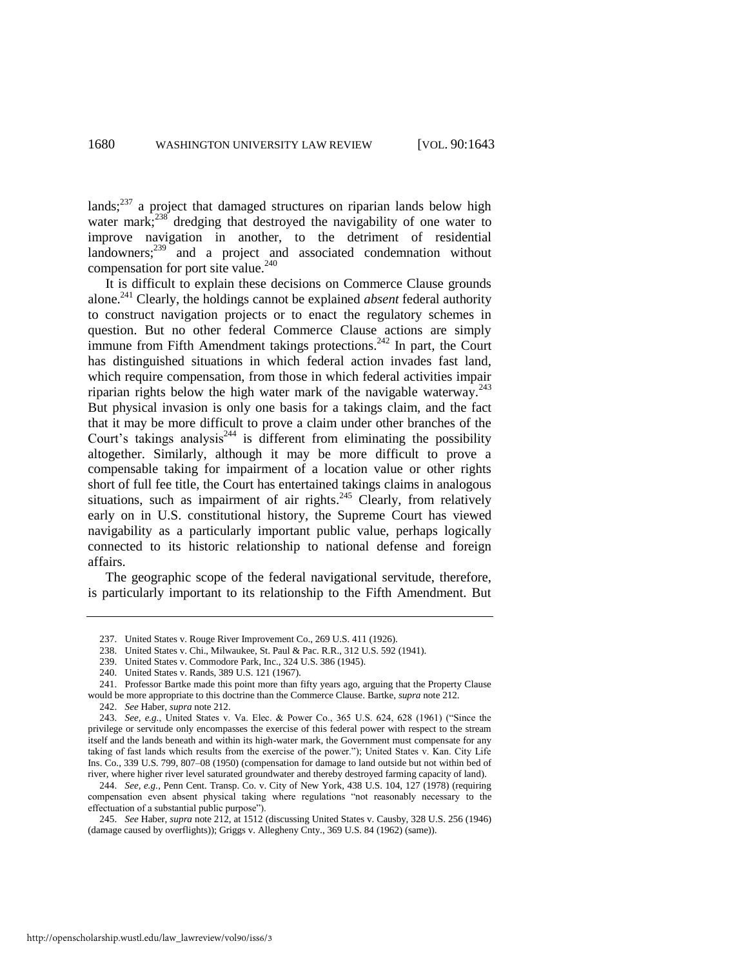lands; $237$  a project that damaged structures on riparian lands below high water mark; $^{238}$  dredging that destroyed the navigability of one water to improve navigation in another, to the detriment of residential  $\arctan 239$  and a project and associated condemnation without compensation for port site value.<sup>240</sup>

It is difficult to explain these decisions on Commerce Clause grounds alone.<sup>241</sup> Clearly, the holdings cannot be explained *absent* federal authority to construct navigation projects or to enact the regulatory schemes in question. But no other federal Commerce Clause actions are simply immune from Fifth Amendment takings protections.<sup>242</sup> In part, the Court has distinguished situations in which federal action invades fast land, which require compensation, from those in which federal activities impair riparian rights below the high water mark of the navigable waterway.<sup>243</sup> But physical invasion is only one basis for a takings claim, and the fact that it may be more difficult to prove a claim under other branches of the Court's takings analysis<sup>244</sup> is different from eliminating the possibility altogether. Similarly, although it may be more difficult to prove a compensable taking for impairment of a location value or other rights short of full fee title, the Court has entertained takings claims in analogous situations, such as impairment of air rights.<sup>245</sup> Clearly, from relatively early on in U.S. constitutional history, the Supreme Court has viewed navigability as a particularly important public value, perhaps logically connected to its historic relationship to national defense and foreign affairs.

The geographic scope of the federal navigational servitude, therefore, is particularly important to its relationship to the Fifth Amendment. But

<sup>237.</sup> United States v. Rouge River Improvement Co., 269 U.S. 411 (1926).

<sup>238.</sup> United States v. Chi., Milwaukee, St. Paul & Pac. R.R., 312 U.S. 592 (1941).

<sup>239.</sup> United States v. Commodore Park, Inc., 324 U.S. 386 (1945).

<sup>240.</sup> United States v. Rands, 389 U.S. 121 (1967).

<sup>241.</sup> Professor Bartke made this point more than fifty years ago, arguing that the Property Clause would be more appropriate to this doctrine than the Commerce Clause. Bartke, *supra* not[e 212.](#page-34-0)

<sup>242.</sup> *See* Haber, *supra* not[e 212.](#page-34-0) 

<sup>243.</sup> *See, e.g.*, United States v. Va. Elec. & Power Co., 365 U.S. 624, 628 (1961) ("Since the privilege or servitude only encompasses the exercise of this federal power with respect to the stream itself and the lands beneath and within its high-water mark, the Government must compensate for any taking of fast lands which results from the exercise of the power."); United States v. Kan. City Life Ins. Co., 339 U.S. 799, 807–08 (1950) (compensation for damage to land outside but not within bed of river, where higher river level saturated groundwater and thereby destroyed farming capacity of land).

<sup>244.</sup> *See, e.g.*, Penn Cent. Transp. Co. v. City of New York, 438 U.S. 104, 127 (1978) (requiring compensation even absent physical taking where regulations "not reasonably necessary to the effectuation of a substantial public purpose").

<sup>245.</sup> *See* Haber, *supra* not[e 212,](#page-34-0) at 1512 (discussing United States v. Causby, 328 U.S. 256 (1946) (damage caused by overflights)); Griggs v. Allegheny Cnty., 369 U.S. 84 (1962) (same)).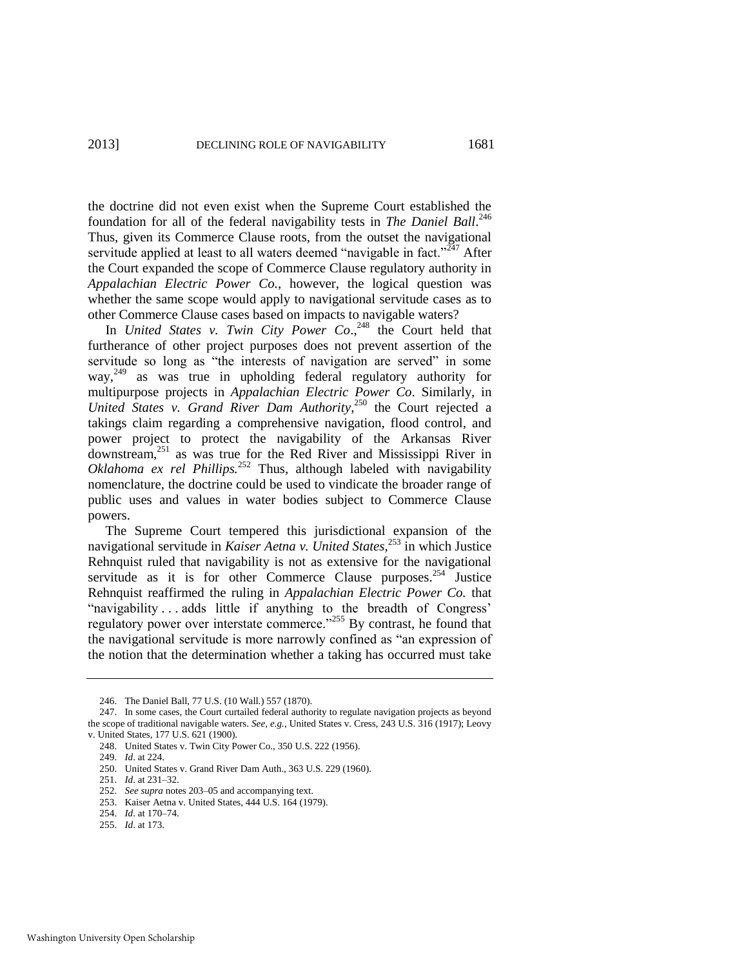the doctrine did not even exist when the Supreme Court established the foundation for all of the federal navigability tests in *The Daniel Ball*. 246 Thus, given its Commerce Clause roots, from the outset the navigational servitude applied at least to all waters deemed "navigable in fact." $247$  After the Court expanded the scope of Commerce Clause regulatory authority in *Appalachian Electric Power Co.*, however, the logical question was whether the same scope would apply to navigational servitude cases as to other Commerce Clause cases based on impacts to navigable waters?

In *United States v. Twin City Power Co*., <sup>248</sup> the Court held that furtherance of other project purposes does not prevent assertion of the servitude so long as "the interests of navigation are served" in some way,<sup>249</sup> as was true in upholding federal regulatory authority for multipurpose projects in *Appalachian Electric Power Co*. Similarly, in *United States v. Grand River Dam Authority*, <sup>250</sup> the Court rejected a takings claim regarding a comprehensive navigation, flood control, and power project to protect the navigability of the Arkansas River downstream,<sup>251</sup> as was true for the Red River and Mississippi River in *Oklahoma ex rel Phillips.*<sup>252</sup> Thus, although labeled with navigability nomenclature, the doctrine could be used to vindicate the broader range of public uses and values in water bodies subject to Commerce Clause powers.

The Supreme Court tempered this jurisdictional expansion of the navigational servitude in *Kaiser Aetna v. United States*, <sup>253</sup> in which Justice Rehnquist ruled that navigability is not as extensive for the navigational servitude as it is for other Commerce Clause purposes.<sup>254</sup> Justice Rehnquist reaffirmed the ruling in *Appalachian Electric Power Co.* that "navigability ... adds little if anything to the breadth of Congress' regulatory power over interstate commerce.<sup> $255$ </sup> By contrast, he found that the navigational servitude is more narrowly confined as "an expression of the notion that the determination whether a taking has occurred must take

255. *Id*. at 173.

<sup>246.</sup> The Daniel Ball, 77 U.S. (10 Wall.) 557 (1870).

<sup>247.</sup> In some cases, the Court curtailed federal authority to regulate navigation projects as beyond the scope of traditional navigable waters. *See, e.g.*, United States v. Cress, 243 U.S. 316 (1917); Leovy v. United States, 177 U.S. 621 (1900).

<sup>248.</sup> United States v. Twin City Power Co., 350 U.S. 222 (1956).

<sup>249.</sup> *Id*. at 224.

<sup>250.</sup> United States v. Grand River Dam Auth., 363 U.S. 229 (1960).

<sup>251.</sup> *Id*. at 231–32.

<sup>252.</sup> *See supra* note[s 203–](#page-33-0)05 and accompanying text.

<sup>253.</sup> Kaiser Aetna v. United States, 444 U.S. 164 (1979).

<sup>254.</sup> *Id*. at 170–74.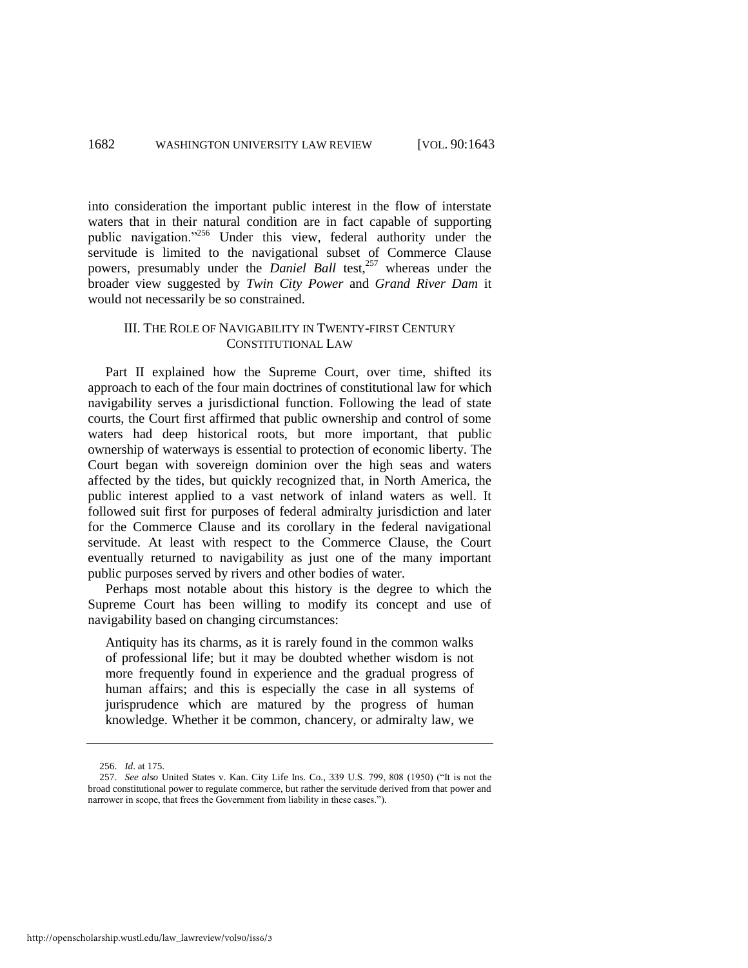into consideration the important public interest in the flow of interstate waters that in their natural condition are in fact capable of supporting public navigation."<sup>256</sup> Under this view, federal authority under the servitude is limited to the navigational subset of Commerce Clause powers, presumably under the *Daniel Ball* test,<sup>257</sup> whereas under the broader view suggested by *Twin City Power* and *Grand River Dam* it would not necessarily be so constrained.

#### III. THE ROLE OF NAVIGABILITY IN TWENTY-FIRST CENTURY CONSTITUTIONAL LAW

Part II explained how the Supreme Court, over time, shifted its approach to each of the four main doctrines of constitutional law for which navigability serves a jurisdictional function. Following the lead of state courts, the Court first affirmed that public ownership and control of some waters had deep historical roots, but more important, that public ownership of waterways is essential to protection of economic liberty. The Court began with sovereign dominion over the high seas and waters affected by the tides, but quickly recognized that, in North America, the public interest applied to a vast network of inland waters as well. It followed suit first for purposes of federal admiralty jurisdiction and later for the Commerce Clause and its corollary in the federal navigational servitude. At least with respect to the Commerce Clause, the Court eventually returned to navigability as just one of the many important public purposes served by rivers and other bodies of water.

Perhaps most notable about this history is the degree to which the Supreme Court has been willing to modify its concept and use of navigability based on changing circumstances:

Antiquity has its charms, as it is rarely found in the common walks of professional life; but it may be doubted whether wisdom is not more frequently found in experience and the gradual progress of human affairs; and this is especially the case in all systems of jurisprudence which are matured by the progress of human knowledge. Whether it be common, chancery, or admiralty law, we

<sup>256.</sup> *Id*. at 175.

<sup>257.</sup> *See also* United States v. Kan. City Life Ins. Co., 339 U.S. 799, 808 (1950) ("It is not the broad constitutional power to regulate commerce, but rather the servitude derived from that power and narrower in scope, that frees the Government from liability in these cases.").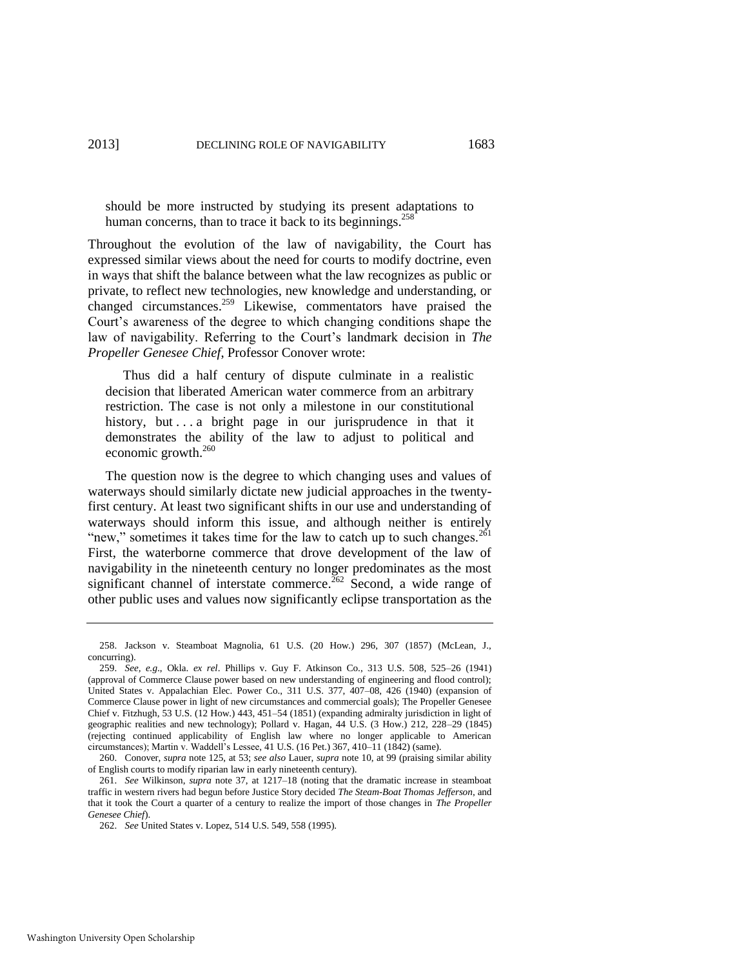should be more instructed by studying its present adaptations to human concerns, than to trace it back to its beginnings.<sup>258</sup>

Throughout the evolution of the law of navigability, the Court has expressed similar views about the need for courts to modify doctrine, even in ways that shift the balance between what the law recognizes as public or private, to reflect new technologies, new knowledge and understanding, or changed circumstances.<sup>259</sup> Likewise, commentators have praised the Court's awareness of the degree to which changing conditions shape the law of navigability. Referring to the Court's landmark decision in *The Propeller Genesee Chief*, Professor Conover wrote:

 Thus did a half century of dispute culminate in a realistic decision that liberated American water commerce from an arbitrary restriction. The case is not only a milestone in our constitutional history, but . . . a bright page in our jurisprudence in that it demonstrates the ability of the law to adjust to political and economic growth.<sup>260</sup>

The question now is the degree to which changing uses and values of waterways should similarly dictate new judicial approaches in the twentyfirst century. At least two significant shifts in our use and understanding of waterways should inform this issue, and although neither is entirely "new," sometimes it takes time for the law to catch up to such changes. $^{261}$ First, the waterborne commerce that drove development of the law of navigability in the nineteenth century no longer predominates as the most significant channel of interstate commerce.<sup>262</sup> Second, a wide range of other public uses and values now significantly eclipse transportation as the

<sup>258.</sup> Jackson v. Steamboat Magnolia, 61 U.S. (20 How.) 296, 307 (1857) (McLean, J., concurring).

<sup>259.</sup> *See, e.g*., Okla. *ex rel*. Phillips v. Guy F. Atkinson Co., 313 U.S. 508, 525–26 (1941) (approval of Commerce Clause power based on new understanding of engineering and flood control); United States v. Appalachian Elec. Power Co., 311 U.S. 377, 407–08, 426 (1940) (expansion of Commerce Clause power in light of new circumstances and commercial goals); The Propeller Genesee Chief v. Fitzhugh, 53 U.S. (12 How.) 443, 451–54 (1851) (expanding admiralty jurisdiction in light of geographic realities and new technology); Pollard v. Hagan, 44 U.S. (3 How.) 212, 228–29 (1845) (rejecting continued applicability of English law where no longer applicable to American circumstances); Martin v. Waddell's Lessee, 41 U.S. (16 Pet.) 367, 410–11 (1842) (same).

<sup>260.</sup> Conover, *supra* note [125,](#page-20-0) at 53; *see also* Lauer, *supra* note [10,](#page-2-1) at 99 (praising similar ability of English courts to modify riparian law in early nineteenth century).

<sup>261.</sup> *See* Wilkinson, *supra* note [37,](#page-6-3) at 1217–18 (noting that the dramatic increase in steamboat traffic in western rivers had begun before Justice Story decided *The Steam-Boat Thomas Jefferson*, and that it took the Court a quarter of a century to realize the import of those changes in *The Propeller Genesee Chief*).

<sup>262.</sup> *See* United States v. Lopez, 514 U.S. 549, 558 (1995).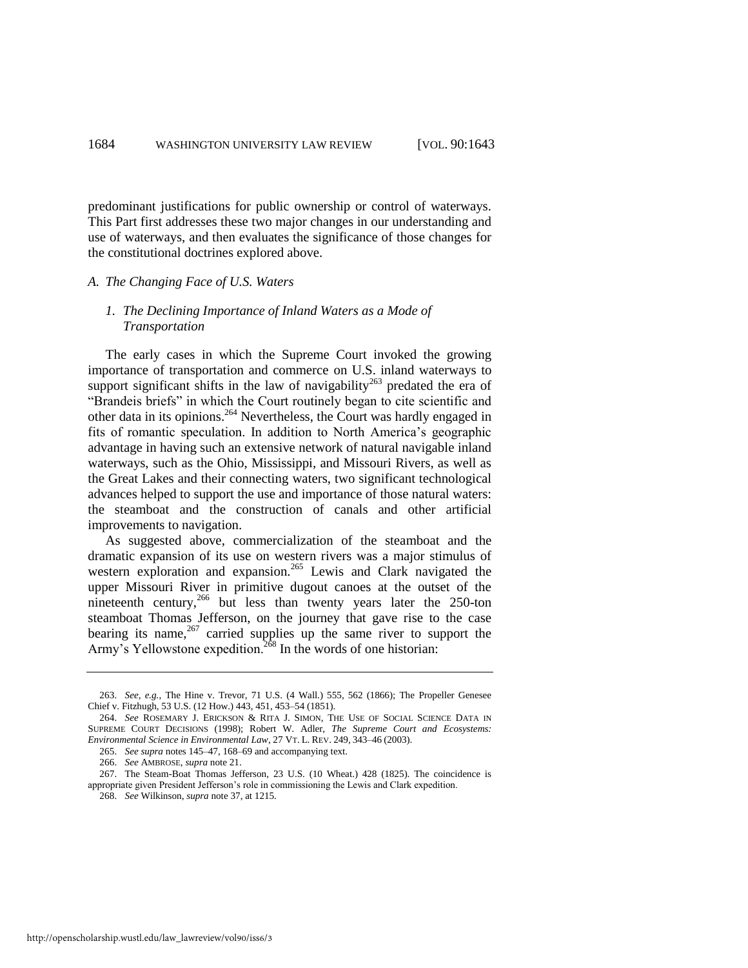predominant justifications for public ownership or control of waterways. This Part first addresses these two major changes in our understanding and use of waterways, and then evaluates the significance of those changes for the constitutional doctrines explored above.

#### *A. The Changing Face of U.S. Waters*

#### *1. The Declining Importance of Inland Waters as a Mode of Transportation*

The early cases in which the Supreme Court invoked the growing importance of transportation and commerce on U.S. inland waterways to support significant shifts in the law of navigability<sup>263</sup> predated the era of "Brandeis briefs" in which the Court routinely began to cite scientific and other data in its opinions.<sup>264</sup> Nevertheless, the Court was hardly engaged in fits of romantic speculation. In addition to North America's geographic advantage in having such an extensive network of natural navigable inland waterways, such as the Ohio, Mississippi, and Missouri Rivers, as well as the Great Lakes and their connecting waters, two significant technological advances helped to support the use and importance of those natural waters: the steamboat and the construction of canals and other artificial improvements to navigation.

As suggested above, commercialization of the steamboat and the dramatic expansion of its use on western rivers was a major stimulus of western exploration and expansion.<sup>265</sup> Lewis and Clark navigated the upper Missouri River in primitive dugout canoes at the outset of the nineteenth century,  $^{266}$  but less than twenty years later the 250-ton steamboat Thomas Jefferson, on the journey that gave rise to the case bearing its name, $267$  carried supplies up the same river to support the Army's Yellowstone expedition.<sup>268</sup> In the words of one historian:

<sup>263.</sup> *See, e.g.*, The Hine v. Trevor, 71 U.S. (4 Wall.) 555, 562 (1866); The Propeller Genesee Chief v. Fitzhugh, 53 U.S. (12 How.) 443, 451, 453–54 (1851).

<sup>264.</sup> *See* ROSEMARY J. ERICKSON & RITA J. SIMON, THE USE OF SOCIAL SCIENCE DATA IN SUPREME COURT DECISIONS (1998); Robert W. Adler, *The Supreme Court and Ecosystems: Environmental Science in Environmental Law*, 27 VT. L. REV. 249, 343–46 (2003).

<sup>265.</sup> *See supra* note[s 145–](#page-24-1)47[, 168–](#page-27-0)69 and accompanying text.

<sup>266.</sup> *See* AMBROSE, *supra* note [21.](#page-4-1) 

<sup>267.</sup> The Steam-Boat Thomas Jefferson, 23 U.S. (10 Wheat.) 428 (1825). The coincidence is appropriate given President Jefferson's role in commissioning the Lewis and Clark expedition.

<sup>268.</sup> *See* Wilkinson, *supra* not[e 37,](#page-6-3) at 1215.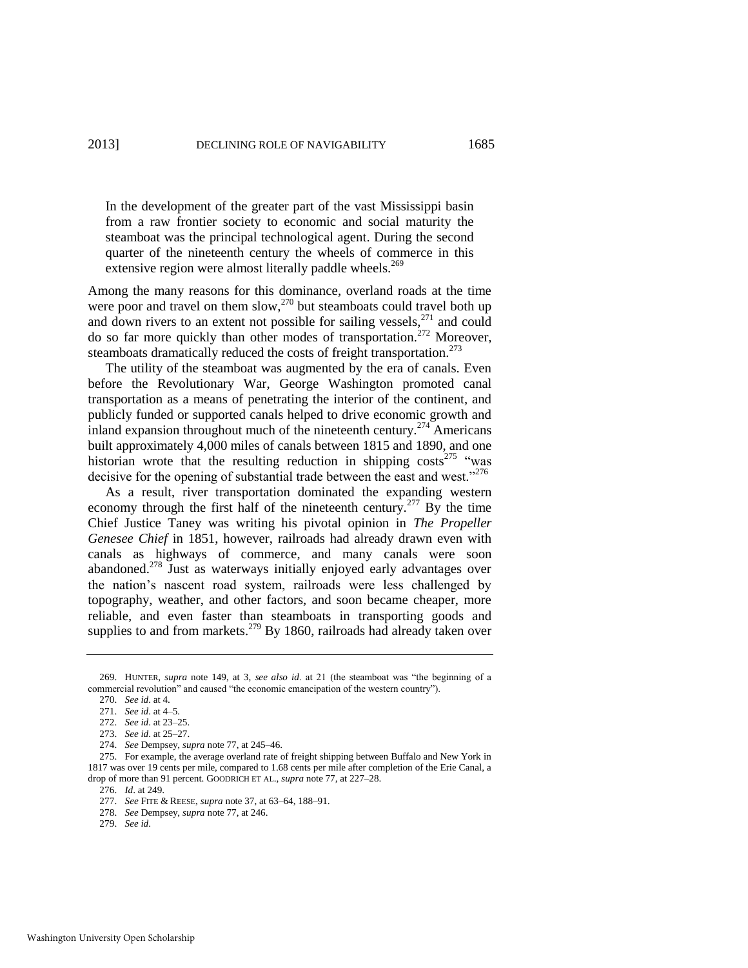In the development of the greater part of the vast Mississippi basin from a raw frontier society to economic and social maturity the steamboat was the principal technological agent. During the second quarter of the nineteenth century the wheels of commerce in this extensive region were almost literally paddle wheels. $269$ 

Among the many reasons for this dominance, overland roads at the time were poor and travel on them slow, $270$  but steamboats could travel both up and down rivers to an extent not possible for sailing vessels, $271$  and could do so far more quickly than other modes of transportation.<sup>272</sup> Moreover, steamboats dramatically reduced the costs of freight transportation.<sup>273</sup>

The utility of the steamboat was augmented by the era of canals. Even before the Revolutionary War, George Washington promoted canal transportation as a means of penetrating the interior of the continent, and publicly funded or supported canals helped to drive economic growth and inland expansion throughout much of the nineteenth century.<sup>274</sup> Americans built approximately 4,000 miles of canals between 1815 and 1890, and one historian wrote that the resulting reduction in shipping costs<sup>275</sup> "was decisive for the opening of substantial trade between the east and west."<sup>276</sup>

As a result, river transportation dominated the expanding western economy through the first half of the nineteenth century.<sup>277</sup> By the time Chief Justice Taney was writing his pivotal opinion in *The Propeller Genesee Chief* in 1851, however, railroads had already drawn even with canals as highways of commerce, and many canals were soon abandoned.<sup>278</sup> Just as waterways initially enjoyed early advantages over the nation's nascent road system, railroads were less challenged by topography, weather, and other factors, and soon became cheaper, more reliable, and even faster than steamboats in transporting goods and supplies to and from markets.<sup>279</sup> By 1860, railroads had already taken over

<sup>269.</sup> HUNTER, *supra* note [149,](#page-24-0) at 3, *see also id.* at 21 (the steamboat was "the beginning of a commercial revolution" and caused "the economic emancipation of the western country").

<sup>270.</sup> *See id*. at 4.

<sup>271.</sup> *See id*. at 4–5.

<sup>272.</sup> *See id*. at 23–25.

<sup>273.</sup> *See id*. at 25–27.

<sup>274.</sup> *See* Dempsey, *supra* not[e 77,](#page-12-1) at 245–46.

<sup>275.</sup> For example, the average overland rate of freight shipping between Buffalo and New York in 1817 was over 19 cents per mile, compared to 1.68 cents per mile after completion of the Erie Canal, a drop of more than 91 percent. GOODRICH ET AL., *supra* not[e 77,](#page-12-1) at 227–28.

<sup>276.</sup> *Id*. at 249.

<sup>277.</sup> *See* FITE & REESE, *supra* not[e 37,](#page-6-3) at 63–64, 188–91.

<sup>278.</sup> *See* Dempsey, *supra* not[e 77,](#page-12-1) at 246.

<sup>279.</sup> *See id*.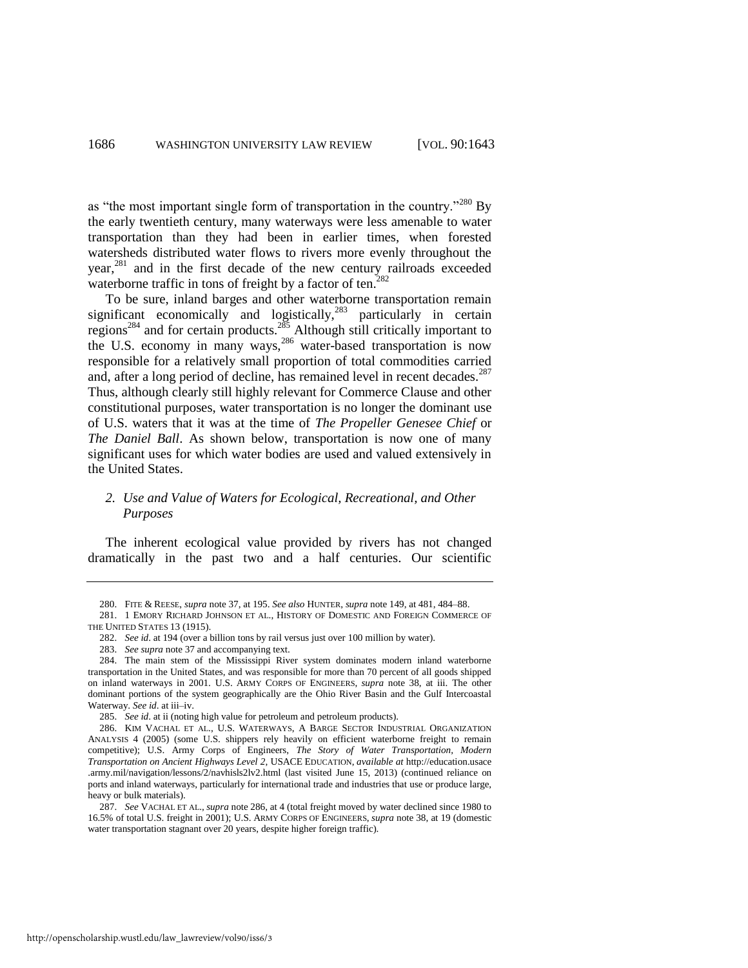as "the most important single form of transportation in the country."<sup>280</sup> By the early twentieth century, many waterways were less amenable to water transportation than they had been in earlier times, when forested watersheds distributed water flows to rivers more evenly throughout the year,<sup>281</sup> and in the first decade of the new century railroads exceeded waterborne traffic in tons of freight by a factor of ten. $282$ 

<span id="page-44-0"></span>To be sure, inland barges and other waterborne transportation remain significant economically and logistically,<sup>283</sup> particularly in certain regions<sup>284</sup> and for certain products.<sup>285</sup> Although still critically important to the U.S. economy in many ways,<sup>286</sup> water-based transportation is now responsible for a relatively small proportion of total commodities carried and, after a long period of decline, has remained level in recent decades.<sup>287</sup> Thus, although clearly still highly relevant for Commerce Clause and other constitutional purposes, water transportation is no longer the dominant use of U.S. waters that it was at the time of *The Propeller Genesee Chief* or *The Daniel Ball*. As shown below, transportation is now one of many significant uses for which water bodies are used and valued extensively in the United States.

#### *2. Use and Value of Waters for Ecological, Recreational, and Other Purposes*

The inherent ecological value provided by rivers has not changed dramatically in the past two and a half centuries. Our scientific

<sup>280.</sup> FITE & REESE, *supra* not[e 37,](#page-6-3) at 195. *See also* HUNTER, *supra* not[e 149,](#page-24-0) at 481, 484–88.

<sup>281. 1</sup> EMORY RICHARD JOHNSON ET AL., HISTORY OF DOMESTIC AND FOREIGN COMMERCE OF THE UNITED STATES 13 (1915).

<sup>282.</sup> *See id*. at 194 (over a billion tons by rail versus just over 100 million by water).

<sup>283.</sup> *See supra* not[e 37 a](#page-6-3)nd accompanying text.

<sup>284.</sup> The main stem of the Mississippi River system dominates modern inland waterborne transportation in the United States, and was responsible for more than 70 percent of all goods shipped on inland waterways in 2001. U.S. ARMY CORPS OF ENGINEERS, *supra* note [38,](#page-6-4) at iii. The other dominant portions of the system geographically are the Ohio River Basin and the Gulf Intercoastal Waterway. *See id*. at iii–iv.

<sup>285.</sup> *See id*. at ii (noting high value for petroleum and petroleum products).

<sup>286.</sup> KIM VACHAL ET AL., U.S. WATERWAYS, A BARGE SECTOR INDUSTRIAL ORGANIZATION ANALYSIS 4 (2005) (some U.S. shippers rely heavily on efficient waterborne freight to remain competitive); U.S. Army Corps of Engineers, *The Story of Water Transportation, Modern Transportation on Ancient Highways Level 2*, USACE EDUCATION, *available at* http://education.usace .army.mil/navigation/lessons/2/navhisls2lv2.html (last visited June 15, 2013) (continued reliance on ports and inland waterways, particularly for international trade and industries that use or produce large, heavy or bulk materials).

<sup>287.</sup> *See* VACHAL ET AL., *supra* not[e 286,](#page-44-0) at 4 (total freight moved by water declined since 1980 to 16.5% of total U.S. freight in 2001); U.S. ARMY CORPS OF ENGINEERS, *supra* not[e 38,](#page-6-4) at 19 (domestic water transportation stagnant over 20 years, despite higher foreign traffic).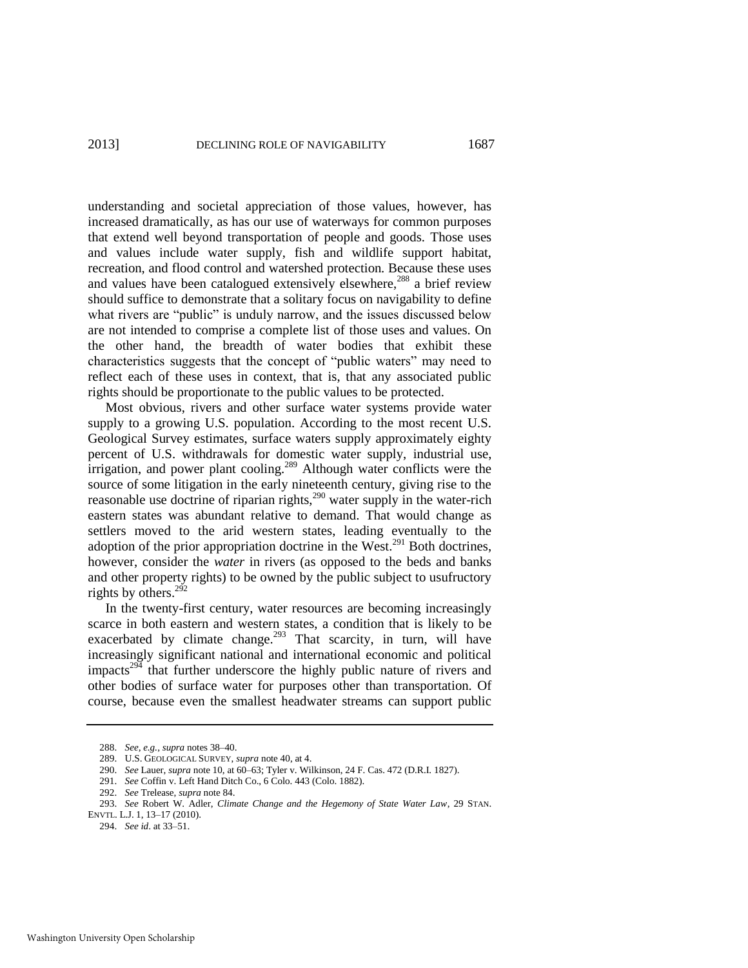understanding and societal appreciation of those values, however, has increased dramatically, as has our use of waterways for common purposes that extend well beyond transportation of people and goods. Those uses and values include water supply, fish and wildlife support habitat, recreation, and flood control and watershed protection. Because these uses and values have been catalogued extensively elsewhere,<sup>288</sup> a brief review should suffice to demonstrate that a solitary focus on navigability to define what rivers are "public" is unduly narrow, and the issues discussed below are not intended to comprise a complete list of those uses and values. On the other hand, the breadth of water bodies that exhibit these characteristics suggests that the concept of "public waters" may need to reflect each of these uses in context, that is, that any associated public rights should be proportionate to the public values to be protected.

Most obvious, rivers and other surface water systems provide water supply to a growing U.S. population. According to the most recent U.S. Geological Survey estimates, surface waters supply approximately eighty percent of U.S. withdrawals for domestic water supply, industrial use, irrigation, and power plant cooling.<sup>289</sup> Although water conflicts were the source of some litigation in the early nineteenth century, giving rise to the reasonable use doctrine of riparian rights,<sup>290</sup> water supply in the water-rich eastern states was abundant relative to demand. That would change as settlers moved to the arid western states, leading eventually to the adoption of the prior appropriation doctrine in the West.<sup>291</sup> Both doctrines, however, consider the *water* in rivers (as opposed to the beds and banks and other property rights) to be owned by the public subject to usufructory rights by others.<sup>292</sup>

In the twenty-first century, water resources are becoming increasingly scarce in both eastern and western states, a condition that is likely to be exacerbated by climate change.<sup>293</sup> That scarcity, in turn, will have increasingly significant national and international economic and political impacts<sup>294</sup> that further underscore the highly public nature of rivers and other bodies of surface water for purposes other than transportation. Of course, because even the smallest headwater streams can support public

<sup>288.</sup> *See, e.g.*, *supra* note[s 38](#page-6-4)[–40.](#page-6-1)

<sup>289.</sup> U.S. GEOLOGICAL SURVEY, *supra* not[e 40,](#page-6-1) at 4.

<sup>290.</sup> *See* Lauer, *supra* not[e 10,](#page-2-1) at 60–63; Tyler v. Wilkinson, 24 F. Cas. 472 (D.R.I. 1827).

<sup>291.</sup> *See* Coffin v. Left Hand Ditch Co., 6 Colo. 443 (Colo. 1882).

<sup>292.</sup> *See* Trelease, *supra* not[e 84.](#page-14-0) 

<sup>293.</sup> *See* Robert W. Adler, *Climate Change and the Hegemony of State Water Law*, 29 STAN. ENVTL. L.J. 1, 13–17 (2010).

<sup>294.</sup> *See id*. at 33–51.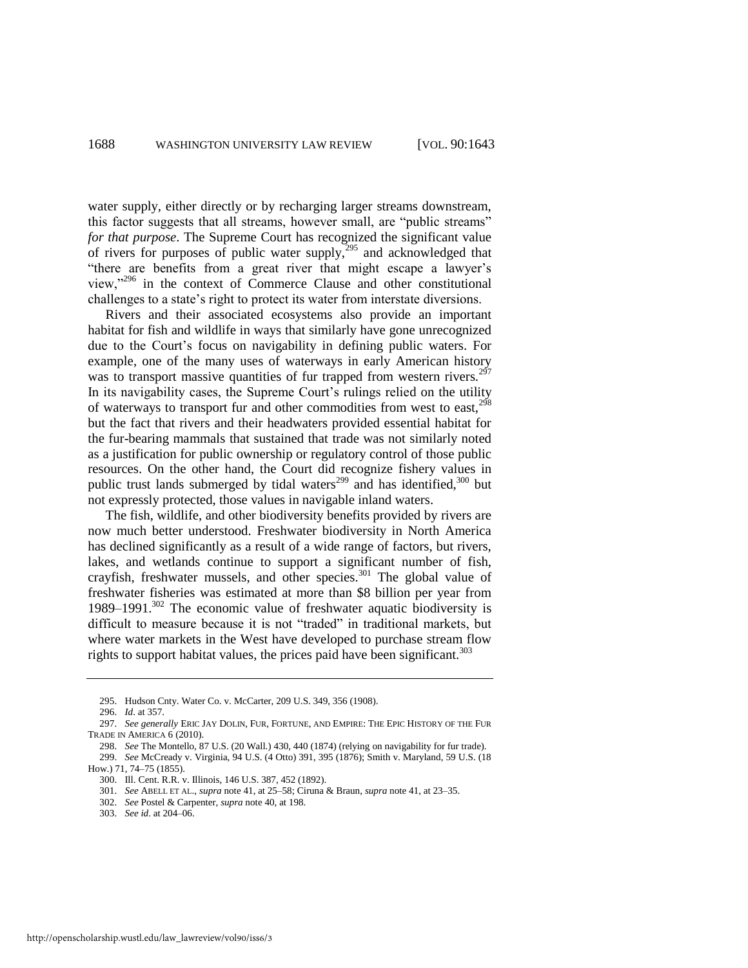water supply, either directly or by recharging larger streams downstream, this factor suggests that all streams, however small, are "public streams" *for that purpose*. The Supreme Court has recognized the significant value of rivers for purposes of public water supply,  $295$  and acknowledged that "there are benefits from a great river that might escape a lawyer's view,"<sup>296</sup> in the context of Commerce Clause and other constitutional challenges to a state's right to protect its water from interstate diversions.

Rivers and their associated ecosystems also provide an important habitat for fish and wildlife in ways that similarly have gone unrecognized due to the Court's focus on navigability in defining public waters. For example, one of the many uses of waterways in early American history was to transport massive quantities of fur trapped from western rivers.<sup>297</sup> In its navigability cases, the Supreme Court's rulings relied on the utility of waterways to transport fur and other commodities from west to east.<sup>298</sup> but the fact that rivers and their headwaters provided essential habitat for the fur-bearing mammals that sustained that trade was not similarly noted as a justification for public ownership or regulatory control of those public resources. On the other hand, the Court did recognize fishery values in public trust lands submerged by tidal waters<sup>299</sup> and has identified,  $300$  but not expressly protected, those values in navigable inland waters.

The fish, wildlife, and other biodiversity benefits provided by rivers are now much better understood. Freshwater biodiversity in North America has declined significantly as a result of a wide range of factors, but rivers, lakes, and wetlands continue to support a significant number of fish, crayfish, freshwater mussels, and other species.<sup>301</sup> The global value of freshwater fisheries was estimated at more than \$8 billion per year from 1989–1991. $302$  The economic value of freshwater aquatic biodiversity is difficult to measure because it is not "traded" in traditional markets, but where water markets in the West have developed to purchase stream flow rights to support habitat values, the prices paid have been significant.<sup>303</sup>

<sup>295.</sup> Hudson Cnty. Water Co. v. McCarter, 209 U.S. 349, 356 (1908).

<sup>296.</sup> *Id*. at 357.

<sup>297.</sup> *See generally* ERIC JAY DOLIN, FUR, FORTUNE, AND EMPIRE: THE EPIC HISTORY OF THE FUR TRADE IN AMERICA 6 (2010).

<sup>298.</sup> *See* The Montello, 87 U.S. (20 Wall.) 430, 440 (1874) (relying on navigability for fur trade). 299. *See* McCready v. Virginia, 94 U.S. (4 Otto) 391, 395 (1876); Smith v. Maryland, 59 U.S. (18 How.) 71, 74–75 (1855).

<sup>300.</sup> Ill. Cent. R.R. v. Illinois, 146 U.S. 387, 452 (1892).

<sup>301.</sup> *See* ABELL ET AL., *supra* not[e 41,](#page-6-2) at 25–58; Ciruna & Braun, *supra* note [41,](#page-6-2) at 23–35.

<sup>302.</sup> *See* Postel & Carpenter, *supra* not[e 40,](#page-6-1) at 198.

<sup>303.</sup> *See id*. at 204–06.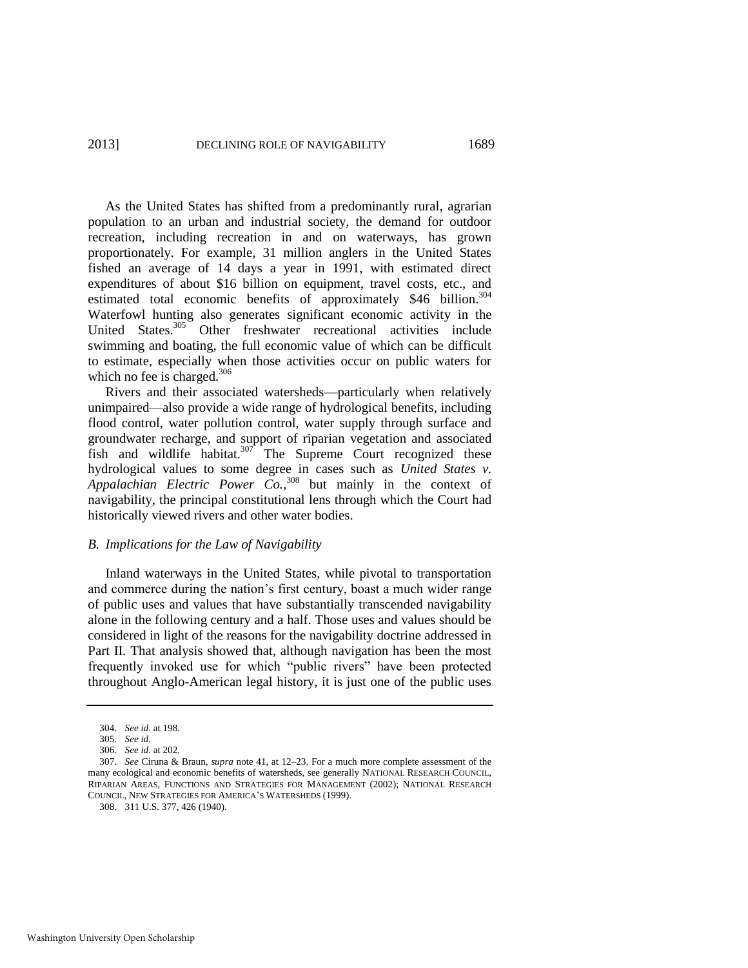As the United States has shifted from a predominantly rural, agrarian population to an urban and industrial society, the demand for outdoor recreation, including recreation in and on waterways, has grown proportionately. For example, 31 million anglers in the United States fished an average of 14 days a year in 1991, with estimated direct expenditures of about \$16 billion on equipment, travel costs, etc., and estimated total economic benefits of approximately  $$46$  billion.<sup>304</sup> Waterfowl hunting also generates significant economic activity in the United States.<sup>305</sup> Other freshwater recreational activities include swimming and boating, the full economic value of which can be difficult to estimate, especially when those activities occur on public waters for which no fee is charged.<sup>306</sup>

Rivers and their associated watersheds—particularly when relatively unimpaired—also provide a wide range of hydrological benefits, including flood control, water pollution control, water supply through surface and groundwater recharge, and support of riparian vegetation and associated fish and wildlife habitat. $307$  The Supreme Court recognized these hydrological values to some degree in cases such as *United States v. Appalachian Electric Power Co.*, <sup>308</sup> but mainly in the context of navigability, the principal constitutional lens through which the Court had historically viewed rivers and other water bodies.

#### *B. Implications for the Law of Navigability*

Inland waterways in the United States, while pivotal to transportation and commerce during the nation's first century, boast a much wider range of public uses and values that have substantially transcended navigability alone in the following century and a half. Those uses and values should be considered in light of the reasons for the navigability doctrine addressed in Part II. That analysis showed that, although navigation has been the most frequently invoked use for which "public rivers" have been protected throughout Anglo-American legal history, it is just one of the public uses

<sup>304.</sup> *See id*. at 198.

<sup>305.</sup> *See id*.

<sup>306.</sup> *See id*. at 202.

<sup>307.</sup> *See* Ciruna & Braun, *supra* note [41,](#page-6-2) at 12–23. For a much more complete assessment of the many ecological and economic benefits of watersheds, see generally NATIONAL RESEARCH COUNCIL, RIPARIAN AREAS, FUNCTIONS AND STRATEGIES FOR MANAGEMENT (2002); NATIONAL RESEARCH COUNCIL, NEW STRATEGIES FOR AMERICA'S WATERSHEDS (1999).

<sup>308. 311</sup> U.S. 377, 426 (1940).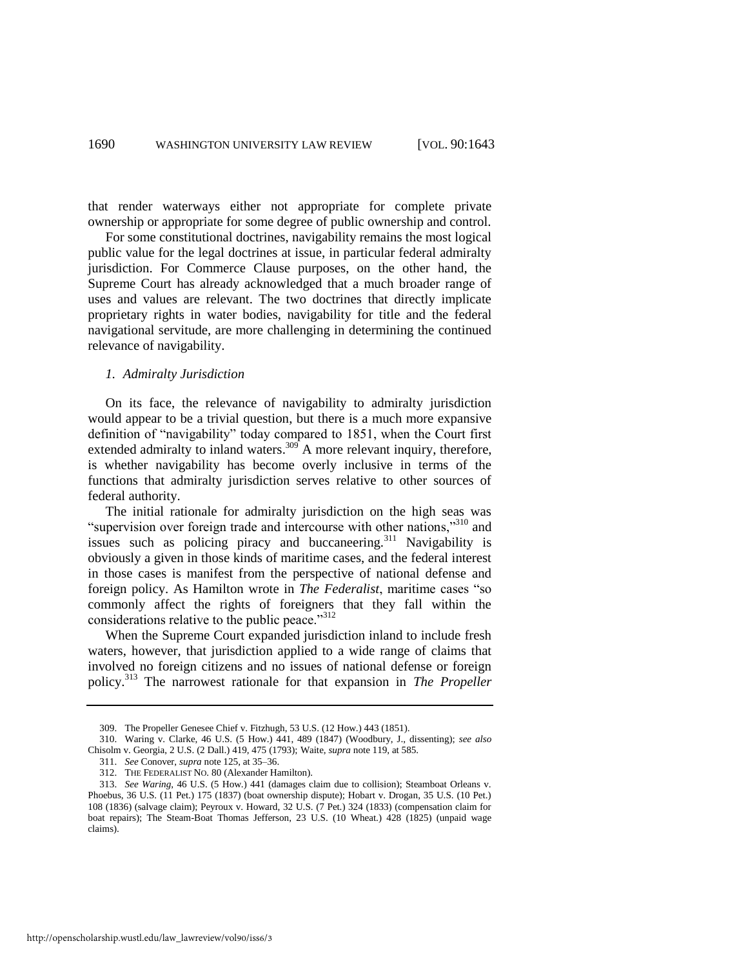that render waterways either not appropriate for complete private ownership or appropriate for some degree of public ownership and control.

For some constitutional doctrines, navigability remains the most logical public value for the legal doctrines at issue, in particular federal admiralty jurisdiction. For Commerce Clause purposes, on the other hand, the Supreme Court has already acknowledged that a much broader range of uses and values are relevant. The two doctrines that directly implicate proprietary rights in water bodies, navigability for title and the federal navigational servitude, are more challenging in determining the continued relevance of navigability.

#### *1. Admiralty Jurisdiction*

On its face, the relevance of navigability to admiralty jurisdiction would appear to be a trivial question, but there is a much more expansive definition of "navigability" today compared to 1851, when the Court first extended admiralty to inland waters.<sup>309</sup> A more relevant inquiry, therefore, is whether navigability has become overly inclusive in terms of the functions that admiralty jurisdiction serves relative to other sources of federal authority.

The initial rationale for admiralty jurisdiction on the high seas was "supervision over foreign trade and intercourse with other nations,"<sup>310</sup> and issues such as policing piracy and buccaneering.<sup>311</sup> Navigability is obviously a given in those kinds of maritime cases, and the federal interest in those cases is manifest from the perspective of national defense and foreign policy. As Hamilton wrote in *The Federalist*, maritime cases "so commonly affect the rights of foreigners that they fall within the considerations relative to the public peace."<sup>312</sup>

When the Supreme Court expanded jurisdiction inland to include fresh waters, however, that jurisdiction applied to a wide range of claims that involved no foreign citizens and no issues of national defense or foreign policy.<sup>313</sup> The narrowest rationale for that expansion in *The Propeller* 

<sup>309.</sup> The Propeller Genesee Chief v. Fitzhugh, 53 U.S. (12 How.) 443 (1851).

<sup>310.</sup> Waring v. Clarke, 46 U.S. (5 How.) 441, 489 (1847) (Woodbury, J., dissenting); *see also* Chisolm v. Georgia, 2 U.S. (2 Dall.) 419, 475 (1793); Waite, *supra* note [119,](#page-19-2) at 585.

<sup>311.</sup> *See* Conover, *supra* not[e 125,](#page-20-0) at 35–36.

<sup>312.</sup> THE FEDERALIST NO. 80 (Alexander Hamilton).

<sup>313.</sup> *See Waring*, 46 U.S. (5 How.) 441 (damages claim due to collision); Steamboat Orleans v. Phoebus, 36 U.S. (11 Pet.) 175 (1837) (boat ownership dispute); Hobart v. Drogan, 35 U.S. (10 Pet.) 108 (1836) (salvage claim); Peyroux v. Howard, 32 U.S. (7 Pet.) 324 (1833) (compensation claim for boat repairs); The Steam-Boat Thomas Jefferson, 23 U.S. (10 Wheat.) 428 (1825) (unpaid wage claims).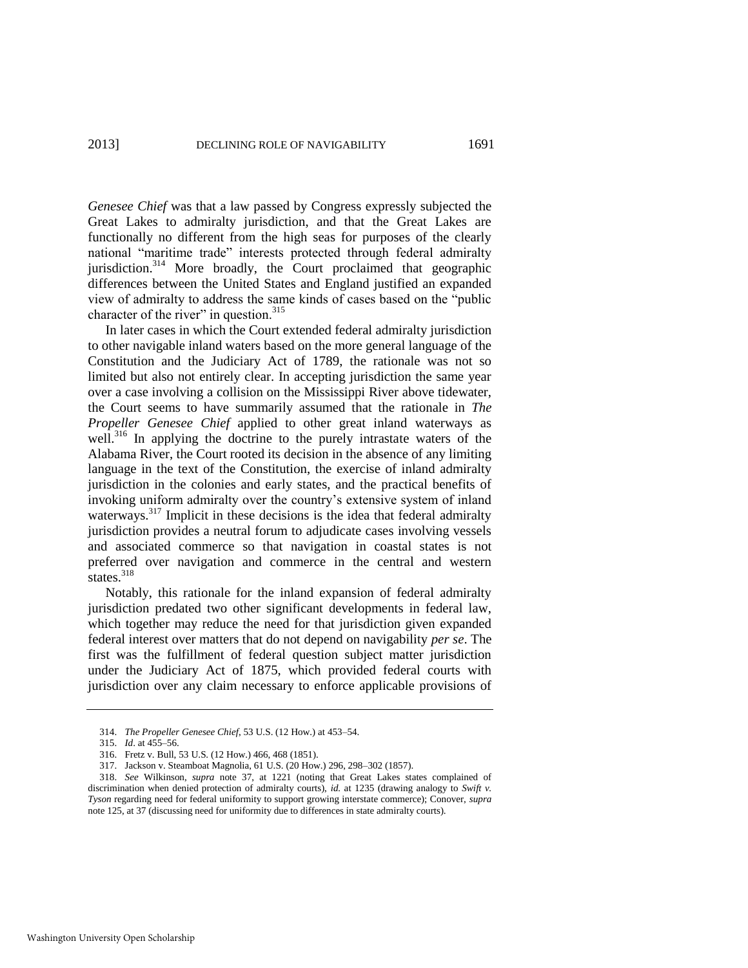*Genesee Chief* was that a law passed by Congress expressly subjected the Great Lakes to admiralty jurisdiction, and that the Great Lakes are functionally no different from the high seas for purposes of the clearly national "maritime trade" interests protected through federal admiralty jurisdiction.<sup>314</sup> More broadly, the Court proclaimed that geographic differences between the United States and England justified an expanded view of admiralty to address the same kinds of cases based on the "public" character of the river" in question. $315$ 

In later cases in which the Court extended federal admiralty jurisdiction to other navigable inland waters based on the more general language of the Constitution and the Judiciary Act of 1789, the rationale was not so limited but also not entirely clear. In accepting jurisdiction the same year over a case involving a collision on the Mississippi River above tidewater, the Court seems to have summarily assumed that the rationale in *The Propeller Genesee Chief* applied to other great inland waterways as well.<sup>316</sup> In applying the doctrine to the purely intrastate waters of the Alabama River, the Court rooted its decision in the absence of any limiting language in the text of the Constitution, the exercise of inland admiralty jurisdiction in the colonies and early states, and the practical benefits of invoking uniform admiralty over the country's extensive system of inland waterways.<sup>317</sup> Implicit in these decisions is the idea that federal admiralty jurisdiction provides a neutral forum to adjudicate cases involving vessels and associated commerce so that navigation in coastal states is not preferred over navigation and commerce in the central and western states. $318$ 

Notably, this rationale for the inland expansion of federal admiralty jurisdiction predated two other significant developments in federal law, which together may reduce the need for that jurisdiction given expanded federal interest over matters that do not depend on navigability *per se*. The first was the fulfillment of federal question subject matter jurisdiction under the Judiciary Act of 1875, which provided federal courts with jurisdiction over any claim necessary to enforce applicable provisions of

<sup>314.</sup> *The Propeller Genesee Chief*, 53 U.S. (12 How.) at 453–54.

<sup>315.</sup> *Id*. at 455–56.

<sup>316.</sup> Fretz v. Bull, 53 U.S. (12 How.) 466, 468 (1851).

<sup>317.</sup> Jackson v. Steamboat Magnolia, 61 U.S. (20 How.) 296, 298–302 (1857).

<sup>318.</sup> *See* Wilkinson, *supra* note [37,](#page-6-3) at 1221 (noting that Great Lakes states complained of discrimination when denied protection of admiralty courts), *id.* at 1235 (drawing analogy to *Swift v. Tyson* regarding need for federal uniformity to support growing interstate commerce); Conover, *supra* note [125,](#page-20-0) at 37 (discussing need for uniformity due to differences in state admiralty courts).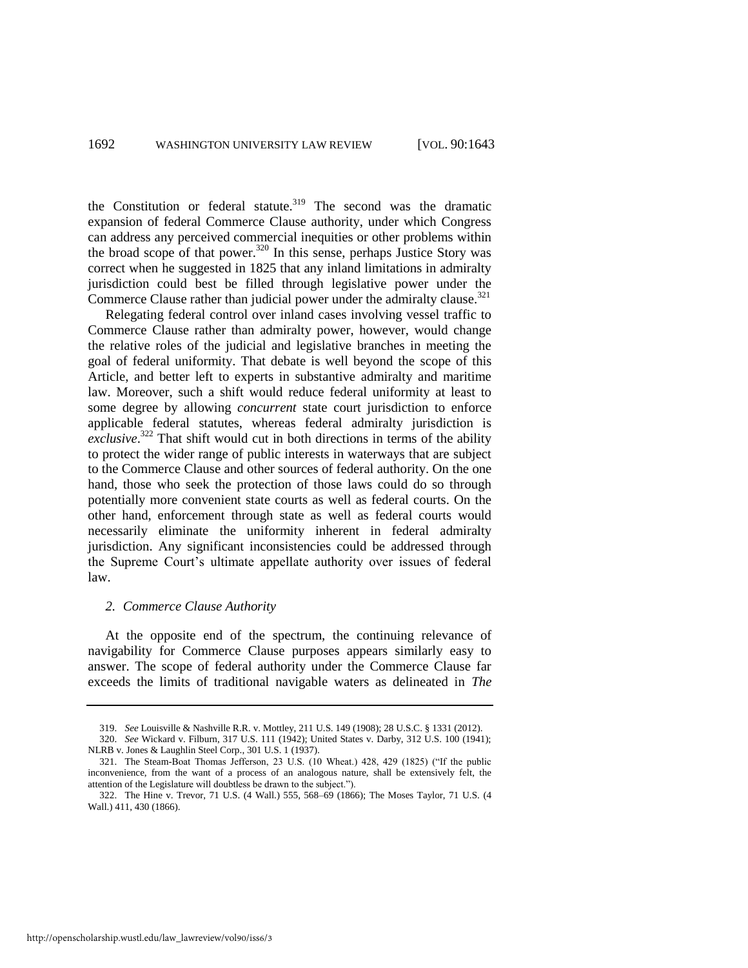the Constitution or federal statute. $319$  The second was the dramatic expansion of federal Commerce Clause authority, under which Congress can address any perceived commercial inequities or other problems within the broad scope of that power.<sup>320</sup> In this sense, perhaps Justice Story was correct when he suggested in 1825 that any inland limitations in admiralty jurisdiction could best be filled through legislative power under the Commerce Clause rather than judicial power under the admiralty clause.<sup>321</sup>

Relegating federal control over inland cases involving vessel traffic to Commerce Clause rather than admiralty power, however, would change the relative roles of the judicial and legislative branches in meeting the goal of federal uniformity. That debate is well beyond the scope of this Article, and better left to experts in substantive admiralty and maritime law. Moreover, such a shift would reduce federal uniformity at least to some degree by allowing *concurrent* state court jurisdiction to enforce applicable federal statutes, whereas federal admiralty jurisdiction is exclusive.<sup>322</sup> That shift would cut in both directions in terms of the ability to protect the wider range of public interests in waterways that are subject to the Commerce Clause and other sources of federal authority. On the one hand, those who seek the protection of those laws could do so through potentially more convenient state courts as well as federal courts. On the other hand, enforcement through state as well as federal courts would necessarily eliminate the uniformity inherent in federal admiralty jurisdiction. Any significant inconsistencies could be addressed through the Supreme Court's ultimate appellate authority over issues of federal law.

#### *2. Commerce Clause Authority*

At the opposite end of the spectrum, the continuing relevance of navigability for Commerce Clause purposes appears similarly easy to answer. The scope of federal authority under the Commerce Clause far exceeds the limits of traditional navigable waters as delineated in *The* 

<sup>319.</sup> *See* Louisville & Nashville R.R. v. Mottley, 211 U.S. 149 (1908); 28 U.S.C. § 1331 (2012).

<sup>320.</sup> *See* Wickard v. Filburn, 317 U.S. 111 (1942); United States v. Darby, 312 U.S. 100 (1941); NLRB v. Jones & Laughlin Steel Corp., 301 U.S. 1 (1937).

<sup>321.</sup> The Steam-Boat Thomas Jefferson, 23 U.S. (10 Wheat.) 428, 429 (1825) ("If the public inconvenience, from the want of a process of an analogous nature, shall be extensively felt, the attention of the Legislature will doubtless be drawn to the subject.").

<sup>322.</sup> The Hine v. Trevor, 71 U.S. (4 Wall.) 555, 568–69 (1866); The Moses Taylor, 71 U.S. (4 Wall.) 411, 430 (1866).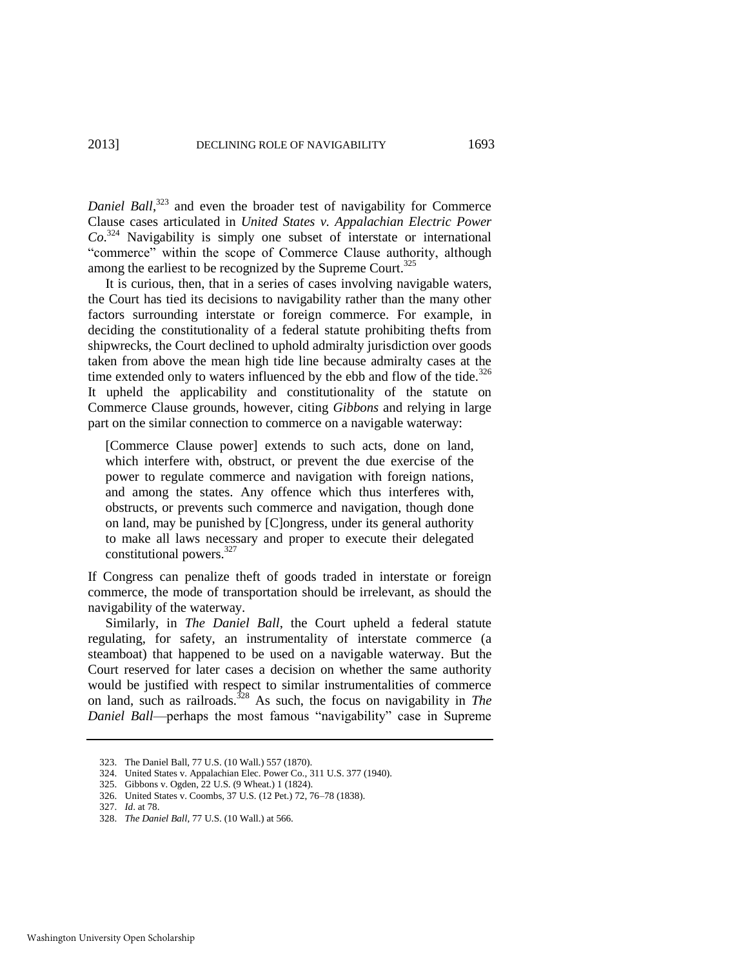Daniel Ball,<sup>323</sup> and even the broader test of navigability for Commerce Clause cases articulated in *United States v. Appalachian Electric Power Co*. <sup>324</sup> Navigability is simply one subset of interstate or international "commerce" within the scope of Commerce Clause authority, although among the earliest to be recognized by the Supreme Court.<sup>325</sup>

It is curious, then, that in a series of cases involving navigable waters, the Court has tied its decisions to navigability rather than the many other factors surrounding interstate or foreign commerce. For example, in deciding the constitutionality of a federal statute prohibiting thefts from shipwrecks, the Court declined to uphold admiralty jurisdiction over goods taken from above the mean high tide line because admiralty cases at the time extended only to waters influenced by the ebb and flow of the tide. $326$ It upheld the applicability and constitutionality of the statute on Commerce Clause grounds, however, citing *Gibbons* and relying in large part on the similar connection to commerce on a navigable waterway:

[Commerce Clause power] extends to such acts, done on land, which interfere with, obstruct, or prevent the due exercise of the power to regulate commerce and navigation with foreign nations, and among the states. Any offence which thus interferes with, obstructs, or prevents such commerce and navigation, though done on land, may be punished by [C]ongress, under its general authority to make all laws necessary and proper to execute their delegated constitutional powers.<sup>327</sup>

If Congress can penalize theft of goods traded in interstate or foreign commerce, the mode of transportation should be irrelevant, as should the navigability of the waterway.

Similarly, in *The Daniel Ball*, the Court upheld a federal statute regulating, for safety, an instrumentality of interstate commerce (a steamboat) that happened to be used on a navigable waterway. But the Court reserved for later cases a decision on whether the same authority would be justified with respect to similar instrumentalities of commerce on land, such as railroads.<sup>328</sup> As such, the focus on navigability in *The Daniel Ball*—perhaps the most famous "navigability" case in Supreme

<sup>323.</sup> The Daniel Ball, 77 U.S. (10 Wall.) 557 (1870).

<sup>324.</sup> United States v. Appalachian Elec. Power Co., 311 U.S. 377 (1940).

<sup>325.</sup> Gibbons v. Ogden, 22 U.S. (9 Wheat.) 1 (1824).

<sup>326.</sup> United States v. Coombs, 37 U.S. (12 Pet.) 72, 76–78 (1838).

<sup>327.</sup> *Id*. at 78.

<sup>328.</sup> *The Daniel Ball*, 77 U.S. (10 Wall.) at 566.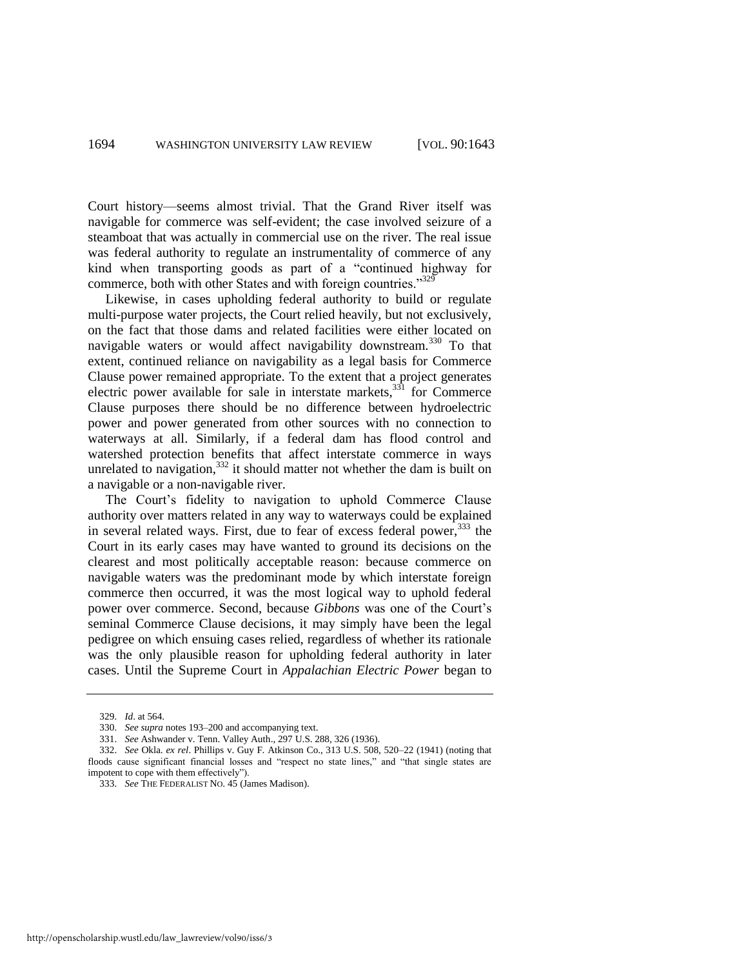Court history—seems almost trivial. That the Grand River itself was navigable for commerce was self-evident; the case involved seizure of a steamboat that was actually in commercial use on the river. The real issue was federal authority to regulate an instrumentality of commerce of any kind when transporting goods as part of a "continued highway for commerce, both with other States and with foreign countries.<sup>3329</sup>

Likewise, in cases upholding federal authority to build or regulate multi-purpose water projects, the Court relied heavily, but not exclusively, on the fact that those dams and related facilities were either located on navigable waters or would affect navigability downstream.<sup>330</sup> To that extent, continued reliance on navigability as a legal basis for Commerce Clause power remained appropriate. To the extent that a project generates electric power available for sale in interstate markets, $331$  for Commerce Clause purposes there should be no difference between hydroelectric power and power generated from other sources with no connection to waterways at all. Similarly, if a federal dam has flood control and watershed protection benefits that affect interstate commerce in ways unrelated to navigation, $332$  it should matter not whether the dam is built on a navigable or a non-navigable river.

The Court's fidelity to navigation to uphold Commerce Clause authority over matters related in any way to waterways could be explained in several related ways. First, due to fear of excess federal power, <sup>333</sup> the Court in its early cases may have wanted to ground its decisions on the clearest and most politically acceptable reason: because commerce on navigable waters was the predominant mode by which interstate foreign commerce then occurred, it was the most logical way to uphold federal power over commerce. Second, because *Gibbons* was one of the Court's seminal Commerce Clause decisions, it may simply have been the legal pedigree on which ensuing cases relied, regardless of whether its rationale was the only plausible reason for upholding federal authority in later cases. Until the Supreme Court in *Appalachian Electric Power* began to

<sup>329.</sup> *Id*. at 564.

<sup>330.</sup> *See supra* note[s 193](#page-31-0)[–200 a](#page-32-0)nd accompanying text.

<sup>331.</sup> *See* Ashwander v. Tenn. Valley Auth., 297 U.S. 288, 326 (1936).

<sup>332.</sup> *See* Okla. *ex rel*. Phillips v. Guy F. Atkinson Co., 313 U.S. 508, 520–22 (1941) (noting that floods cause significant financial losses and "respect no state lines," and "that single states are impotent to cope with them effectively").

<sup>333.</sup> *See* THE FEDERALIST NO. 45 (James Madison).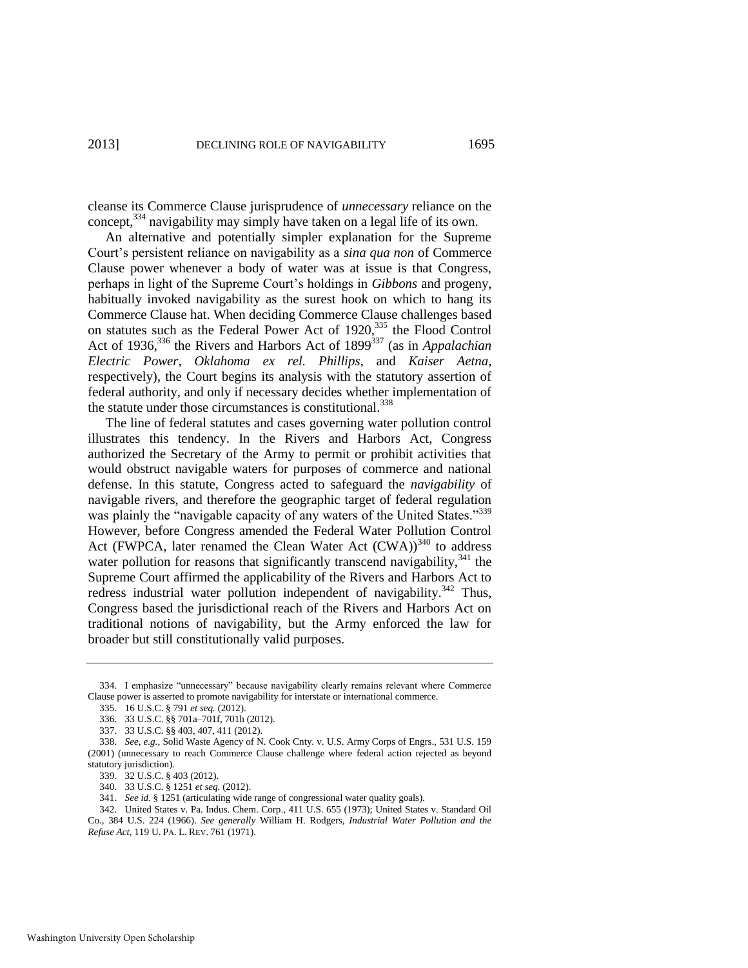cleanse its Commerce Clause jurisprudence of *unnecessary* reliance on the concept,<sup>334</sup> navigability may simply have taken on a legal life of its own.

An alternative and potentially simpler explanation for the Supreme Court's persistent reliance on navigability as a *sina qua non* of Commerce Clause power whenever a body of water was at issue is that Congress, perhaps in light of the Supreme Court's holdings in *Gibbons* and progeny, habitually invoked navigability as the surest hook on which to hang its Commerce Clause hat. When deciding Commerce Clause challenges based on statutes such as the Federal Power Act of 1920,<sup>335</sup> the Flood Control Act of 1936,<sup>336</sup> the Rivers and Harbors Act of 1899<sup>337</sup> (as in *Appalachian Electric Power*, *Oklahoma ex rel. Phillips*, and *Kaiser Aetna*, respectively), the Court begins its analysis with the statutory assertion of federal authority, and only if necessary decides whether implementation of the statute under those circumstances is constitutional.<sup>338</sup>

The line of federal statutes and cases governing water pollution control illustrates this tendency. In the Rivers and Harbors Act, Congress authorized the Secretary of the Army to permit or prohibit activities that would obstruct navigable waters for purposes of commerce and national defense. In this statute, Congress acted to safeguard the *navigability* of navigable rivers, and therefore the geographic target of federal regulation was plainly the "navigable capacity of any waters of the United States."<sup>339</sup> However, before Congress amended the Federal Water Pollution Control Act (FWPCA, later renamed the Clean Water Act (CWA))<sup>340</sup> to address water pollution for reasons that significantly transcend navigability,  $341$  the Supreme Court affirmed the applicability of the Rivers and Harbors Act to redress industrial water pollution independent of navigability.<sup>342</sup> Thus, Congress based the jurisdictional reach of the Rivers and Harbors Act on traditional notions of navigability, but the Army enforced the law for broader but still constitutionally valid purposes.

<sup>334.</sup> I emphasize "unnecessary" because navigability clearly remains relevant where Commerce Clause power is asserted to promote navigability for interstate or international commerce.

<sup>335. 16</sup> U.S.C. § 791 *et seq.* (2012).

<sup>336. 33</sup> U.S.C. §§ 701a–701f, 701h (2012).

<sup>337. 33</sup> U.S.C. §§ 403, 407, 411 (2012).

<sup>338.</sup> *See, e.g.*, Solid Waste Agency of N. Cook Cnty. v. U.S. Army Corps of Engrs., 531 U.S. 159 (2001) (unnecessary to reach Commerce Clause challenge where federal action rejected as beyond statutory jurisdiction).

<sup>339. 32</sup> U.S.C. § 403 (2012).

<sup>340. 33</sup> U.S.C. § 1251 *et seq.* (2012).

<sup>341.</sup> *See id*. § 1251 (articulating wide range of congressional water quality goals).

<sup>342.</sup> United States v. Pa. Indus. Chem. Corp., 411 U.S. 655 (1973); United States v. Standard Oil Co., 384 U.S. 224 (1966). *See generally* William H. Rodgers, *Industrial Water Pollution and the Refuse Act*, 119 U. PA. L. REV. 761 (1971).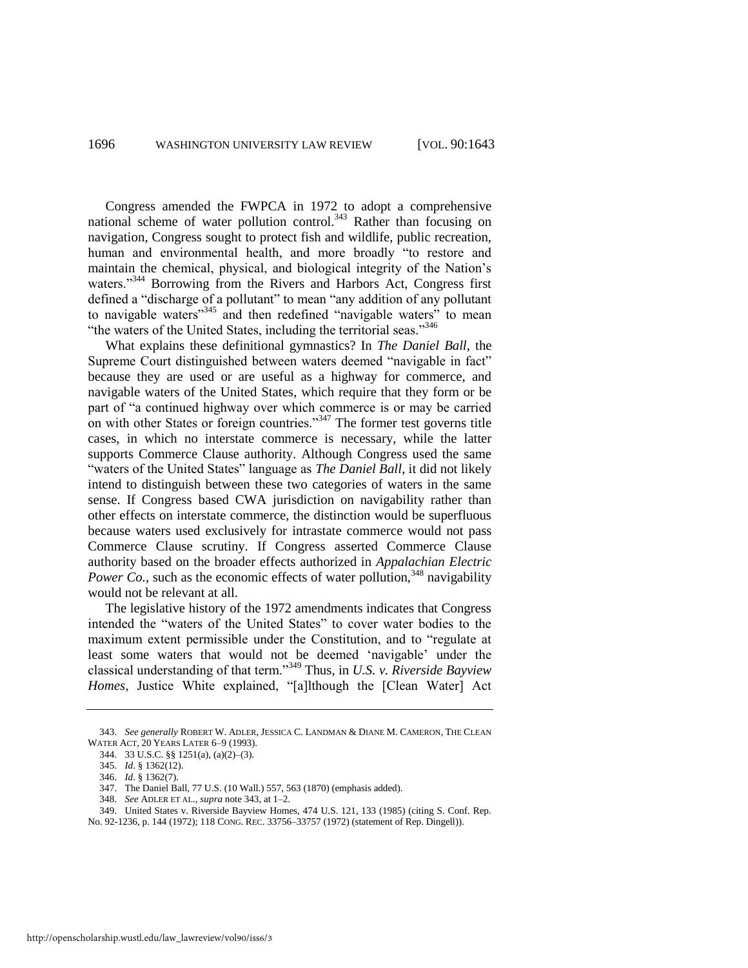<span id="page-54-0"></span>Congress amended the FWPCA in 1972 to adopt a comprehensive national scheme of water pollution control.<sup>343</sup> Rather than focusing on navigation, Congress sought to protect fish and wildlife, public recreation, human and environmental health, and more broadly "to restore and maintain the chemical, physical, and biological integrity of the Nation's waters."<sup>344</sup> Borrowing from the Rivers and Harbors Act, Congress first defined a "discharge of a pollutant" to mean "any addition of any pollutant to navigable waters"<sup>345</sup> and then redefined "navigable waters" to mean "the waters of the United States, including the territorial seas."<sup>346</sup>

What explains these definitional gymnastics? In *The Daniel Ball*, the Supreme Court distinguished between waters deemed "navigable in fact" because they are used or are useful as a highway for commerce, and navigable waters of the United States, which require that they form or be part of "a continued highway over which commerce is or may be carried on with other States or foreign countries.<sup>347</sup> The former test governs title cases, in which no interstate commerce is necessary, while the latter supports Commerce Clause authority. Although Congress used the same "waters of the United States" language as *The Daniel Ball*, it did not likely intend to distinguish between these two categories of waters in the same sense. If Congress based CWA jurisdiction on navigability rather than other effects on interstate commerce, the distinction would be superfluous because waters used exclusively for intrastate commerce would not pass Commerce Clause scrutiny. If Congress asserted Commerce Clause authority based on the broader effects authorized in *Appalachian Electric Power Co.*, such as the economic effects of water pollution,  $348$  navigability would not be relevant at all.

The legislative history of the 1972 amendments indicates that Congress intended the "waters of the United States" to cover water bodies to the maximum extent permissible under the Constitution, and to "regulate at least some waters that would not be deemed 'navigable' under the classical understanding of that term."<sup>349</sup> Thus, in *U.S. v. Riverside Bayview* Homes, Justice White explained, "[a]lthough the [Clean Water] Act

<sup>343.</sup> *See generally* ROBERT W. ADLER, JESSICA C. LANDMAN & DIANE M. CAMERON, THE CLEAN WATER ACT, 20 YEARS LATER 6–9 (1993).

<sup>344. 33</sup> U.S.C. §§ 1251(a), (a)(2)–(3).

<sup>345.</sup> *Id*. § 1362(12).

<sup>346.</sup> *Id*. § 1362(7).

<sup>347.</sup> The Daniel Ball, 77 U.S. (10 Wall.) 557, 563 (1870) (emphasis added).

<sup>348.</sup> *See* ADLER ET AL., *supra* not[e 343,](#page-54-0) at 1–2.

<sup>349.</sup> United States v. Riverside Bayview Homes, 474 U.S. 121, 133 (1985) (citing S. Conf. Rep. No. 92-1236, p. 144 (1972); 118 CONG. REC. 33756–33757 (1972) (statement of Rep. Dingell)).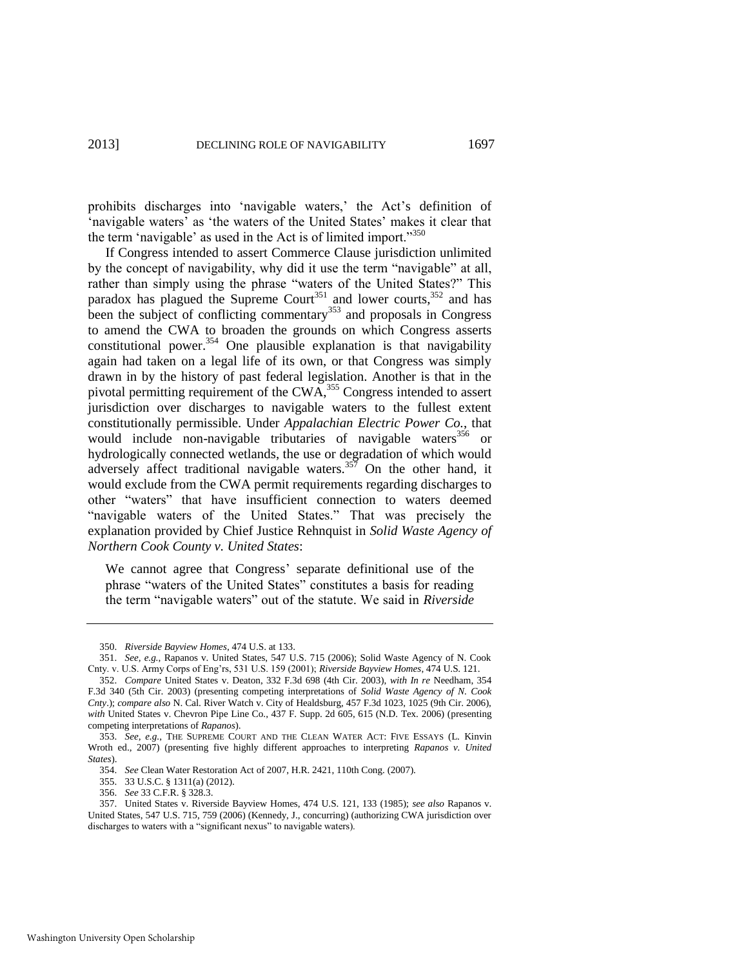prohibits discharges into 'navigable waters,' the Act's definition of 'navigable waters' as 'the waters of the United States' makes it clear that the term 'navigable' as used in the Act is of limited import."<sup>350</sup>

If Congress intended to assert Commerce Clause jurisdiction unlimited by the concept of navigability, why did it use the term "navigable" at all, rather than simply using the phrase "waters of the United States?" This paradox has plagued the Supreme Court<sup>351</sup> and lower courts,  $352$  and has been the subject of conflicting commentary<sup>353</sup> and proposals in Congress to amend the CWA to broaden the grounds on which Congress asserts constitutional power.<sup>354</sup> One plausible explanation is that navigability again had taken on a legal life of its own, or that Congress was simply drawn in by the history of past federal legislation. Another is that in the pivotal permitting requirement of the CWA,<sup>355</sup> Congress intended to assert jurisdiction over discharges to navigable waters to the fullest extent constitutionally permissible. Under *Appalachian Electric Power Co.*, that would include non-navigable tributaries of navigable waters<sup>356</sup> or hydrologically connected wetlands, the use or degradation of which would adversely affect traditional navigable waters.<sup>357</sup> On the other hand, it would exclude from the CWA permit requirements regarding discharges to other "waters" that have insufficient connection to waters deemed "navigable waters of the United States." That was precisely the explanation provided by Chief Justice Rehnquist in *Solid Waste Agency of Northern Cook County v. United States*:

We cannot agree that Congress' separate definitional use of the phrase "waters of the United States" constitutes a basis for reading the term "navigable waters" out of the statute. We said in *Riverside* 

<sup>350.</sup> *Riverside Bayview Homes*, 474 U.S. at 133.

<sup>351.</sup> *See, e.g.*, Rapanos v. United States, 547 U.S. 715 (2006); Solid Waste Agency of N. Cook Cnty. v. U.S. Army Corps of Eng'rs, 531 U.S. 159 (2001); *Riverside Bayview Homes*, 474 U.S. 121.

<sup>352.</sup> *Compare* United States v. Deaton, 332 F.3d 698 (4th Cir. 2003), *with In re* Needham, 354 F.3d 340 (5th Cir. 2003) (presenting competing interpretations of *Solid Waste Agency of N. Cook Cnty*.); *compare also* N. Cal. River Watch v. City of Healdsburg, 457 F.3d 1023, 1025 (9th Cir. 2006), *with* United States v. Chevron Pipe Line Co., 437 F. Supp. 2d 605, 615 (N.D. Tex. 2006) (presenting competing interpretations of *Rapanos*).

<sup>353.</sup> *See, e.g.*, THE SUPREME COURT AND THE CLEAN WATER ACT: FIVE ESSAYS (L. Kinvin Wroth ed., 2007) (presenting five highly different approaches to interpreting *Rapanos v. United States*).

<sup>354.</sup> *See* Clean Water Restoration Act of 2007, H.R. 2421, 110th Cong. (2007).

<sup>355. 33</sup> U.S.C. § 1311(a) (2012).

<sup>356.</sup> *See* 33 C.F.R. § 328.3.

<sup>357.</sup> United States v. Riverside Bayview Homes, 474 U.S. 121, 133 (1985); *see also* Rapanos v. United States, 547 U.S. 715, 759 (2006) (Kennedy, J., concurring) (authorizing CWA jurisdiction over discharges to waters with a "significant nexus" to navigable waters).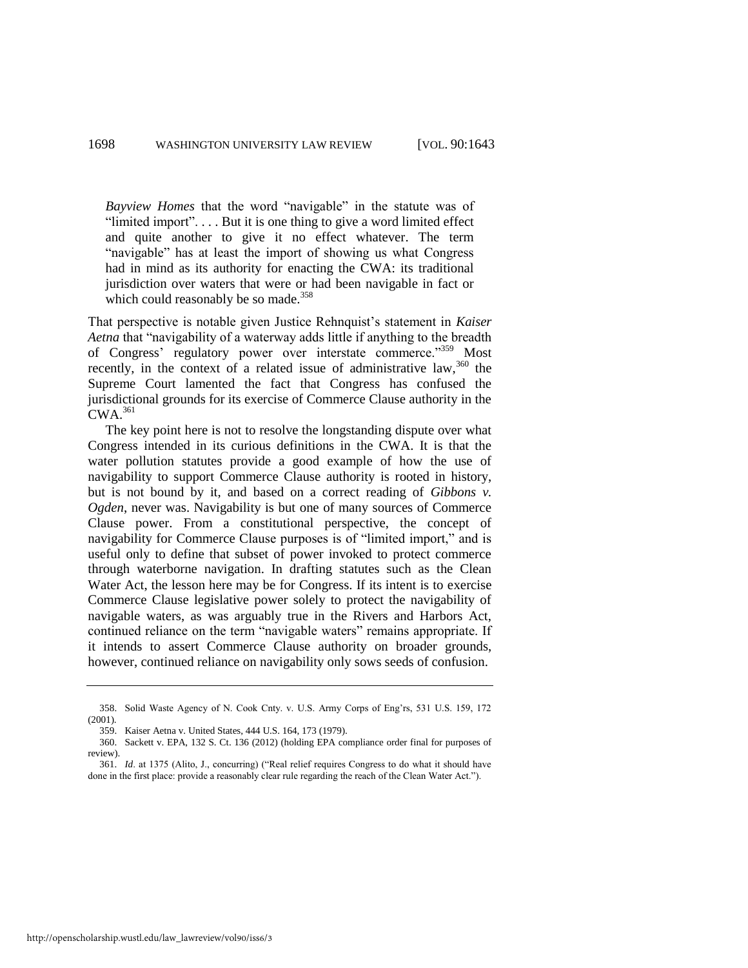*Bayview Homes* that the word "navigable" in the statute was of "limited import".... But it is one thing to give a word limited effect and quite another to give it no effect whatever. The term "navigable" has at least the import of showing us what Congress had in mind as its authority for enacting the CWA: its traditional jurisdiction over waters that were or had been navigable in fact or which could reasonably be so made. $358$ 

That perspective is notable given Justice Rehnquist's statement in *Kaiser Aetna* that "navigability of a waterway adds little if anything to the breadth of Congress' regulatory power over interstate commerce."<sup>359</sup> Most recently, in the context of a related issue of administrative law,  $360$  the Supreme Court lamented the fact that Congress has confused the jurisdictional grounds for its exercise of Commerce Clause authority in the  $CWA$ <sup>361</sup>

The key point here is not to resolve the longstanding dispute over what Congress intended in its curious definitions in the CWA. It is that the water pollution statutes provide a good example of how the use of navigability to support Commerce Clause authority is rooted in history, but is not bound by it, and based on a correct reading of *Gibbons v. Ogden*, never was. Navigability is but one of many sources of Commerce Clause power. From a constitutional perspective, the concept of navigability for Commerce Clause purposes is of "limited import," and is useful only to define that subset of power invoked to protect commerce through waterborne navigation. In drafting statutes such as the Clean Water Act, the lesson here may be for Congress. If its intent is to exercise Commerce Clause legislative power solely to protect the navigability of navigable waters, as was arguably true in the Rivers and Harbors Act, continued reliance on the term "navigable waters" remains appropriate. If it intends to assert Commerce Clause authority on broader grounds, however, continued reliance on navigability only sows seeds of confusion.

<sup>358.</sup> Solid Waste Agency of N. Cook Cnty. v. U.S. Army Corps of Eng'rs, 531 U.S. 159, 172 (2001).

<sup>359.</sup> Kaiser Aetna v. United States, 444 U.S. 164, 173 (1979).

<sup>360.</sup> Sackett v. EPA, 132 S. Ct. 136 (2012) (holding EPA compliance order final for purposes of review).

<sup>361.</sup> *Id.* at 1375 (Alito, J., concurring) ("Real relief requires Congress to do what it should have done in the first place: provide a reasonably clear rule regarding the reach of the Clean Water Act.").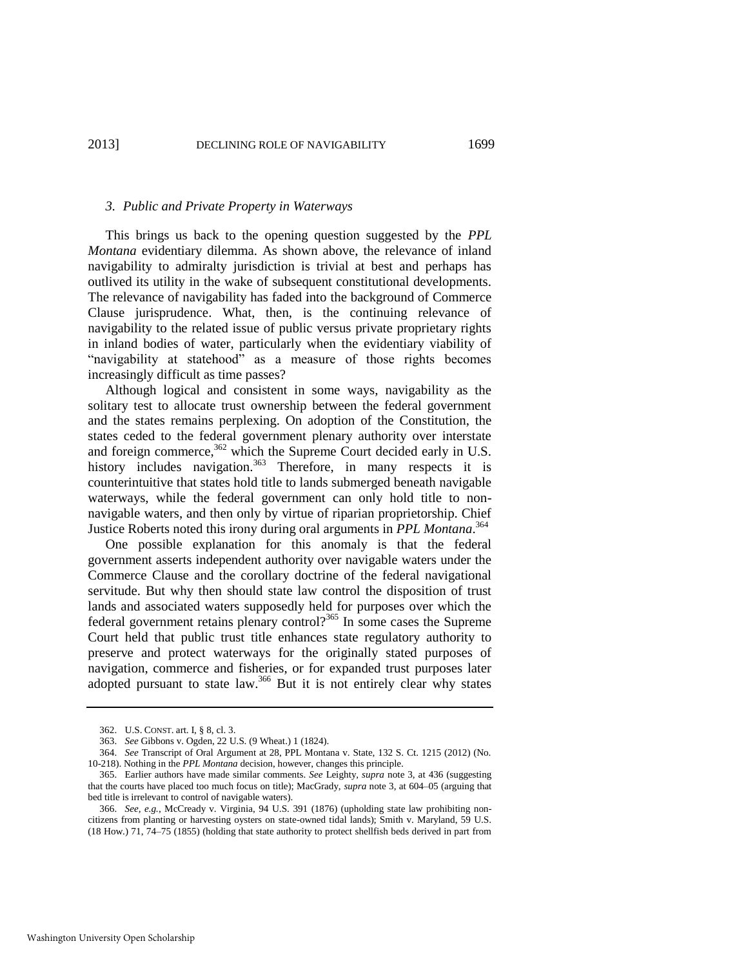#### *3. Public and Private Property in Waterways*

This brings us back to the opening question suggested by the *PPL Montana* evidentiary dilemma. As shown above, the relevance of inland navigability to admiralty jurisdiction is trivial at best and perhaps has outlived its utility in the wake of subsequent constitutional developments. The relevance of navigability has faded into the background of Commerce Clause jurisprudence. What, then, is the continuing relevance of navigability to the related issue of public versus private proprietary rights in inland bodies of water, particularly when the evidentiary viability of "navigability at statehood" as a measure of those rights becomes increasingly difficult as time passes?

Although logical and consistent in some ways, navigability as the solitary test to allocate trust ownership between the federal government and the states remains perplexing. On adoption of the Constitution, the states ceded to the federal government plenary authority over interstate and foreign commerce,<sup>362</sup> which the Supreme Court decided early in U.S. history includes navigation.<sup>363</sup> Therefore, in many respects it is counterintuitive that states hold title to lands submerged beneath navigable waterways, while the federal government can only hold title to nonnavigable waters, and then only by virtue of riparian proprietorship. Chief Justice Roberts noted this irony during oral arguments in *PPL Montana*. 364

One possible explanation for this anomaly is that the federal government asserts independent authority over navigable waters under the Commerce Clause and the corollary doctrine of the federal navigational servitude. But why then should state law control the disposition of trust lands and associated waters supposedly held for purposes over which the federal government retains plenary control?<sup>365</sup> In some cases the Supreme Court held that public trust title enhances state regulatory authority to preserve and protect waterways for the originally stated purposes of navigation, commerce and fisheries, or for expanded trust purposes later adopted pursuant to state law.<sup>366</sup> But it is not entirely clear why states

<sup>362.</sup> U.S. CONST. art. I, § 8, cl. 3.

<sup>363.</sup> *See* Gibbons v. Ogden, 22 U.S. (9 Wheat.) 1 (1824).

<sup>364.</sup> *See* Transcript of Oral Argument at 28, PPL Montana v. State, 132 S. Ct. 1215 (2012) (No. 10-218). Nothing in the *PPL Montana* decision, however, changes this principle.

<sup>365.</sup> Earlier authors have made similar comments. *See* Leighty, *supra* note [3,](#page-1-0) at 436 (suggesting that the courts have placed too much focus on title); MacGrady, *supra* not[e 3,](#page-1-0) at 604–05 (arguing that bed title is irrelevant to control of navigable waters).

<sup>366.</sup> *See, e.g.*, McCready v. Virginia, 94 U.S. 391 (1876) (upholding state law prohibiting noncitizens from planting or harvesting oysters on state-owned tidal lands); Smith v. Maryland, 59 U.S. (18 How.) 71, 74–75 (1855) (holding that state authority to protect shellfish beds derived in part from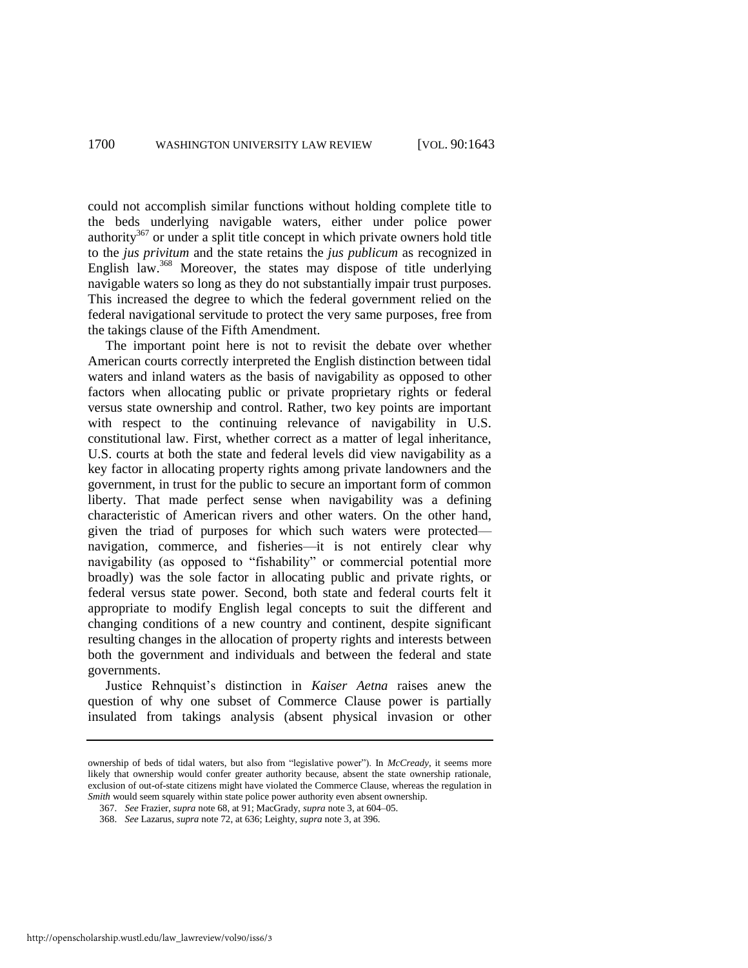could not accomplish similar functions without holding complete title to the beds underlying navigable waters, either under police power authority<sup>367</sup> or under a split title concept in which private owners hold title to the *jus privitum* and the state retains the *jus publicum* as recognized in English law.<sup>368</sup> Moreover, the states may dispose of title underlying navigable waters so long as they do not substantially impair trust purposes. This increased the degree to which the federal government relied on the federal navigational servitude to protect the very same purposes, free from the takings clause of the Fifth Amendment.

The important point here is not to revisit the debate over whether American courts correctly interpreted the English distinction between tidal waters and inland waters as the basis of navigability as opposed to other factors when allocating public or private proprietary rights or federal versus state ownership and control. Rather, two key points are important with respect to the continuing relevance of navigability in U.S. constitutional law. First, whether correct as a matter of legal inheritance, U.S. courts at both the state and federal levels did view navigability as a key factor in allocating property rights among private landowners and the government, in trust for the public to secure an important form of common liberty. That made perfect sense when navigability was a defining characteristic of American rivers and other waters. On the other hand, given the triad of purposes for which such waters were protected navigation, commerce, and fisheries—it is not entirely clear why navigability (as opposed to "fishability" or commercial potential more broadly) was the sole factor in allocating public and private rights, or federal versus state power. Second, both state and federal courts felt it appropriate to modify English legal concepts to suit the different and changing conditions of a new country and continent, despite significant resulting changes in the allocation of property rights and interests between both the government and individuals and between the federal and state governments.

Justice Rehnquist's distinction in *Kaiser Aetna* raises anew the question of why one subset of Commerce Clause power is partially insulated from takings analysis (absent physical invasion or other

ownership of beds of tidal waters, but also from "legislative power"). In *McCready*, it seems more likely that ownership would confer greater authority because, absent the state ownership rationale, exclusion of out-of-state citizens might have violated the Commerce Clause, whereas the regulation in *Smith* would seem squarely within state police power authority even absent ownership.

<sup>367.</sup> *See* Frazier, *supra* not[e 68,](#page-11-1) at 91; MacGrady, *supra* not[e 3,](#page-1-0) at 604–05.

<sup>368.</sup> *See* Lazarus, *supra* not[e 72,](#page-12-0) at 636; Leighty, *supra* not[e 3,](#page-1-0) at 396.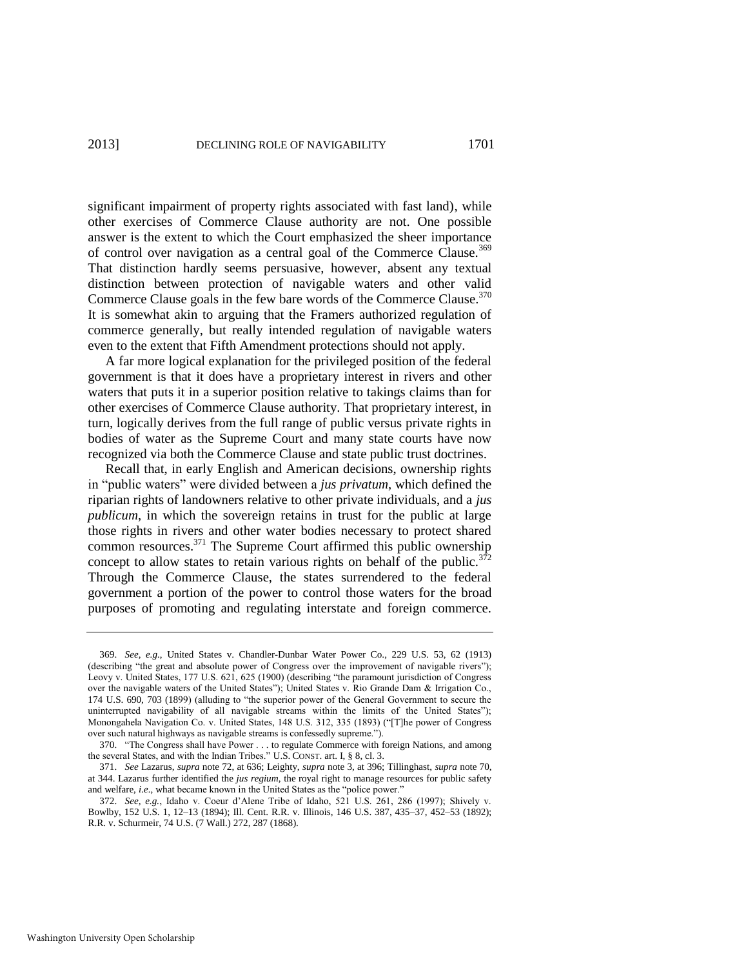significant impairment of property rights associated with fast land), while other exercises of Commerce Clause authority are not. One possible answer is the extent to which the Court emphasized the sheer importance of control over navigation as a central goal of the Commerce Clause.<sup>369</sup> That distinction hardly seems persuasive, however, absent any textual distinction between protection of navigable waters and other valid Commerce Clause goals in the few bare words of the Commerce Clause.<sup>370</sup> It is somewhat akin to arguing that the Framers authorized regulation of commerce generally, but really intended regulation of navigable waters even to the extent that Fifth Amendment protections should not apply.

A far more logical explanation for the privileged position of the federal government is that it does have a proprietary interest in rivers and other waters that puts it in a superior position relative to takings claims than for other exercises of Commerce Clause authority. That proprietary interest, in turn, logically derives from the full range of public versus private rights in bodies of water as the Supreme Court and many state courts have now recognized via both the Commerce Clause and state public trust doctrines.

Recall that, in early English and American decisions, ownership rights in "public waters" were divided between a *jus privatum*, which defined the riparian rights of landowners relative to other private individuals, and a *jus publicum*, in which the sovereign retains in trust for the public at large those rights in rivers and other water bodies necessary to protect shared common resources.<sup>371</sup> The Supreme Court affirmed this public ownership concept to allow states to retain various rights on behalf of the public. $372$ Through the Commerce Clause, the states surrendered to the federal government a portion of the power to control those waters for the broad purposes of promoting and regulating interstate and foreign commerce.

<sup>369.</sup> *See, e.g.*, United States v. Chandler-Dunbar Water Power Co., 229 U.S. 53, 62 (1913) (describing "the great and absolute power of Congress over the improvement of navigable rivers"); Leovy v. United States, 177 U.S. 621, 625 (1900) (describing "the paramount jurisdiction of Congress over the navigable waters of the United States"); United States v. Rio Grande Dam & Irrigation Co., 174 U.S. 690, 703 (1899) (alluding to "the superior power of the General Government to secure the uninterrupted navigability of all navigable streams within the limits of the United States"); Monongahela Navigation Co. v. United States, 148 U.S. 312, 335 (1893) ("The power of Congress over such natural highways as navigable streams is confessedly supreme.").

<sup>370. &</sup>quot;The Congress shall have Power . . . to regulate Commerce with foreign Nations, and among the several States, and with the Indian Tribes." U.S. CONST. art. I, § 8, cl. 3.

<sup>371.</sup> *See* Lazarus, *supra* not[e 72,](#page-12-0) at 636; Leighty, *supra* not[e 3,](#page-1-0) at 396; Tillinghast, *supra* not[e 70,](#page-11-2)  at 344. Lazarus further identified the *jus regium*, the royal right to manage resources for public safety and welfare, *i.e.*, what became known in the United States as the "police power."

<sup>372.</sup> *See, e.g.*, Idaho v. Coeur d'Alene Tribe of Idaho, 521 U.S. 261, 286 (1997); Shively v. Bowlby, 152 U.S. 1, 12–13 (1894); Ill. Cent. R.R. v. Illinois, 146 U.S. 387, 435–37, 452–53 (1892); R.R. v. Schurmeir, 74 U.S. (7 Wall.) 272, 287 (1868).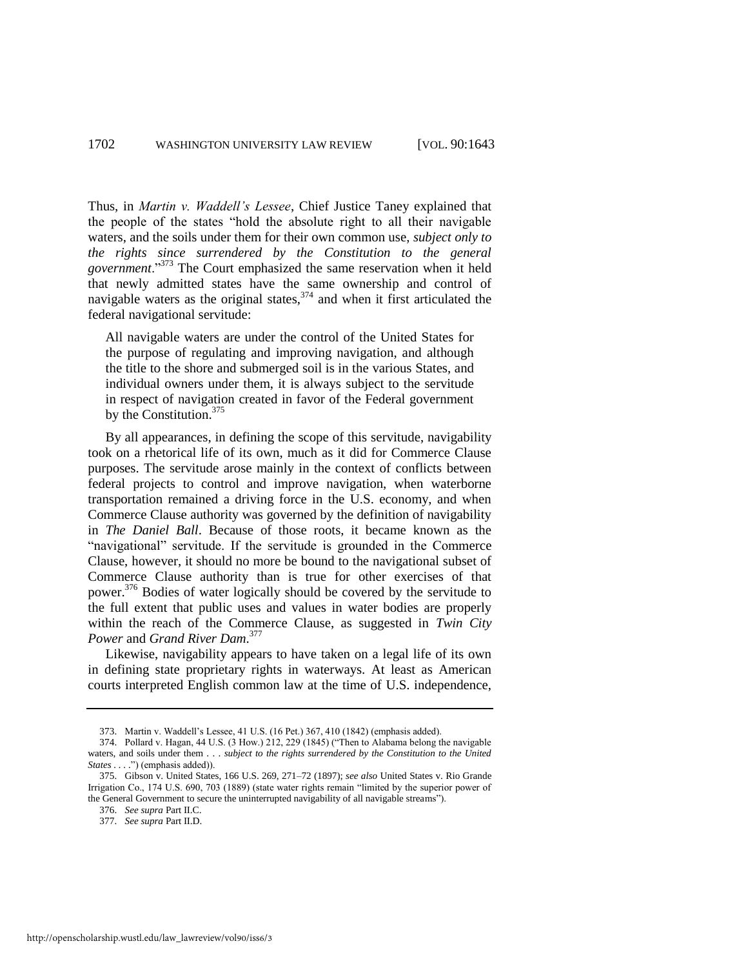Thus, in *Martin v. Waddell's Lessee*, Chief Justice Taney explained that the people of the states "hold the absolute right to all their navigable waters, and the soils under them for their own common use, *subject only to the rights since surrendered by the Constitution to the general government*.‖<sup>373</sup> The Court emphasized the same reservation when it held that newly admitted states have the same ownership and control of navigable waters as the original states,  $374$  and when it first articulated the federal navigational servitude:

All navigable waters are under the control of the United States for the purpose of regulating and improving navigation, and although the title to the shore and submerged soil is in the various States, and individual owners under them, it is always subject to the servitude in respect of navigation created in favor of the Federal government by the Constitution.<sup>375</sup>

By all appearances, in defining the scope of this servitude, navigability took on a rhetorical life of its own, much as it did for Commerce Clause purposes. The servitude arose mainly in the context of conflicts between federal projects to control and improve navigation, when waterborne transportation remained a driving force in the U.S. economy, and when Commerce Clause authority was governed by the definition of navigability in *The Daniel Ball*. Because of those roots, it became known as the "navigational" servitude. If the servitude is grounded in the Commerce Clause, however, it should no more be bound to the navigational subset of Commerce Clause authority than is true for other exercises of that power.<sup>376</sup> Bodies of water logically should be covered by the servitude to the full extent that public uses and values in water bodies are properly within the reach of the Commerce Clause, as suggested in *Twin City Power* and *Grand River Dam*. 377

Likewise, navigability appears to have taken on a legal life of its own in defining state proprietary rights in waterways. At least as American courts interpreted English common law at the time of U.S. independence,

<sup>373.</sup> Martin v. Waddell's Lessee, 41 U.S. (16 Pet.) 367, 410 (1842) (emphasis added).

<sup>374.</sup> Pollard v. Hagan, 44 U.S.  $(3 \text{ How.})$  212, 229  $(1845)$  ("Then to Alabama belong the navigable waters, and soils under them . . . *subject to the rights surrendered by the Constitution to the United States . . .* .") (emphasis added)).

<sup>375.</sup> Gibson v. United States, 166 U.S. 269, 271–72 (1897); *see also* United States v. Rio Grande Irrigation Co., 174 U.S. 690, 703 (1889) (state water rights remain "limited by the superior power of the General Government to secure the uninterrupted navigability of all navigable streams").

<sup>376.</sup> *See supra* Part II.C.

<sup>377.</sup> *See supra* Part II.D.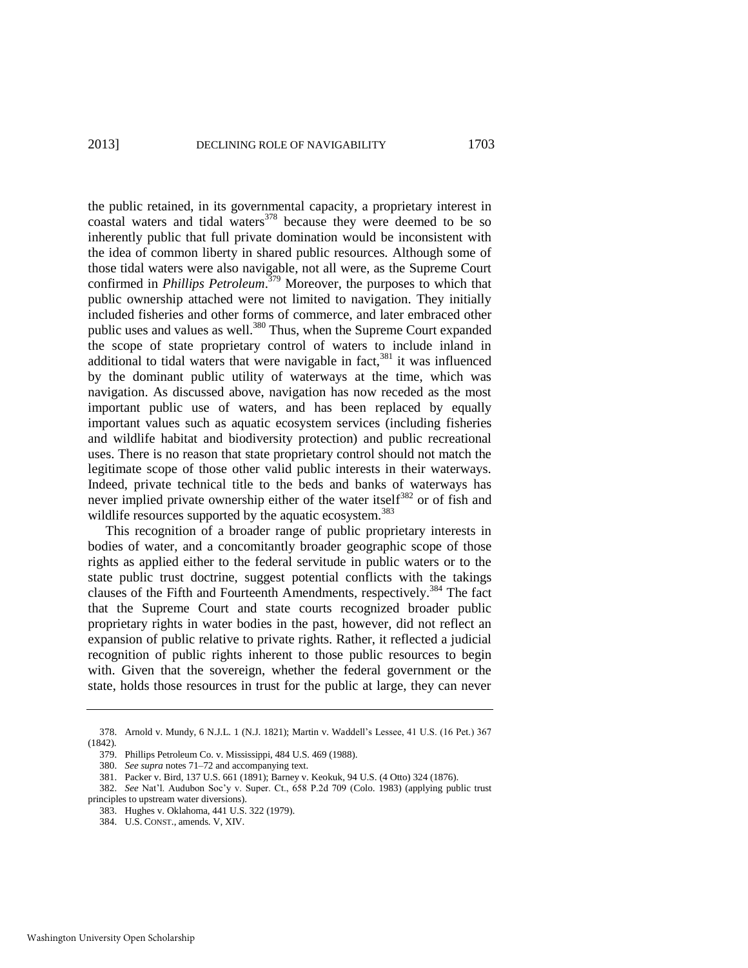the public retained, in its governmental capacity, a proprietary interest in coastal waters and tidal waters $378$  because they were deemed to be so inherently public that full private domination would be inconsistent with the idea of common liberty in shared public resources. Although some of those tidal waters were also navigable, not all were, as the Supreme Court confirmed in *Phillips Petroleum*. <sup>379</sup> Moreover, the purposes to which that public ownership attached were not limited to navigation. They initially included fisheries and other forms of commerce, and later embraced other public uses and values as well.<sup>380</sup> Thus, when the Supreme Court expanded the scope of state proprietary control of waters to include inland in additional to tidal waters that were navigable in fact, $381$  it was influenced by the dominant public utility of waterways at the time, which was navigation. As discussed above, navigation has now receded as the most important public use of waters, and has been replaced by equally important values such as aquatic ecosystem services (including fisheries and wildlife habitat and biodiversity protection) and public recreational uses. There is no reason that state proprietary control should not match the legitimate scope of those other valid public interests in their waterways. Indeed, private technical title to the beds and banks of waterways has never implied private ownership either of the water itself<sup>382</sup> or of fish and wildlife resources supported by the aquatic ecosystem.<sup>383</sup>

This recognition of a broader range of public proprietary interests in bodies of water, and a concomitantly broader geographic scope of those rights as applied either to the federal servitude in public waters or to the state public trust doctrine, suggest potential conflicts with the takings clauses of the Fifth and Fourteenth Amendments, respectively.<sup>384</sup> The fact that the Supreme Court and state courts recognized broader public proprietary rights in water bodies in the past, however, did not reflect an expansion of public relative to private rights. Rather, it reflected a judicial recognition of public rights inherent to those public resources to begin with. Given that the sovereign, whether the federal government or the state, holds those resources in trust for the public at large, they can never

<sup>378.</sup> Arnold v. Mundy, 6 N.J.L. 1 (N.J. 1821); Martin v. Waddell's Lessee, 41 U.S. (16 Pet.) 367 (1842).

<sup>379.</sup> Phillips Petroleum Co. v. Mississippi, 484 U.S. 469 (1988).

<sup>380.</sup> *See supra* note[s 71](#page-12-2)[–72 a](#page-12-0)nd accompanying text.

<sup>381.</sup> Packer v. Bird, 137 U.S. 661 (1891); Barney v. Keokuk, 94 U.S. (4 Otto) 324 (1876).

<sup>382.</sup> *See* Nat'l. Audubon Soc'y v. Super. Ct., 658 P.2d 709 (Colo. 1983) (applying public trust principles to upstream water diversions).

<sup>383.</sup> Hughes v. Oklahoma, 441 U.S. 322 (1979).

<sup>384.</sup> U.S. CONST., amends. V, XIV.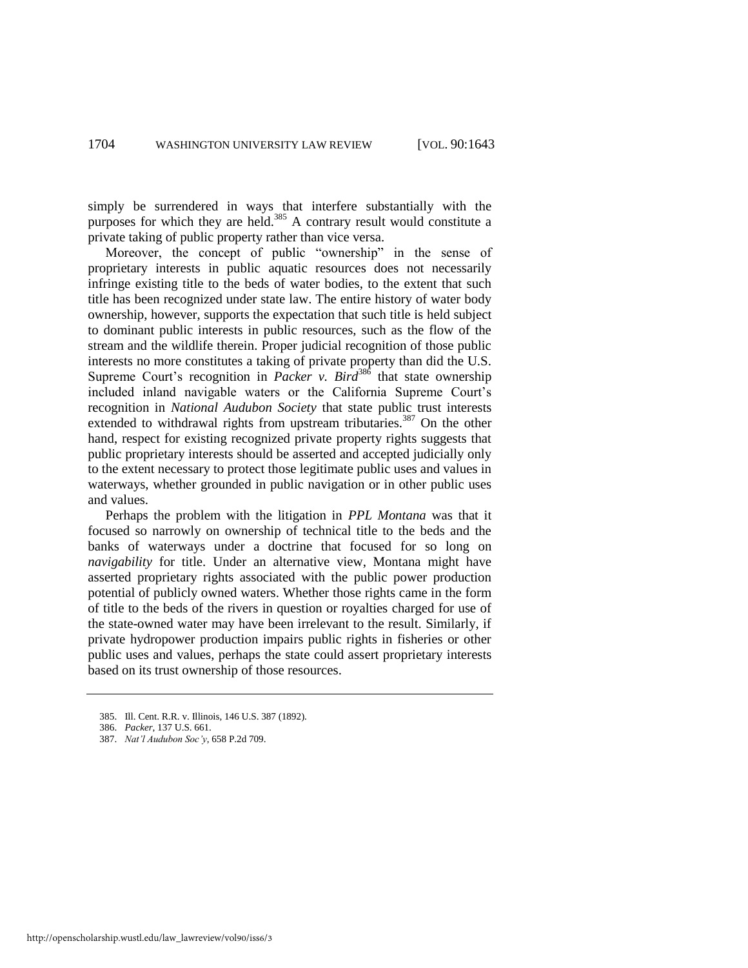simply be surrendered in ways that interfere substantially with the purposes for which they are held. $385$  A contrary result would constitute a private taking of public property rather than vice versa.

Moreover, the concept of public "ownership" in the sense of proprietary interests in public aquatic resources does not necessarily infringe existing title to the beds of water bodies, to the extent that such title has been recognized under state law. The entire history of water body ownership, however, supports the expectation that such title is held subject to dominant public interests in public resources, such as the flow of the stream and the wildlife therein. Proper judicial recognition of those public interests no more constitutes a taking of private property than did the U.S. Supreme Court's recognition in *Packer v. Bird*<sup>386</sup> that state ownership included inland navigable waters or the California Supreme Court's recognition in *National Audubon Society* that state public trust interests extended to withdrawal rights from upstream tributaries.<sup>387</sup> On the other hand, respect for existing recognized private property rights suggests that public proprietary interests should be asserted and accepted judicially only to the extent necessary to protect those legitimate public uses and values in waterways, whether grounded in public navigation or in other public uses and values.

Perhaps the problem with the litigation in *PPL Montana* was that it focused so narrowly on ownership of technical title to the beds and the banks of waterways under a doctrine that focused for so long on *navigability* for title. Under an alternative view, Montana might have asserted proprietary rights associated with the public power production potential of publicly owned waters. Whether those rights came in the form of title to the beds of the rivers in question or royalties charged for use of the state-owned water may have been irrelevant to the result. Similarly, if private hydropower production impairs public rights in fisheries or other public uses and values, perhaps the state could assert proprietary interests based on its trust ownership of those resources.

<sup>385.</sup> Ill. Cent. R.R. v. Illinois, 146 U.S. 387 (1892).

<sup>386.</sup> *Packer*, 137 U.S. 661.

<sup>387.</sup> *Nat'l Audubon Soc'y*, 658 P.2d 709.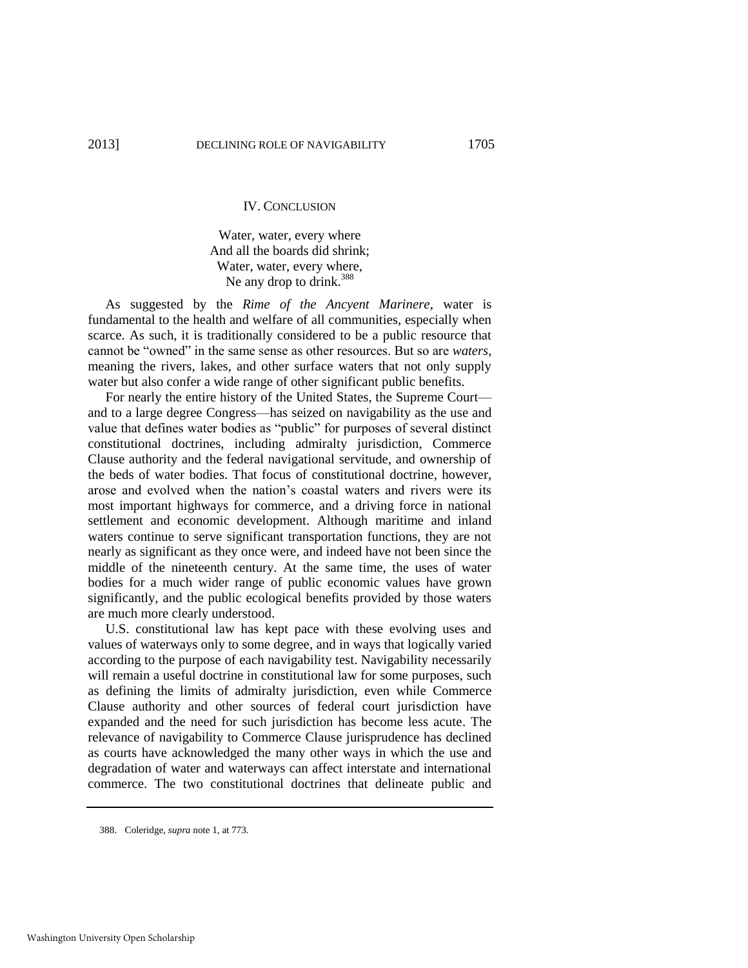#### IV. CONCLUSION

Water, water, every where And all the boards did shrink; Water, water, every where, Ne any drop to drink.<sup>388</sup>

As suggested by the *Rime of the Ancyent Marinere*, water is fundamental to the health and welfare of all communities, especially when scarce. As such, it is traditionally considered to be a public resource that cannot be "owned" in the same sense as other resources. But so are *waters*, meaning the rivers, lakes, and other surface waters that not only supply water but also confer a wide range of other significant public benefits.

For nearly the entire history of the United States, the Supreme Court and to a large degree Congress—has seized on navigability as the use and value that defines water bodies as "public" for purposes of several distinct constitutional doctrines, including admiralty jurisdiction, Commerce Clause authority and the federal navigational servitude, and ownership of the beds of water bodies. That focus of constitutional doctrine, however, arose and evolved when the nation's coastal waters and rivers were its most important highways for commerce, and a driving force in national settlement and economic development. Although maritime and inland waters continue to serve significant transportation functions, they are not nearly as significant as they once were, and indeed have not been since the middle of the nineteenth century. At the same time, the uses of water bodies for a much wider range of public economic values have grown significantly, and the public ecological benefits provided by those waters are much more clearly understood.

U.S. constitutional law has kept pace with these evolving uses and values of waterways only to some degree, and in ways that logically varied according to the purpose of each navigability test. Navigability necessarily will remain a useful doctrine in constitutional law for some purposes, such as defining the limits of admiralty jurisdiction, even while Commerce Clause authority and other sources of federal court jurisdiction have expanded and the need for such jurisdiction has become less acute. The relevance of navigability to Commerce Clause jurisprudence has declined as courts have acknowledged the many other ways in which the use and degradation of water and waterways can affect interstate and international commerce. The two constitutional doctrines that delineate public and

<sup>388.</sup> Coleridge, *supra* note [1,](#page-1-1) at 773.